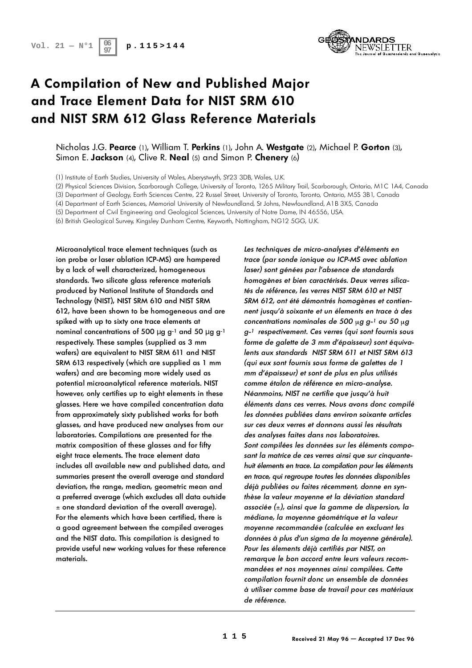

# **A Compilation of New and Published Major and Trace Element Data for NIST SRM 610** and NIST SRM 612 Glass Reference Materials

### Nicholas J.G. Pearce (1), William T. Perkins (1), John A. Westgate (2), Michael P. Gorton (3), Simon E. **Jackson** (4), Clive R. **Neal** (5) and Simon P. **Chenery** (6)

(1) Institute of Earth Studies, University of Wales, Aberystwyth, SY23 3DB, Wales, U.K.

(2) Physical Sciences Division, Scarborough College, University of Toronto, 1265 Military Trail, Scarborough, Ontario, M1C 1A4, Canada

(3) Department of Geology, Earth Sciences Centre, 22 Russel Street, University of Toronto, Toronto, Ontario, M5S 3B1, Canada

(4) Department of Earth Sciences, Memorial University of Newfoundland, St Johns, Newfoundland, A1B 3X5, Canada

(5) Department of Civil Engineering and Geological Sciences, University of Notre Dame, IN 46556, USA.

(6) British Geological Survey, Kingsley Dunham Centre, Keyworth, Nottingham, NG12 5GG, U.K.

Microanalytical trace element techniques (such as ion probe or laser ablation ICP-MS) are hampered by a lack of well characterized, homogeneous standards. Two silicate glass reference materials p roduced by National Institute of Standards and Technology (NIST), NIST SRM 610 and NIST SRM 612, have been shown to be homogeneous and are spiked with up to sixty one trace elements at nominal concentrations of 500  $\mu$  g g<sup>-1</sup> and 50  $\mu$  g g<sup>-1</sup> respectively. These samples (supplied as 3 mm wafers) are equivalent to NIST SRM 611 and NIST SRM 613 respectively (which are supplied as 1 mm wafers) and are becoming more widely used as potential microanalytical reference materials. NIST however, only certifies up to eight elements in these glasses. Here we have compiled concentration data from approximately sixty published works for both glasses, and have produced new analyses from our laboratories. Compilations are presented for the matrix composition of these glasses and for fifty eight trace elements. The trace element data includes all available new and published data, and summaries present the overall average and standard deviation, the range, median, geometric mean and a preferred average (which excludes all data outside  $\pm$  one standard deviation of the overall average). For the elements which have been certified, there is a good agreement between the compiled averages and the NIST data. This compilation is designed to provide useful new working values for these reference materials.

Les techniques de micro-analyses d'éléments en trace (par sonde ionique ou ICP-MS avec ablation laser) sont génées par l'absence de standards homogènes et bien caractérisés. Deux verres silicatés de référence, les verres NIST SRM 610 et NIST SRM 612, ont été démontrés homogènes et contiennent jusqu'à soixante et un élements en trace à des concentrations nominales de 500  $\mu$ g g-<sup>1</sup> ou 50  $\mu$ g g-<sup>1</sup> respectivement. Ces verres (qui sont fournis sous forme de galette de 3 mm d'épaisseur) sont équivalents aux standards NIST SRM 611 et NIST SRM 613 (qui eux sont fournis sous forme de galettes de 1 mm d'épaisseur) et sont de plus en plus utilisés comme étalon de référence en micro-analyse. Néanmoins, NIST ne certifie que jusqu'à huit éléments dans ces verres. Nous avons donc compilé les données publiées dans environ soixante articles sur ces deux verres et donnons aussi les résultats des analyses faites dans nos laboratoires. Sont compilées les données sur les éléments composant la matrice de ces verres ainsi que sur cinquantehuit élements en trace. La compilation pour les éléments en trace, qui regroupe toutes les données disponibles déjà publiées ou faites récemment, donne en synthèse la valeur moyenne et la déviation standard associée  $(\pm)$ , ainsi que la gamme de dispersion, la médiane, la moyenne géométrique et la valeur m oyenne recommandée (calculée en excluant les données à plus d'un sigma de la moyenne générale). Pour les élements déjà certifiés par NIST, on remarque le bon accord entre leurs valeurs recommandées et nos moyennes ainsi compilées. Cette compilation fournit donc un ensemble de données à utiliser comme base de travail pour ces matériaux de référence.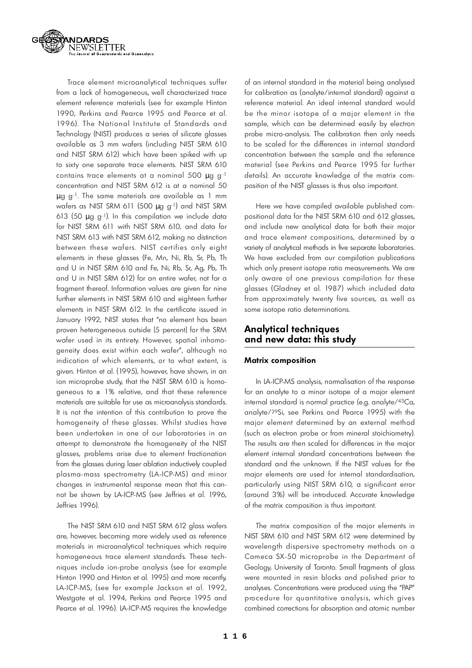

Trace element microanalytical techniques suffer from a lack of homogeneous, well characterized trace element reference materials (see for example Hinton 1990, Perkins and Pearce 1995 and Pearce et al. 1996). The National Institute of Standards and Technology (NIST) produces a series of silicate glasses available as 3 mm wafers (including NIST SRM 610 and NIST SRM 612) which have been spiked with up to sixty one separate trace elements. NIST SRM 610 contains trace elements at a nominal 500 μg g<sup>-1</sup> concentration and NIST SRM 612 is at a nominal 50  $\mu$  g g<sup>-1</sup>. The same materials are available as 1 mm wafers as NIST SRM 611 (500  $\mu$  g g<sup>-1</sup>) and NIST SRM 613 (50  $\mu$  g g<sup>-1</sup>). In this compilation we include data for NIST SRM 611 with NIST SRM 610, and data for NIST SRM 613 with NIST SRM 612, making no distinction between these wafers. NIST certifies only eight elements in these glasses (Fe, Mn, Ni, Rb, Sr, Pb, Th and U in NIST SRM 610 and Fe, Ni, Rb, Sr, Ag, Pb, Th and U in NIST SRM 612) for an entire wafer, not for a fragment thereof. Information values are given for nine further elements in NIST SRM 610 and eighteen further elements in NIST SRM 612. In the certificate issued in January 1992, NIST states that "no element has been proven heterogeneous outside [5 percent] for the SRM wafer used in its entirety. However, spatial inhomogeneity does exist within each wafer", although no indication of which elements, or to what extent, is given. Hinton et al. (1995), however, have shown, in an ion microprobe study, that the NIST SRM 610 is homogeneous to  $\pm$  1% relative, and that these reference materials are suitable for use as microanalysis standards. It is not the intention of this contribution to prove the homogeneity of these glasses. Whilst studies have been undertaken in one of our laboratories in an attempt to demonstrate the homogeneity of the NIST glasses, problems arise due to element fractionation from the glasses during laser ablation inductively coupled plasma-mass spectrometry (LA-ICP-MS) and minor changes in instrumental response mean that this cannot be shown by LA-ICP-MS (see Jeffries et al. 1996, Jeffries 1996).

The NIST SRM 610 and NIST SRM 612 glass wafers are, however, becoming more widely used as reference materials in microanalytical techniques which require homogeneous trace element standards. These techniques include ion-probe analysis (see for example Hinton 1990 and Hinton et al. 1995) and more recently, LA-ICP-MS, (see for example Jackson et al. 1992, Westgate et al. 1994, Perkins and Pearce 1995 and Pearce et al. 1996). LA-ICP-MS requires the knowledge

of an internal standard in the material being analysed for calibration as (analyte/internal standard) against a reference material. An ideal internal standard would be the minor isotope of a major element in the sample, which can be determined easily by electron probe micro-analysis. The calibration then only needs to be scaled for the differences in internal standard concentration between the sample and the reference material (see Perkins and Pearce 1995 for further details). An accurate knowledge of the matrix composition of the NIST glasses is thus also important.

Here we have compiled available published compositional data for the NIST SRM 610 and 612 glasses, and include new analytical data for both their major and trace element compositions, determined by a variety of analytical methods in five separate laboratories. We have excluded from our compilation publications which only present isotope ratio measurements. We are only aware of one previous compilation for these glasses (Gladney et al. 1987) which included data from approximately twenty five sources, as well as some isotope ratio determinations.

### **Analytical techniques and new data: this study**

### **Matrix composition**

In LA-ICP-MS analysis, normalisation of the response for an analyte to a minor isotope of a major element internal standard is normal practice (e.g. analyte/43Ca, analyte/<sup>29</sup>Si, see Perkins and Pearce 1995) with the major element determined by an external method (such as electron probe or from mineral stoichiometry). The results are then scaled for differences in the major element internal standard concentrations between the standard and the unknown. If the NIST values for the major elements are used for internal standardisation, particularly using NIST SRM 610, a significant error (around 3%) will be introduced. Accurate knowledge of the matrix composition is thus important.

The matrix composition of the major elements in NIST SRM 610 and NIST SRM 612 were determined by wavelength dispersive spectrometry methods on a Cameca SX-50 microprobe in the Department of Geology, University of Toronto. Small fragments of glass were mounted in resin blocks and polished prior to analyses. Concentrations were produced using the "PAP" procedure for quantitative analysis, which gives combined corrections for absorption and atomic number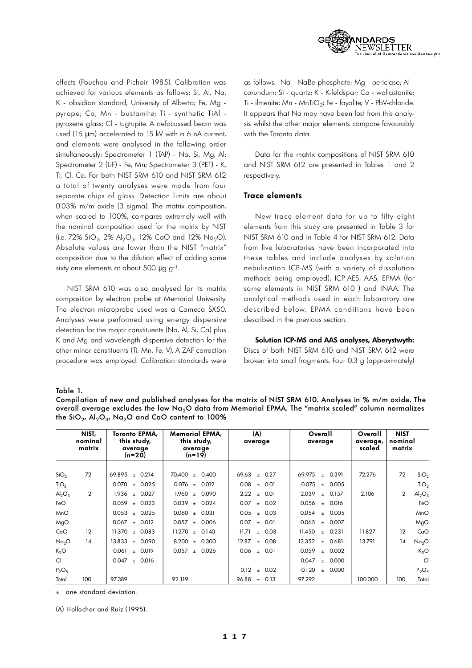

effects (Pouchou and Pichoir 1985). Calibration was achieved for various elements as follows: Si, Al, Na, K - obsidian standard, University of Alberta; Fe, Mg py rope; Ca, Mn - bustamite; Ti - synthetic TiAl pyroxene glass; Cl - tugtupite. A defocussed beam was used (15  $\mu$  m) accelerated to 15 kV with a 6 nA current, and elements were analysed in the following order simultaneously: Spectrometer 1 (TAP) - Na, Si, Mg, Al; Spectrometer 2 (LiF) - Fe, Mn; Spectrometer 3 (PET) - K, Ti, Cl, Ca. For both NIST SRM 610 and NIST SRM 612 a total of twenty analyses were made from four separate chips of glass. Detection limits are about 0.03% m/m oxide (3 sigma). The matrix composition, when scaled to 100%, compares extremely well with the nominal composition used for the matrix by NIST (i.e. 72% SiO $_2$ , 2% Al $_2$ O $_3$ , 12% CaO and 12% Na $_2$ O). Absolute values are lower than the NIST "matrix" composition due to the dilution effect of adding some sixty one elements at about 500  $\mu$  g g<sup>-1</sup>.

NIST SRM 610 was also analysed for its matrix composition by electron probe at Memorial University. The electron microprobe used was a Cameca SX50. Analyses were performed using energy dispersive detection for the major constituents (Na, Al, Si, Ca) plus K and Mg and wavelength dispersive detection for the other minor constituents (Ti, Mn, Fe, V). A ZAF correction procedure was employed. Calibration standards were as follows: Na - NaBe-phosphate; Mg - periclase; Al corundum; Si - quartz; K - K-feldspar; Ca - wollastonite; Ti - ilmenite; Mn - MnTiO $_3$ ; Fe - fayalite; V - PbV-chloride. It appears that Na may have been lost from this analysis whilst the other major elements compare favourably with the Toronto data.

Data for the matrix compositions of NIST SRM 610 and NIST SRM 612 are presented in Tables 1 and 2 respectively.

### **Trace elements**

New trace element data for up to fifty eight elements from this study are presented in Table 3 for NIST SRM 610 and in Table 4 for NIST SRM 612. Data from five laboratories have been incorporated into these tables and include analyses by solution nebulisation ICP-MS (with a variety of dissolution methods being employed), ICP-AES, AAS, EPMA (for some elements in NIST SRM 610 ) and INAA. The analytical methods used in each laboratory are described below. EPMA conditions have been described in the previous section.

### Solution ICP-MS and AAS analyses, Aberystwyth:

Discs of both NIST SRM 610 and NIST SRM 612 were broken into small fragments. Four 0.3 g (approximately)

Table 1.

Compilation of new and published analyses for the matrix of NIST SRM 610. Analyses in % m/m oxide. The overall average excludes the low Na<sub>2</sub>O data from Memorial EPMA. The "matrix scaled" column normalizes the SiO $_{\rm 2^{\prime}}$  Al $_{\rm 2}$ O $_{\rm 3^{\prime}}$  Na $_{\rm 2}$ O and CaO content to 100%

|                   | NIST,<br>nominal<br>matrix | Toronto EPMA,<br>this study,<br>average<br>(n=20) | Memorial EPMA,<br>this study,<br>average<br>$(n=19)$ | (A)<br>average         | Overall<br>average       | Overall<br>average,<br>scaled | <b>NIST</b><br>nominal<br>matrix |
|-------------------|----------------------------|---------------------------------------------------|------------------------------------------------------|------------------------|--------------------------|-------------------------------|----------------------------------|
|                   |                            |                                                   |                                                      |                        |                          |                               |                                  |
| SiO <sub>2</sub>  | 72                         | 69.895<br>± 0.214                                 | $70.400 \pm$<br>0.400                                | 69.63<br>0.27<br>$\pm$ | 69.975<br>0.391<br>$\pm$ | 72.276                        | 72<br>SiO <sub>2</sub>           |
| TiO <sub>2</sub>  |                            | 0.070<br>$\pm$ 0.025                              | $0.076 \pm 0.012$                                    | 0.08<br>0.01<br>$\pm$  | 0.075<br>± 0.005         |                               | TiO <sub>2</sub>                 |
| $Al_2O_3$         | $\overline{2}$             | $1.936 \pm 0.027$                                 | $1.960 +$<br>0.090                                   | 2.22<br>0.01<br>$\pm$  | 2.039<br>$\pm 0.157$     | 2.106                         | $\overline{2}$<br>$Al_2O_3$      |
| FeO               |                            | 0.059<br>$\pm$ 0.023                              | 0.039<br>0.024<br>$\pm$                              | 0.07<br>0.02<br>$\pm$  | 0.056<br>0.016<br>$\pm$  |                               | FeO                              |
| MnO               |                            | 0.053<br>$\pm$ 0.025                              | $0.060 +$<br>0.031                                   | 0.05<br>0.03<br>$\pm$  | 0.054<br>0.005<br>$\pm$  |                               | MnO                              |
| MgO               |                            | $0.067 \pm 0.012$                                 | $0.057 \pm 0.006$                                    | 0.07<br>0.01<br>$\pm$  | 0.065<br>$\pm 0.007$     |                               | MgO                              |
| CaO               | 12                         | 11.370<br>$\pm 0.083$                             | 11.270<br>0.140<br>$\pm$                             | 11.71<br>$\pm 0.03$    | 11.450<br>0.231<br>$\pm$ | 11.827                        | 12<br>CaO                        |
| Na <sub>2</sub> O | 14                         | 13.833<br>$\pm 0.090$                             | 8.200<br>0.300<br>$\pm$                              | 12.87<br>0.08<br>$\pm$ | 13.352<br>0.681<br>$\pm$ | 13.791                        | 14<br>Na <sub>2</sub> O          |
| K <sub>2</sub> O  |                            | 0.061<br>± 0.019                                  | 0.057<br>± 0.026                                     | 0.06<br>$\pm$ 0.01     | 0.059<br>± 0.002         |                               | $K_2O$                           |
| CI.               |                            | 0.047<br>± 0.016                                  |                                                      |                        | 0.047<br>± 0.000         |                               | <sub>C</sub>                     |
| $P_2O_5$          |                            |                                                   |                                                      | 0.12<br>0.02<br>$\pm$  | 0.120<br>0.000<br>$\pm$  |                               | $P_2O_5$                         |
| Total             | 100                        | 97.389                                            | 92.119                                               | 96.88<br>0.13<br>$\pm$ | 97.292                   | 100.000                       | Total<br>100                     |

 $±$  one standard deviation.

(A) Hollocher and Ruiz (1995).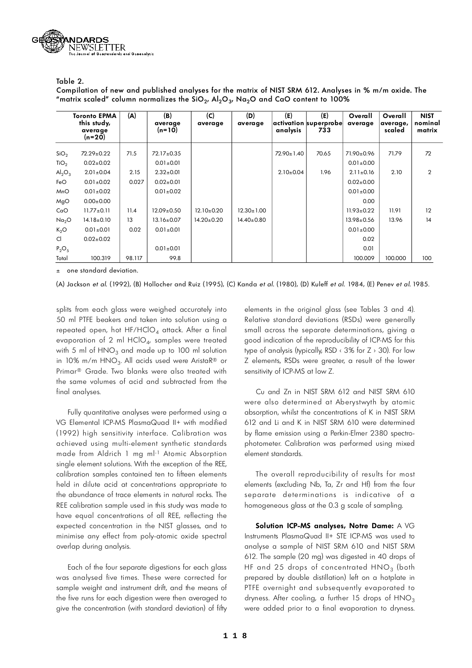

Table 2.

Compilation of new and published analyses for the matrix of NIST SRM 612. Analyses in % m/m oxide. The "matrix scaled" column normalizes the SiO<sub>2</sub>, Al<sub>2</sub>O<sub>3</sub>, Na<sub>2</sub>O and CaO content to 100%

|                   | <b>Toronto EPMA</b><br>this study,<br>average<br>$(n=20)$ | (A)    | (B)<br>average<br>$(n=10)$ | (C)<br>average   | (D)<br>average   | (E)<br>analysis  | (E)<br>activation superprobe<br>733 | Overall<br>average | Overall<br>average,<br>scaled | <b>NIST</b><br>nominal<br>matrix |
|-------------------|-----------------------------------------------------------|--------|----------------------------|------------------|------------------|------------------|-------------------------------------|--------------------|-------------------------------|----------------------------------|
| SiO <sub>2</sub>  | 72.29±0.22                                                | 71.5   | 72.17±0.35                 |                  |                  | $72.90 \pm 1.40$ | 70.65                               | 71.90±0.96         | 71.79                         | 72                               |
| TiO <sub>2</sub>  | $0.02 \pm 0.02$                                           |        | $0.01 \pm 0.01$            |                  |                  |                  |                                     | $0.01 \pm 0.00$    |                               |                                  |
| $Al_2O_3$         | $2.01 \pm 0.04$                                           | 2.15   | $2.32 \pm 0.01$            |                  |                  | $2.10 \pm 0.04$  | 1.96                                | $2.11 \pm 0.16$    | 2.10                          | $\overline{2}$                   |
| FeO               | $0.01 \pm 0.02$                                           | 0.027  | $0.02 \pm 0.01$            |                  |                  |                  |                                     | $0.02 \pm 0.00$    |                               |                                  |
| <b>MnO</b>        | $0.01 \pm 0.02$                                           |        | $0.01 \pm 0.02$            |                  |                  |                  |                                     | $0.01 \pm 0.00$    |                               |                                  |
| MgO               | $0.00 \pm 0.00$                                           |        |                            |                  |                  |                  |                                     | 0.00               |                               |                                  |
| CaO               | $11.77 \pm 0.11$                                          | 11.4   | $12.09 \pm 0.50$           | $12.10 \pm 0.20$ | $12.30 \pm 1.00$ |                  |                                     | $11.93 \pm 0.22$   | 11.91                         | 12                               |
| Na <sub>2</sub> O | $14.18 \pm 0.10$                                          | 13     | $13.16 \pm 0.07$           | $14.20 \pm 0.20$ | $14.40 \pm 0.80$ |                  |                                     | $13.98 \pm 0.56$   | 13.96                         | 14                               |
| $K_2O$            | $0.01 + 0.01$                                             | 0.02   | $0.01 \pm 0.01$            |                  |                  |                  |                                     | $0.01 \pm 0.00$    |                               |                                  |
| CI.               | $0.02 \pm 0.02$                                           |        |                            |                  |                  |                  |                                     | 0.02               |                               |                                  |
| $P_2O_5$          |                                                           |        | $0.01 \pm 0.01$            |                  |                  |                  |                                     | 0.01               |                               |                                  |
| Total             | 100.319                                                   | 98.117 | 99.8                       |                  |                  |                  |                                     | 100.009            | 100.000                       | 100                              |

one standard deviation.

(A) Jackson et al. (1992), (B) Hollocher and Ruiz (1995), (C) Kanda et al. (1980), (D) Kuleff et al. 1984, (E) Penev et al. 1985.

splits from each glass were weighed accurately into 50 ml PTFE beakers and taken into solution using a repeated open, hot HF/HClO<sub>4</sub> attack. After a final evaporation of 2 ml HClO $_4$ , samples were treated with 5 ml of  $HNO<sub>3</sub>$  and made up to 100 ml solution in 10% m/m HNO $_3$ . All acids used were AristaR® or Primar<sup>®</sup> Grade. Two blanks were also treated with the same volumes of acid and subtracted from the final analyses.

Fully quantitative analyses were performed using a VG Elemental ICP-MS PlasmaQuad II+ with modified (1992) high sensitivity interface. Calibration was achieved using multi-element synthetic standards made from Aldrich 1 mg ml-1 Atomic Absorption single element solutions. With the exception of the REE, calibration samples contained ten to fifteen elements held in dilute acid at concentrations appropriate to the abundance of trace elements in natural rocks. The REE calibration sample used in this study was made to have equal concentrations of all REE, reflecting the expected concentration in the NIST glasses, and to minimise any effect from poly-atomic oxide spectral overlap during analysis.

Each of the four separate digestions for each glass was analysed five times. These were corrected for sample weight and instrument drift, and the means of the five runs for each digestion were then averaged to give the concentration (with standard deviation) of fifty

elements in the original glass (see Tables 3 and 4). Relative standard deviations (RSDs) were generally small across the separate determinations, giving a good indication of the reproducibility of ICP-MS for this type of analysis (typically, RSD  $\leftarrow$  3% for Z  $\rightarrow$  30). For low Z elements, RSDs were greater, a result of the lower sensitivity of ICP-MS at low Z.

Cu and Zn in NIST SRM 612 and NIST SRM 610 were also determined at Aberystwyth by atomic absorption, whilst the concentrations of K in NIST SRM 612 and Li and K in NIST SRM 610 were determined by flame emission using a Perkin-Elmer 2380 spectrophotometer. Calibration was performed using mixed element standards.

The overall reproducibility of results for most elements (excluding Nb, Ta, Zr and Hf) from the four separate determinations is indicative of a homogeneous glass at the 0.3 g scale of sampling.

**Solution ICP-MS analyses, Notre Dame:** A VG Instruments PlasmaQuad II+ STE ICP-MS was used to analyse a sample of NIST SRM 610 and NIST SRM 612. The sample (20 mg) was digested in 40 drops of HF and 25 drops of concentrated  $\mathsf{HNO}_3$  (both prepared by double distillation) left on a hotplate in PTFE overnight and subsequently evaporated to dryness. After cooling, a further 15 drops of  $HNO<sub>3</sub>$ were added prior to a final evaporation to dryness.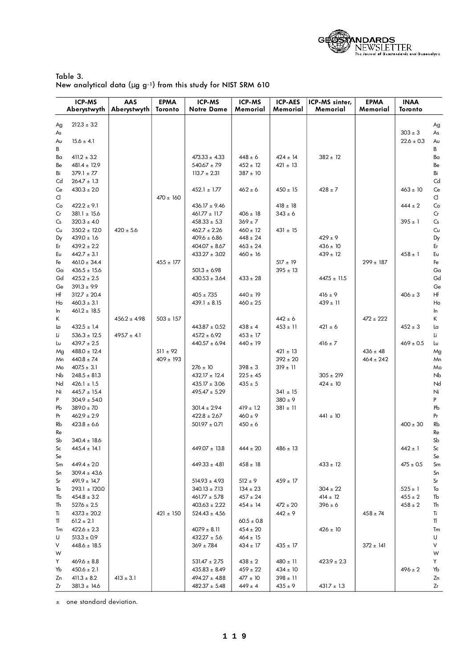

| Table 3. |                                                                     |  |  |
|----------|---------------------------------------------------------------------|--|--|
|          | New analytical data ( $\mu$ g g-1) from this study for NIST SRM 610 |  |  |

|          | <b>ICP-MS</b><br>Aberystwyth        | AAS<br>Aberystwyth | <b>EPMA</b><br>Toronto | ICP-MS<br><b>Notre Dame</b>            | ICP-MS<br>Memorial           | <b>ICP-AES</b><br>Memorial  | ICP-MS sinter,<br>Memorial  | <b>EPMA</b><br>Memorial | <b>INAA</b><br>Toronto     |                    |
|----------|-------------------------------------|--------------------|------------------------|----------------------------------------|------------------------------|-----------------------------|-----------------------------|-------------------------|----------------------------|--------------------|
| Ag       | $212.3 \pm 3.2$                     |                    |                        |                                        |                              |                             |                             |                         |                            | Ag                 |
| As       |                                     |                    |                        |                                        |                              |                             |                             |                         | $303 \pm 3$                | As                 |
| Aυ       | $15.6 \pm 4.1$                      |                    |                        |                                        |                              |                             |                             |                         | $22.6 \pm 0.3$             | Aυ                 |
| В        |                                     |                    |                        |                                        |                              |                             |                             |                         |                            | В                  |
| Bα       | $411.2 \pm 3.2$                     |                    |                        | $473.33 \pm 4.33$                      | $448 \pm 6$                  | $424 \pm 14$                | $382 \pm 12$                |                         |                            | Ba                 |
| Be       | $481.4 \pm 12.9$                    |                    |                        | $540.67 \pm 7.9$                       | $452 \pm 12$                 | $421 \pm 13$                |                             |                         |                            | Be                 |
| Bi       | $379.1 \pm 7.7$                     |                    |                        | $113.7 \pm 2.31$                       | $387 \pm 10$                 |                             |                             |                         |                            | Bi                 |
| Cd       | $264.7 \pm 1.3$                     |                    |                        |                                        |                              |                             |                             |                         |                            | Cd                 |
| Ce       | $430.3 \pm 2.0$                     |                    | $470 \pm 160$          | $452.1 \pm 1.77$                       | $462 \pm 6$                  | $450 \pm 15$                | $428 \pm 7$                 |                         | $463 \pm 10$               | Ce<br>$\mathsf{C}$ |
| d<br>Co  | $422.2 \pm 9.1$                     |                    |                        | $436.17 \pm 9.46$                      |                              | $418 \pm 18$                |                             |                         | $444 \pm 2$                | Co                 |
| Cr       | $381.1 \pm 15.6$                    |                    |                        | $461.77 \pm 11.7$                      | $406 \pm 18$                 | $343 \pm 6$                 |                             |                         |                            | Cr                 |
| Cs       | $320.3 \pm 4.0$                     |                    |                        | $458.33 \pm 5.3$                       | $369 \pm 7$                  |                             |                             |                         | $395 \pm 1$                | Cs                 |
| Cu       | $350.2 \pm 12.0$                    | $420 \pm 5.6$      |                        | $462.7 \pm 2.26$                       | $460 \pm 12$                 | $431 \pm 15$                |                             |                         |                            | Cυ                 |
| Dy       | $439.0 \pm 1.6$                     |                    |                        | $409.6 \pm 6.86$                       | $448 \pm 24$                 |                             | $429 \pm 9$                 |                         |                            | Dy                 |
| Er       | $439.2 \pm 2.2$                     |                    |                        | $404.07 \pm 8.67$                      | $463 \pm 24$                 |                             | $436 \pm 10$                |                         |                            | Er                 |
| Eυ       | $442.7 \pm 3.1$                     |                    |                        | $433.27 \pm 3.02$                      | $460 \pm 16$                 |                             | $439 \pm 12$                |                         | $458 \pm 1$                | Eυ                 |
| Fe       | $461.0 \pm 34.4$                    |                    | $455 \pm 177$          |                                        |                              | $517 \pm 19$                |                             | $299 \pm 187$           |                            | Fe                 |
| Ga       | $436.5 \pm 15.6$                    |                    |                        | $501.3 \pm 6.98$                       |                              | $395 \pm 13$                |                             |                         |                            | Ga                 |
| Gd       | $425.2 \pm 2.5$                     |                    |                        | $430.53 \pm 3.64$                      | $433 \pm 28$                 |                             | $447.5 \pm 11.5$            |                         |                            | Gd                 |
| Ge       | $391.3 \pm 9.9$                     |                    |                        |                                        |                              |                             |                             |                         |                            | Ge                 |
| Hf       | $312.7 \pm 20.4$                    |                    |                        | $405 \pm 7.35$                         | $440 \pm 19$                 |                             | $416 \pm 9$                 |                         | $406 \pm 3$                | Hf                 |
| Ho<br>In | $460.3 \pm 3.1$<br>$461.2 \pm 18.5$ |                    |                        | $439.1 \pm 8.15$                       | $460 \pm 25$                 |                             | $439 \pm 11$                |                         |                            | Ho<br>In           |
| Κ        |                                     | $456.2 \pm 4.98$   | $503 \pm 157$          |                                        |                              | $442 \pm 6$                 |                             | $472 \pm 222$           |                            | K                  |
| Lα       | $432.5 \pm 1.4$                     |                    |                        | $443.87 \pm 0.52$                      | $438 \pm 4$                  | $453 \pm 11$                | $421 \pm 6$                 |                         | $452 \pm 3$                | La                 |
| Li       | $536.3 \pm 12.5$                    | $495.7 \pm 4.1$    |                        | $457.2 \pm 6.92$                       | $453 \pm 17$                 |                             |                             |                         |                            | Li                 |
| Lυ       | $439.7 \pm 2.5$                     |                    |                        | $440.57 \pm 6.94$                      | $440 \pm 19$                 |                             | $416 \pm 7$                 |                         | $469 \pm 0.5$              | Lυ                 |
| Mg       | $488.0 \pm 12.4$                    |                    | $511 \pm 92$           |                                        |                              | $421 \pm 13$                |                             | $436 \pm 48$            |                            | Mg                 |
| Mn       | $440.8 \pm 7.4$                     |                    | $409 \pm 193$          |                                        |                              | $392 \pm 20$                |                             | $464 \pm 242$           |                            | Mn                 |
| Mo       | $407.5 \pm 3.1$                     |                    |                        | $276 \pm 10$                           | $398 \pm 3$                  | $319 \pm 11$                |                             |                         |                            | Mo                 |
| Nb       | $248.5 \pm 81.3$                    |                    |                        | $432.17 \pm 12.4$                      | $225 \pm 45$                 |                             | $305 \pm 219$               |                         |                            | Nb                 |
| Nd       | $426.1 \pm 1.5$                     |                    |                        | $435.17 \pm 3.06$                      | $435 \pm 5$                  |                             | $424 \pm 10$                |                         |                            | Nd                 |
| Ni       | $445.7 \pm 15.4$                    |                    |                        | $495.47 \pm 5.29$                      |                              | $341 \pm 15$                |                             |                         |                            | Ni                 |
| P<br>Pb  | $304.9 \pm 54.0$<br>$389.0 \pm 7.0$ |                    |                        | $301.4 \pm 2.94$                       | $419 \pm 1.2$                | $380 \pm 9$<br>$381 \pm 11$ |                             |                         |                            | P<br>Pb            |
| Pr       | $462.9 \pm 2.9$                     |                    |                        | $422.8 \pm 2.67$                       | $460 \pm 9$                  |                             | $441 \pm 10$                |                         |                            | Pr                 |
| Rb       | $423.8\pm6.6$                       |                    |                        | $501.97 \pm 0.71$                      | $450 \pm 6$                  |                             |                             |                         | $400 \pm 30$               | Rb                 |
| Re       |                                     |                    |                        |                                        |                              |                             |                             |                         |                            | Re                 |
| Sb       | $340.4 \pm 18.6$                    |                    |                        |                                        |                              |                             |                             |                         |                            | Sb                 |
| Sc       | $445.4 \pm 14.1$                    |                    |                        | $449.07 \pm 13.8$                      | $444 \pm 20$                 | $486 \pm 13$                |                             |                         | $442 \pm 1$                | Sc                 |
| Se       |                                     |                    |                        |                                        |                              |                             |                             |                         |                            | Se                 |
| Sm       | $449.4 \pm 2.0$                     |                    |                        | $449.33 \pm 4.81$                      | $458 \pm 18$                 |                             | $433 \pm 12$                |                         | $475 \pm 0.5$              | Sm                 |
| Sn       | $309.4 \pm 43.6$                    |                    |                        |                                        |                              |                             |                             |                         |                            | Sn                 |
| Sr       | $491.9 \pm 14.7$                    |                    |                        | $514.93 \pm 4.93$                      | $512 \pm 9$                  | $459 \pm 17$                |                             |                         |                            | Sr                 |
| Ta       | $293.1 \pm 120.0$                   |                    |                        | $340.13 \pm 7.13$                      | $134 \pm 23$                 |                             | $304 \pm 22$                |                         | $525 \pm 1$<br>$455 \pm 2$ | Ta                 |
| Tb<br>Th | $454.8 \pm 3.2$<br>$527.6 \pm 2.5$  |                    |                        | $461.77 \pm 5.78$<br>$403.63 \pm 2.22$ | $457 \pm 24$<br>$454 \pm 14$ | $472 \pm 20$                | $414 \pm 12$<br>$396 \pm 6$ |                         | $458 \pm 2$                | Tb<br>Th           |
| Tì       | $437.3 \pm 20.2$                    |                    | $421 \pm 150$          | $524.43 \pm 4.56$                      |                              | $442 \pm 9$                 |                             | $458 \pm 74$            |                            | Ti                 |
| TI.      | $61.2 \pm 2.1$                      |                    |                        |                                        | $60.5 \pm 0.8$               |                             |                             |                         |                            | TI                 |
| Tm       | $422.6 \pm 2.3$                     |                    |                        | $407.9 \pm 8.11$                       | $454 \pm 20$                 |                             | $426 \pm 10$                |                         |                            | Tm                 |
| U        | $513.3 \pm 0.9$                     |                    |                        | $432.27 \pm 5.6$                       | $464 \pm 15$                 |                             |                             |                         |                            | U                  |
| V        | $448.6 \pm 18.5$                    |                    |                        | $369 \pm 7.84$                         | $434 \pm 17$                 | $435 \pm 17$                |                             | $372 \pm 141$           |                            | V                  |
| W        |                                     |                    |                        |                                        |                              |                             |                             |                         |                            | W                  |
| Y        | $469.6 \pm 8.8$                     |                    |                        | $531.47 \pm 2.75$                      | $438 \pm 2$                  | $480 \pm 11$                | $423.9 \pm 2.3$             |                         |                            | Y                  |
| Yb       | $450.6 \pm 2.1$                     |                    |                        | $435.83 \pm 8.49$                      | $459 \pm 22$                 | $434 \pm 10$                |                             |                         | $496 \pm 2$                | Yb                 |
| Zn       | $411.3 \pm 8.2$                     | $413 \pm 3.1$      |                        | $494.27 \pm 4.88$                      | $477 \pm 10$                 | $398 \pm 11$                |                             |                         |                            | Zn                 |
| Zr       | $381.3 \pm 14.6$                    |                    |                        | $482.37 \pm 5.48$                      | $449 \pm 4$                  | $435 \pm 9$                 | $431.7 \pm 1.3$             |                         |                            | Zr                 |

± one standard deviation.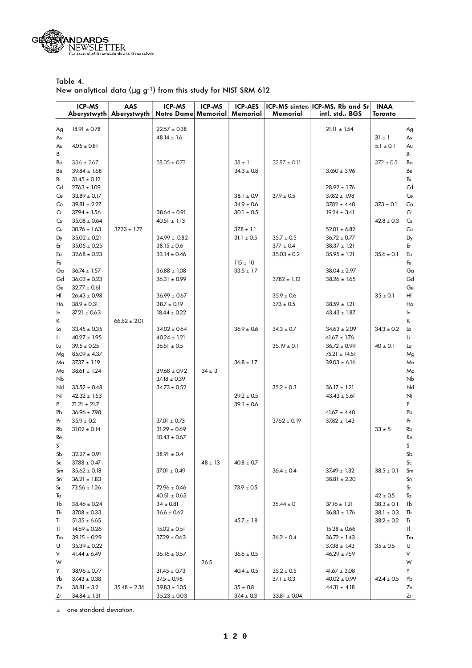

Table 4. New analytical data ( $\mu$  g g<sup>-1</sup>) from this study for NIST SRM 612

| intl. std., BGS<br><b>Aberystwyth</b><br>Aberystwyth<br><b>Notre Dame Memorial</b><br>Memorial<br>Memorial<br>Toronto<br>$22.57\pm0.38$<br>$21.11 \pm 1.54$<br>$18.91 \pm 0.78$<br>Ag<br>Ag<br>$48.14 \pm 1.6$<br>$31 \pm 1$<br>As<br>As<br>$4.05 \pm 0.81$<br>$5.1 \pm 0.1$<br>Aυ<br>Aυ<br>В<br>В<br>$33.6 \pm 267$<br>$38.05 \pm 0.73$<br>$38 \pm 1$<br>$32.87 \pm 0.11$<br>$37.2 \pm 0.5$<br>Ba<br>Bα<br>$39.84 \pm 1.68$<br>$34.3 \pm 0.8$<br>$37.60 \pm 3.96$<br>Be<br>Be<br>$31.45 \pm 0.12$<br>Bi<br>Bi<br>Cd<br>Cd<br>$27.63 \pm 1.09$<br>$28.92 \pm 1.76$<br>$33.89 \pm 0.17$<br>$38.1 \pm 0.9$<br>$37.9 \pm 0.5$<br>$37.82 \pm 1.98$<br>Ce<br>Ce<br>$34.9 \pm 0.6$<br>$39.81 \pm 2.27$<br>$37.82 \pm 4.40$<br>$37.3 \pm 0.1$<br>Co<br>Co<br>$37.94 \pm 1.56$<br>$38.64 \pm 0.91$<br>$19.24 \pm 3.41$<br>Cr<br>Cr<br>$30.1 \pm 0.5$<br>$35.08 \pm 0.64$<br>$40.51 \pm 1.13$<br>$42.8 \pm 0.3$<br>$\mathsf{C}\mathsf{s}$<br>Сs<br>$37.33 \pm 1.77$<br>$30.76 \pm 1.63$<br>$37.8 \pm 1.1$<br>$52.01 \pm 6.82$<br>Cυ<br>Cυ<br>$34.99 \pm .0.82$<br>$36.72 \pm 0.77$<br>$35.02 \pm 0.21$<br>$31.1 \pm 0.5$<br>$35.7 \pm 0.5$<br>Dy<br>Dy<br>$37.7 \pm 0.4$<br>$38.37 \pm 1.21$<br>$35.05 \pm 0.25$<br>$38.15 \pm 0.6$<br>Er<br>Er<br>$32.68 \pm 0.23$<br>$35.03 \pm 0.2$<br>$35.95\pm1.21$<br>$35.6 \pm 0.1$<br>Eυ<br>$33.14 \pm 0.46$<br>Eυ<br>$115 \pm 10$<br>Fe<br>Fe<br>$36.74 \pm 1.57$<br>$36.88 \pm 1.08$<br>$33.5 \pm 1.7$<br>$38.04 \pm 2.97$<br>Ga<br>Ga<br>$36.03\pm0.23$<br>Gd<br>Gd<br>$36.31 \pm 0.99$<br>$37.82 \pm 1.12$<br>$38.26 \pm 1.65$<br>$32.77 \pm 0.61$<br>Ge<br>Ge<br>$35 \pm 0.1$<br>Hf<br>Hf<br>$26.43 \pm 0.98$<br>$36.99 \pm 0.67$<br>$35.9 \pm 0.6$<br>$38.7 \pm 0.19$<br>$38.59 \pm 1.21$<br>$38.9 \pm 0.31$<br>$37.3 \pm 0.5$<br>Ho<br>Ho<br>$3721 \pm 0.63$<br>$18.44 \pm 0.22$<br>$43.43 \pm 1.87$<br>In<br>In<br>$66.52 \pm 2.01$<br>Κ<br>K<br>$33.45 \pm 0.35$<br>$34.02 \pm 0.64$<br>$36.9 \pm 0.6$<br>$34.3 \pm 0.7$<br>$34.63 \pm 2.09$<br>$34.3 \pm 0.2$<br>La<br>Lα<br>$40.24 \pm 1.21$<br>$40.27 \pm 1.95$<br>$41.67 \pm 1.76$<br>Li<br>Li |
|--------------------------------------------------------------------------------------------------------------------------------------------------------------------------------------------------------------------------------------------------------------------------------------------------------------------------------------------------------------------------------------------------------------------------------------------------------------------------------------------------------------------------------------------------------------------------------------------------------------------------------------------------------------------------------------------------------------------------------------------------------------------------------------------------------------------------------------------------------------------------------------------------------------------------------------------------------------------------------------------------------------------------------------------------------------------------------------------------------------------------------------------------------------------------------------------------------------------------------------------------------------------------------------------------------------------------------------------------------------------------------------------------------------------------------------------------------------------------------------------------------------------------------------------------------------------------------------------------------------------------------------------------------------------------------------------------------------------------------------------------------------------------------------------------------------------------------------------------------------------------------------------------------------------------------------------------------------------------------------------------------------------------------------------------------------------------------------------|
|                                                                                                                                                                                                                                                                                                                                                                                                                                                                                                                                                                                                                                                                                                                                                                                                                                                                                                                                                                                                                                                                                                                                                                                                                                                                                                                                                                                                                                                                                                                                                                                                                                                                                                                                                                                                                                                                                                                                                                                                                                                                                            |
|                                                                                                                                                                                                                                                                                                                                                                                                                                                                                                                                                                                                                                                                                                                                                                                                                                                                                                                                                                                                                                                                                                                                                                                                                                                                                                                                                                                                                                                                                                                                                                                                                                                                                                                                                                                                                                                                                                                                                                                                                                                                                            |
|                                                                                                                                                                                                                                                                                                                                                                                                                                                                                                                                                                                                                                                                                                                                                                                                                                                                                                                                                                                                                                                                                                                                                                                                                                                                                                                                                                                                                                                                                                                                                                                                                                                                                                                                                                                                                                                                                                                                                                                                                                                                                            |
|                                                                                                                                                                                                                                                                                                                                                                                                                                                                                                                                                                                                                                                                                                                                                                                                                                                                                                                                                                                                                                                                                                                                                                                                                                                                                                                                                                                                                                                                                                                                                                                                                                                                                                                                                                                                                                                                                                                                                                                                                                                                                            |
|                                                                                                                                                                                                                                                                                                                                                                                                                                                                                                                                                                                                                                                                                                                                                                                                                                                                                                                                                                                                                                                                                                                                                                                                                                                                                                                                                                                                                                                                                                                                                                                                                                                                                                                                                                                                                                                                                                                                                                                                                                                                                            |
|                                                                                                                                                                                                                                                                                                                                                                                                                                                                                                                                                                                                                                                                                                                                                                                                                                                                                                                                                                                                                                                                                                                                                                                                                                                                                                                                                                                                                                                                                                                                                                                                                                                                                                                                                                                                                                                                                                                                                                                                                                                                                            |
|                                                                                                                                                                                                                                                                                                                                                                                                                                                                                                                                                                                                                                                                                                                                                                                                                                                                                                                                                                                                                                                                                                                                                                                                                                                                                                                                                                                                                                                                                                                                                                                                                                                                                                                                                                                                                                                                                                                                                                                                                                                                                            |
|                                                                                                                                                                                                                                                                                                                                                                                                                                                                                                                                                                                                                                                                                                                                                                                                                                                                                                                                                                                                                                                                                                                                                                                                                                                                                                                                                                                                                                                                                                                                                                                                                                                                                                                                                                                                                                                                                                                                                                                                                                                                                            |
|                                                                                                                                                                                                                                                                                                                                                                                                                                                                                                                                                                                                                                                                                                                                                                                                                                                                                                                                                                                                                                                                                                                                                                                                                                                                                                                                                                                                                                                                                                                                                                                                                                                                                                                                                                                                                                                                                                                                                                                                                                                                                            |
|                                                                                                                                                                                                                                                                                                                                                                                                                                                                                                                                                                                                                                                                                                                                                                                                                                                                                                                                                                                                                                                                                                                                                                                                                                                                                                                                                                                                                                                                                                                                                                                                                                                                                                                                                                                                                                                                                                                                                                                                                                                                                            |
|                                                                                                                                                                                                                                                                                                                                                                                                                                                                                                                                                                                                                                                                                                                                                                                                                                                                                                                                                                                                                                                                                                                                                                                                                                                                                                                                                                                                                                                                                                                                                                                                                                                                                                                                                                                                                                                                                                                                                                                                                                                                                            |
|                                                                                                                                                                                                                                                                                                                                                                                                                                                                                                                                                                                                                                                                                                                                                                                                                                                                                                                                                                                                                                                                                                                                                                                                                                                                                                                                                                                                                                                                                                                                                                                                                                                                                                                                                                                                                                                                                                                                                                                                                                                                                            |
|                                                                                                                                                                                                                                                                                                                                                                                                                                                                                                                                                                                                                                                                                                                                                                                                                                                                                                                                                                                                                                                                                                                                                                                                                                                                                                                                                                                                                                                                                                                                                                                                                                                                                                                                                                                                                                                                                                                                                                                                                                                                                            |
|                                                                                                                                                                                                                                                                                                                                                                                                                                                                                                                                                                                                                                                                                                                                                                                                                                                                                                                                                                                                                                                                                                                                                                                                                                                                                                                                                                                                                                                                                                                                                                                                                                                                                                                                                                                                                                                                                                                                                                                                                                                                                            |
|                                                                                                                                                                                                                                                                                                                                                                                                                                                                                                                                                                                                                                                                                                                                                                                                                                                                                                                                                                                                                                                                                                                                                                                                                                                                                                                                                                                                                                                                                                                                                                                                                                                                                                                                                                                                                                                                                                                                                                                                                                                                                            |
|                                                                                                                                                                                                                                                                                                                                                                                                                                                                                                                                                                                                                                                                                                                                                                                                                                                                                                                                                                                                                                                                                                                                                                                                                                                                                                                                                                                                                                                                                                                                                                                                                                                                                                                                                                                                                                                                                                                                                                                                                                                                                            |
|                                                                                                                                                                                                                                                                                                                                                                                                                                                                                                                                                                                                                                                                                                                                                                                                                                                                                                                                                                                                                                                                                                                                                                                                                                                                                                                                                                                                                                                                                                                                                                                                                                                                                                                                                                                                                                                                                                                                                                                                                                                                                            |
|                                                                                                                                                                                                                                                                                                                                                                                                                                                                                                                                                                                                                                                                                                                                                                                                                                                                                                                                                                                                                                                                                                                                                                                                                                                                                                                                                                                                                                                                                                                                                                                                                                                                                                                                                                                                                                                                                                                                                                                                                                                                                            |
|                                                                                                                                                                                                                                                                                                                                                                                                                                                                                                                                                                                                                                                                                                                                                                                                                                                                                                                                                                                                                                                                                                                                                                                                                                                                                                                                                                                                                                                                                                                                                                                                                                                                                                                                                                                                                                                                                                                                                                                                                                                                                            |
|                                                                                                                                                                                                                                                                                                                                                                                                                                                                                                                                                                                                                                                                                                                                                                                                                                                                                                                                                                                                                                                                                                                                                                                                                                                                                                                                                                                                                                                                                                                                                                                                                                                                                                                                                                                                                                                                                                                                                                                                                                                                                            |
|                                                                                                                                                                                                                                                                                                                                                                                                                                                                                                                                                                                                                                                                                                                                                                                                                                                                                                                                                                                                                                                                                                                                                                                                                                                                                                                                                                                                                                                                                                                                                                                                                                                                                                                                                                                                                                                                                                                                                                                                                                                                                            |
|                                                                                                                                                                                                                                                                                                                                                                                                                                                                                                                                                                                                                                                                                                                                                                                                                                                                                                                                                                                                                                                                                                                                                                                                                                                                                                                                                                                                                                                                                                                                                                                                                                                                                                                                                                                                                                                                                                                                                                                                                                                                                            |
|                                                                                                                                                                                                                                                                                                                                                                                                                                                                                                                                                                                                                                                                                                                                                                                                                                                                                                                                                                                                                                                                                                                                                                                                                                                                                                                                                                                                                                                                                                                                                                                                                                                                                                                                                                                                                                                                                                                                                                                                                                                                                            |
|                                                                                                                                                                                                                                                                                                                                                                                                                                                                                                                                                                                                                                                                                                                                                                                                                                                                                                                                                                                                                                                                                                                                                                                                                                                                                                                                                                                                                                                                                                                                                                                                                                                                                                                                                                                                                                                                                                                                                                                                                                                                                            |
|                                                                                                                                                                                                                                                                                                                                                                                                                                                                                                                                                                                                                                                                                                                                                                                                                                                                                                                                                                                                                                                                                                                                                                                                                                                                                                                                                                                                                                                                                                                                                                                                                                                                                                                                                                                                                                                                                                                                                                                                                                                                                            |
| $39.5 \pm 0.25$<br>$36.51 \pm 0.5$<br>$35.19 \pm 0.1$<br>$36.72 \pm 0.99$<br>$40 \pm 0.1$<br>Lυ<br>Lυ                                                                                                                                                                                                                                                                                                                                                                                                                                                                                                                                                                                                                                                                                                                                                                                                                                                                                                                                                                                                                                                                                                                                                                                                                                                                                                                                                                                                                                                                                                                                                                                                                                                                                                                                                                                                                                                                                                                                                                                      |
| $85.09 \pm 4.37$<br>$75.21 \pm 14.51$<br>Mg<br>Mg                                                                                                                                                                                                                                                                                                                                                                                                                                                                                                                                                                                                                                                                                                                                                                                                                                                                                                                                                                                                                                                                                                                                                                                                                                                                                                                                                                                                                                                                                                                                                                                                                                                                                                                                                                                                                                                                                                                                                                                                                                          |
| $37.37 \pm 1.19$<br>$36.8 \pm 1.7$<br>$39.03 \pm 6.16$<br>Mn<br>Mn                                                                                                                                                                                                                                                                                                                                                                                                                                                                                                                                                                                                                                                                                                                                                                                                                                                                                                                                                                                                                                                                                                                                                                                                                                                                                                                                                                                                                                                                                                                                                                                                                                                                                                                                                                                                                                                                                                                                                                                                                         |
| $39.68 \pm 0.92$<br>$38.61 \pm 1.24$<br>$34 \pm 3$<br>Mo<br>Mo                                                                                                                                                                                                                                                                                                                                                                                                                                                                                                                                                                                                                                                                                                                                                                                                                                                                                                                                                                                                                                                                                                                                                                                                                                                                                                                                                                                                                                                                                                                                                                                                                                                                                                                                                                                                                                                                                                                                                                                                                             |
| Nb<br>$37.18 \pm 0.39$<br>Nb                                                                                                                                                                                                                                                                                                                                                                                                                                                                                                                                                                                                                                                                                                                                                                                                                                                                                                                                                                                                                                                                                                                                                                                                                                                                                                                                                                                                                                                                                                                                                                                                                                                                                                                                                                                                                                                                                                                                                                                                                                                               |
| Nd<br>$33.52 \pm 0.48$<br>$34.73 \pm 0.52$<br>$35.2 \pm 0.3$<br>$36.17 \pm 1.21$<br>Nd                                                                                                                                                                                                                                                                                                                                                                                                                                                                                                                                                                                                                                                                                                                                                                                                                                                                                                                                                                                                                                                                                                                                                                                                                                                                                                                                                                                                                                                                                                                                                                                                                                                                                                                                                                                                                                                                                                                                                                                                     |
| $29.2 \pm 0.5$<br>$42.32 \pm 1.53$<br>$43.43 \pm 5.61$<br>Ni<br>Ni                                                                                                                                                                                                                                                                                                                                                                                                                                                                                                                                                                                                                                                                                                                                                                                                                                                                                                                                                                                                                                                                                                                                                                                                                                                                                                                                                                                                                                                                                                                                                                                                                                                                                                                                                                                                                                                                                                                                                                                                                         |
| P<br>$71.21 \pm 21.7$<br>$39.1 \pm 0.6$<br>P                                                                                                                                                                                                                                                                                                                                                                                                                                                                                                                                                                                                                                                                                                                                                                                                                                                                                                                                                                                                                                                                                                                                                                                                                                                                                                                                                                                                                                                                                                                                                                                                                                                                                                                                                                                                                                                                                                                                                                                                                                               |
| $36.96 \pm 7.98$<br>$41.67 \pm 4.40$<br>Pb<br>Pb                                                                                                                                                                                                                                                                                                                                                                                                                                                                                                                                                                                                                                                                                                                                                                                                                                                                                                                                                                                                                                                                                                                                                                                                                                                                                                                                                                                                                                                                                                                                                                                                                                                                                                                                                                                                                                                                                                                                                                                                                                           |
| $35.9 \pm 0.2$<br>$37.01 \pm 0.73$<br>$37.62 \pm 0.19$<br>$37.82 \pm 1.43$<br>Pr<br>Pr                                                                                                                                                                                                                                                                                                                                                                                                                                                                                                                                                                                                                                                                                                                                                                                                                                                                                                                                                                                                                                                                                                                                                                                                                                                                                                                                                                                                                                                                                                                                                                                                                                                                                                                                                                                                                                                                                                                                                                                                     |
| $31.02 \pm 0.14$<br>$31.29 \pm 0.69$<br>$33 \pm 5$<br>Rb<br>Rb                                                                                                                                                                                                                                                                                                                                                                                                                                                                                                                                                                                                                                                                                                                                                                                                                                                                                                                                                                                                                                                                                                                                                                                                                                                                                                                                                                                                                                                                                                                                                                                                                                                                                                                                                                                                                                                                                                                                                                                                                             |
| Re<br>$10.43 \pm 0.67$<br>Re<br>S<br>S                                                                                                                                                                                                                                                                                                                                                                                                                                                                                                                                                                                                                                                                                                                                                                                                                                                                                                                                                                                                                                                                                                                                                                                                                                                                                                                                                                                                                                                                                                                                                                                                                                                                                                                                                                                                                                                                                                                                                                                                                                                     |
| Sb<br>Sb<br>$32.27 \pm 0.91$<br>$38.91 \pm 0.4$                                                                                                                                                                                                                                                                                                                                                                                                                                                                                                                                                                                                                                                                                                                                                                                                                                                                                                                                                                                                                                                                                                                                                                                                                                                                                                                                                                                                                                                                                                                                                                                                                                                                                                                                                                                                                                                                                                                                                                                                                                            |
| $37.88 \pm 0.47$<br>$48 \pm 13$<br>$40.8 \pm 0.7$<br>Sc<br>Sc                                                                                                                                                                                                                                                                                                                                                                                                                                                                                                                                                                                                                                                                                                                                                                                                                                                                                                                                                                                                                                                                                                                                                                                                                                                                                                                                                                                                                                                                                                                                                                                                                                                                                                                                                                                                                                                                                                                                                                                                                              |
| $35.62 \pm 0.18$<br>$36.4 \pm 0.4$<br>$37.49 \pm 1.32$<br>$38.5 \pm 0.1$<br>$37.01 \pm 0.49$<br>Sm<br>Sm                                                                                                                                                                                                                                                                                                                                                                                                                                                                                                                                                                                                                                                                                                                                                                                                                                                                                                                                                                                                                                                                                                                                                                                                                                                                                                                                                                                                                                                                                                                                                                                                                                                                                                                                                                                                                                                                                                                                                                                   |
| $36.21 \pm 1.83$<br>$38.81 \pm 2.20$<br>Sn<br>Sn                                                                                                                                                                                                                                                                                                                                                                                                                                                                                                                                                                                                                                                                                                                                                                                                                                                                                                                                                                                                                                                                                                                                                                                                                                                                                                                                                                                                                                                                                                                                                                                                                                                                                                                                                                                                                                                                                                                                                                                                                                           |
| $73.56 \pm 1.26$<br>$72.96 \pm 0.46$<br>$73.9 \pm 0.5$<br>Sr<br>Sr                                                                                                                                                                                                                                                                                                                                                                                                                                                                                                                                                                                                                                                                                                                                                                                                                                                                                                                                                                                                                                                                                                                                                                                                                                                                                                                                                                                                                                                                                                                                                                                                                                                                                                                                                                                                                                                                                                                                                                                                                         |
| $40.51 \pm 0.65$<br>$42 \pm 0.5$<br>Ta<br>Ta                                                                                                                                                                                                                                                                                                                                                                                                                                                                                                                                                                                                                                                                                                                                                                                                                                                                                                                                                                                                                                                                                                                                                                                                                                                                                                                                                                                                                                                                                                                                                                                                                                                                                                                                                                                                                                                                                                                                                                                                                                               |
| $35.44 \pm 0$<br>$37.16 \pm 1.21$<br>$38.3 \pm 0.1$<br>$38.46 \pm 0.24$<br>$34 \pm 0.81$<br>Tb<br>Tb                                                                                                                                                                                                                                                                                                                                                                                                                                                                                                                                                                                                                                                                                                                                                                                                                                                                                                                                                                                                                                                                                                                                                                                                                                                                                                                                                                                                                                                                                                                                                                                                                                                                                                                                                                                                                                                                                                                                                                                       |
| $37.08 \pm 0.33$<br>$36.83 \pm 1.76$<br>$36.6 \pm 0.62$<br>$38.1 \pm 0.3$<br>Th<br>Th                                                                                                                                                                                                                                                                                                                                                                                                                                                                                                                                                                                                                                                                                                                                                                                                                                                                                                                                                                                                                                                                                                                                                                                                                                                                                                                                                                                                                                                                                                                                                                                                                                                                                                                                                                                                                                                                                                                                                                                                      |
| $51.35 \pm 6.65$<br>$45.7 \pm 1.8$<br>$38.2 \pm 0.2$<br>Tì<br>Tì                                                                                                                                                                                                                                                                                                                                                                                                                                                                                                                                                                                                                                                                                                                                                                                                                                                                                                                                                                                                                                                                                                                                                                                                                                                                                                                                                                                                                                                                                                                                                                                                                                                                                                                                                                                                                                                                                                                                                                                                                           |
| TI<br>$14.69 \pm 0.26$<br>$15.02 \pm 0.51$<br>$15.28 \pm 0.66$<br>TI                                                                                                                                                                                                                                                                                                                                                                                                                                                                                                                                                                                                                                                                                                                                                                                                                                                                                                                                                                                                                                                                                                                                                                                                                                                                                                                                                                                                                                                                                                                                                                                                                                                                                                                                                                                                                                                                                                                                                                                                                       |
| $39.15 \pm 0.29$<br>$36.2 \pm 0.4$<br>$36.72 \pm 1.43$<br>$37.29 \pm 0.63$<br>Tm<br>Tm                                                                                                                                                                                                                                                                                                                                                                                                                                                                                                                                                                                                                                                                                                                                                                                                                                                                                                                                                                                                                                                                                                                                                                                                                                                                                                                                                                                                                                                                                                                                                                                                                                                                                                                                                                                                                                                                                                                                                                                                     |
| $35.39 \pm 0.22$<br>$37.38 \pm 1.43$<br>$35 \pm 0.5$<br>U<br>U                                                                                                                                                                                                                                                                                                                                                                                                                                                                                                                                                                                                                                                                                                                                                                                                                                                                                                                                                                                                                                                                                                                                                                                                                                                                                                                                                                                                                                                                                                                                                                                                                                                                                                                                                                                                                                                                                                                                                                                                                             |
| V<br>$41.44 \pm 6.49$<br>$36.16 \pm 0.57$<br>$36.6 \pm 0.5$<br>$46.29 \pm 7.59$<br>V<br>26.5                                                                                                                                                                                                                                                                                                                                                                                                                                                                                                                                                                                                                                                                                                                                                                                                                                                                                                                                                                                                                                                                                                                                                                                                                                                                                                                                                                                                                                                                                                                                                                                                                                                                                                                                                                                                                                                                                                                                                                                               |
| W<br>W<br>$35.2 \pm 0.5$<br>Y<br>Y<br>$38.96 \pm 0.77$<br>$31.45 \pm 0.73$<br>$40.4 \pm 0.5$<br>$41.67 \pm 3.08$                                                                                                                                                                                                                                                                                                                                                                                                                                                                                                                                                                                                                                                                                                                                                                                                                                                                                                                                                                                                                                                                                                                                                                                                                                                                                                                                                                                                                                                                                                                                                                                                                                                                                                                                                                                                                                                                                                                                                                           |
| $37.43 \pm 0.38$<br>$37.5 \pm 0.98$<br>$37.1 \pm 0.3$<br>$40.02 \pm 0.99$<br>$42.4 \pm 0.5$<br>Yb<br>Yb                                                                                                                                                                                                                                                                                                                                                                                                                                                                                                                                                                                                                                                                                                                                                                                                                                                                                                                                                                                                                                                                                                                                                                                                                                                                                                                                                                                                                                                                                                                                                                                                                                                                                                                                                                                                                                                                                                                                                                                    |
| $38.81 \pm 3.2$<br>$35.48 \pm 2.36$<br>$39.83 \pm 1.05$<br>$35 \pm 0.8$<br>$44.31 \pm 4.18$<br>Zn<br>Zn                                                                                                                                                                                                                                                                                                                                                                                                                                                                                                                                                                                                                                                                                                                                                                                                                                                                                                                                                                                                                                                                                                                                                                                                                                                                                                                                                                                                                                                                                                                                                                                                                                                                                                                                                                                                                                                                                                                                                                                    |
| $34.84 \pm 1.31$<br>$35.23 \pm 0.03$<br>$37.4 \pm 0.3$<br>$33.81 \pm 0.04$<br>Ζr<br>Zr                                                                                                                                                                                                                                                                                                                                                                                                                                                                                                                                                                                                                                                                                                                                                                                                                                                                                                                                                                                                                                                                                                                                                                                                                                                                                                                                                                                                                                                                                                                                                                                                                                                                                                                                                                                                                                                                                                                                                                                                     |

 $\pm$  one standard deviation.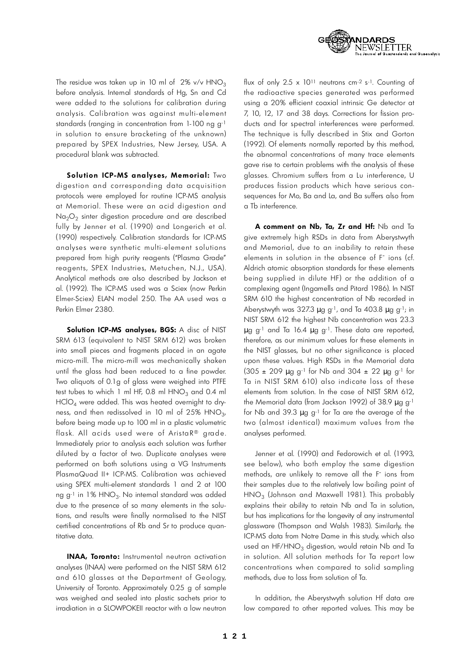

The residue was taken up in 10 ml of  $2\%$  v/v HNO<sub>3</sub> before analysis. Internal standards of Hg, Sn and Cd were added to the solutions for calibration during analysis. Calibration was against multi-element standards (ranging in concentration from  $1-100$  ng g<sup>-1</sup> in solution to ensure bracketing of the unknown) prepared by SPEX Industries, New Jersey, USA. A procedural blank was subtracted.

**Solution ICP-MS analyses, Memorial:** Two digestion and corresponding data acquisition protocols were employed for routine ICP-MS analysis at Memorial. These were an acid digestion and Na $_{2} \mathrm{O}_{2}$  sinter digestion procedure and are described fully by Jenner et al. ( 1990) and Longerich et al. (1990) respectively. Calibration standards for ICP-MS analyses were synthetic multi-element solutions prepared from high purity reagents ("Plasma Grade" reagents, SPEX Industries, Metuchen, N.J., USA). Analytical methods are also described by Jackson et al. (1992). The ICP-MS used was a Sciex (now Perkin Elmer-Sciex) ELAN model 250. The AA used was a Perkin Elmer 2380.

**Solution ICP-MS analyses, BGS:** A disc of NIST SRM 613 (equivalent to NIST SRM 612) was broken into small pieces and fragments placed in an agate micro-mill. The micro-mill was mechanically shaken until the glass had been reduced to a fine powder. Two aliquots of 0.1g of glass were weighed into PTFE test tubes to which 1 ml HF, 0.8 ml  $HNO<sub>3</sub>$  and 0.4 ml  $HClO<sub>4</sub>$  were added. This was heated overnight to dryness, and then redissolved in 10 ml of 25%  $HNO<sub>3</sub>$ , , before being made up to 100 ml in a plastic volumetric flask. All acids used were of AristaR<sup>®</sup> grade. Immediately prior to analysis each solution was further diluted by a factor of two. Duplicate analyses were performed on both solutions using a VG Instruments PlasmaQuad II+ ICP-MS. Calibration was achieved using SPEX multi-element standards 1 and 2 at 100 ng g<sup>-1</sup> in 1% HNO $_3$ . No internal standard was added due to the presence of so many elements in the solutions, and results were finally normalised to the NIST certified concentrations of Rb and Sr to produce quantitative data.

**INAA, Toronto:** Instrumental neutron activation analyses (INAA) were performed on the NIST SRM 612 and 610 glasses at the Department of Geology, University of Toronto. Approximately 0.25 g of sample was weighed and sealed into plastic sachets prior to irradiation in a SLOWPOKEII reactor with a low neutron

flux of only 2.5 x 1011 neutrons cm-2 s-1. Counting of the radioactive species generated was performed using a 20% efficient coaxial intrinsic Ge detector at 7, 10, 12, 17 and 38 days. Corrections for fission products and for spectral interferences were performed. The technique is fully described in Stix and Gorton (1992). Of elements normally reported by this method, the abnormal concentrations of many trace elements g ave rise to certain problems with the analysis of these glasses. Chromium suffers from a Lu interference, U produces fission products which have serious consequences for Mo, Ba and La, and Ba suffers also from a Tb interference.

**A comment on Nb, Ta, Zr and Hf:** Nb and Ta give extremely high RSDs in data from Aberystwyth and Memorial, due to an inability to retain these elements in solution in the absence of F<sup>-</sup> ions (cf. Aldrich atomic absorption standards for these elements being supplied in dilute HF) or the addition of a complexing agent (Ingamells and Pitard 1986). In NIST SRM 610 the highest concentration of Nb recorded in Aberystwyth was  $327.3 \mu$  g g<sup>-1</sup>, and Ta 403.8  $\mu$  g g<sup>-1</sup>; in NIST SRM 612 the highest Nb concentration was 23.3  $\mu$  g g<sup>-1</sup> and Ta 16.4  $\mu$  g g<sup>-1</sup>. These data are reported, therefore, as our minimum values for these elements in the NIST glasses, but no other significance is placed upon these values. High RSDs in the Memorial data  $(305 \pm 209 \mu g g^{-1}$  for Nb and  $304 \pm 22 \mu g g^{-1}$  for Ta in NIST SRM 610) also indicate loss of these elements from solution. In the case of NIST SRM 612, the Memorial data (from Jackson 1992) of 38.9  $\mu$  g g<sup>-1</sup> for Nb and 39.3  $\mu$  g g<sup>-1</sup> for Ta are the average of the two (almost identical) maximum values from the analyses performed.

Jenner et al. (1990) and Fedorowich et al. (1993, see below), who both employ the same digestion methods, are unlikely to remove all the F<sup>-</sup> ions from their samples due to the relatively low boiling point of  $\mathsf{HNO}_3$  (Johnson and Maxwell 1981). This probably explains their ability to retain Nb and Ta in solution, but has implications for the longevity of any instrumental glassware (Thompson and Walsh 1983). Similarly, the ICP-MS data from Notre Dame in this study, which also used an HF/HNO<sub>3</sub> digestion, would retain Nb and Ta in solution. All solution methods for Ta report low concentrations when compared to solid sampling methods, due to loss from solution of Ta.

In addition, the Aberystwyth solution Hf data are low compared to other reported values. This may be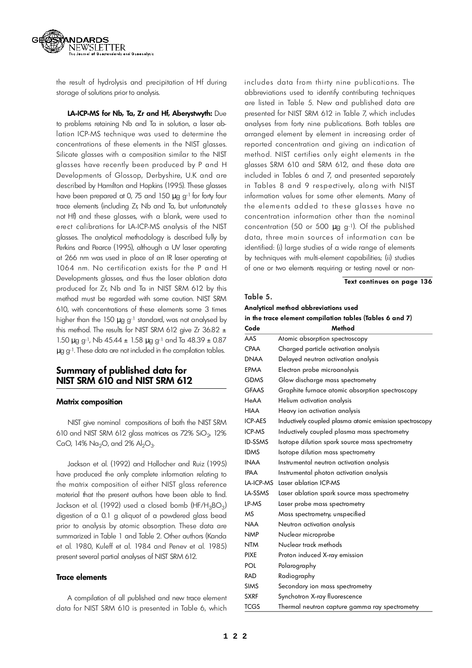

the result of hydrolysis and precipitation of Hf during storage of solutions prior to analysis.

LA-ICP-MS for Nb, Ta, Zr and Hf, Aberystwyth: Due to problems retaining Nb and Ta in solution, a laser ablation ICP-MS technique was used to determine the concentrations of these elements in the NIST glasses. Silicate glasses with a composition similar to the NIST glasses have recently been produced by P and H Developments of Glossop, Derbyshire, U.K and are described by Hamilton and Hopkins (1995). These glasses have been prepared at 0, 75 and 150  $\mu$  g g-1 for forty four trace elements (including Zr, Nb and Ta, but unfortunately not Ht) and these glasses, with a blank, were used to erect calibrations for LA-ICP-MS analysis of the NIST glasses. The analytical methodology is described fully by Perkins and Pearce (1995), although a UV laser operating at 266 nm was used in place of an IR laser operating at 1064 nm. No certification exists for the P and H Developments glasses, and thus the laser ablation data produced for Zr, Nb and Ta in NIST SRM 612 by this method must be regarded with some caution. NIST SRM 610, with concentrations of these elements some 3 times higher than the 150  $\mu$  g g<sup>-1</sup> standard, was not analysed by this method. The results for NIST SRM 612 give Zr 36.82  $\pm$  $1.50 \mu$  g g<sup>-1</sup>, Nb 45.44  $\pm 1.58 \mu$  g g<sup>-1</sup> and Ta 48.39  $\pm 0.87$  $\mu$  g g<sup>-1</sup>. These data are not included in the compilation tables.

### **Summary of published data for N I ST SRM 610 and NIST SRM 612**

### **Matrix composition**

NIST give nominal compositions of both the NIST SRM 610 and NIST SRM 612 glass matrices as 72% SiO $_{\rm 2^{\prime}}$  12% CaO, 14% Na<sub>2</sub>O, and 2% Al<sub>2</sub>O<sub>3</sub>. .

Jackson et al. (1992) and Hollocher and Ruiz (1995) have produced the only complete information relating to the matrix composition of either NIST glass reference material that the present authors have been able to find. Jackson et al. (1992) used a closed bomb (HF/H $_3$ BO $_3$ ) digestion of a 0.1 g aliquot of a powdered glass bead prior to analysis by atomic absorption. These data are summarized in Table 1 and Table 2. Other authors (Kanda et al. 1980, Kuleff et al. 1984 and Penev et al. 1985) present several partial analyses of NIST SRM 612.

### **Trace elements**

A compilation of all published and new trace element data for NIST SRM 610 is presented in Table 6, which includes data from thirty nine publications. The abbreviations used to identify contributing techniques are listed in Table 5. New and published data are presented for NIST SRM 612 in Table 7, which includes analyses from forty nine publications. Both tables are arranged element by element in increasing order of reported concentration and giving an indication of method. NIST certifies only eight elements in the glasses SRM 610 and SRM 612, and these data are included in Tables 6 and 7, and presented separately in Tables 8 and 9 respectively, along with NIST information values for some other elements. Many of the elements added to these glasses have no concentration information other than the nominal concentration (50 or 500  $\mu$  g g-1). Of the published data, three main sources of information can be identified: (i) large studies of a wide range of elements by techniques with multi-element capabilities; (ii) studies of one or two elements requiring or testing novel or non-

### **Text continues on page 136**

### Table 5.

| Analytical method abbreviations used                          |  |
|---------------------------------------------------------------|--|
| in the trace element compilation tables (Tables 6 and 7) $\,$ |  |

| Code           | Method                                                  |
|----------------|---------------------------------------------------------|
| AAS            | Atomic absorption spectroscopy                          |
| <b>CPAA</b>    | Charged particle activation analysis                    |
| <b>DNAA</b>    | Delayed neutron activation analysis                     |
| EPMA           | Electron probe microanalysis                            |
| <b>GDMS</b>    | Glow discharge mass spectrometry                        |
| <b>GFAAS</b>   | Graphite furnace atomic absorption spectroscopy         |
| HeAA           | Helium activation analysis                              |
| HIAA           | Heavy ion activation analysis                           |
| <b>ICP-AES</b> | Inductively coupled plasma atomic emission spectroscopy |
| ICP-MS         | Inductively coupled plasma mass spectrometry            |
| <b>ID-SSMS</b> | Isotope dilution spark source mass spectrometry         |
| <b>IDMS</b>    | Isotope dilution mass spectrometry                      |
| <b>INAA</b>    | Instrumental neutron activation analysis                |
| <b>IPAA</b>    | Instrumental photon activation analysis                 |
| LA-ICP-MS      | Laser ablation ICP-MS                                   |
| LA-SSMS        | Laser ablation spark source mass spectrometry           |
| LP-MS          | Laser probe mass spectrometry                           |
| MS             | Mass spectrometry, unspecified                          |
| <b>NAA</b>     | Neutron activation analysis                             |
| <b>NMP</b>     | Nuclear microprobe                                      |
| <b>NTM</b>     | Nuclear track methods                                   |
| <b>PIXE</b>    | Proton induced X-ray emission                           |
| POL            | Polarography                                            |
| <b>RAD</b>     | Radiography                                             |
| <b>SIMS</b>    | Secondary ion mass spectrometry                         |
| <b>SXRF</b>    | Synchotron X-ray fluorescence                           |
| <b>TCGS</b>    | Thermal neutron capture gamma ray spectrometry          |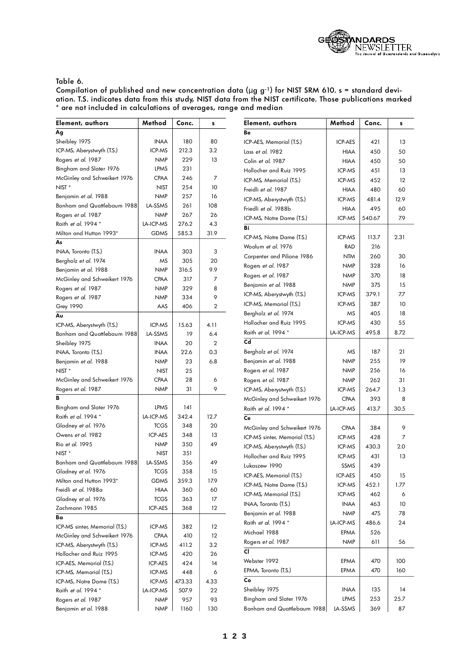

### Table 6.

| Element, authors               | Method         | Conc.  | s              | Element, authors               | Method           | Conc.  | s    |
|--------------------------------|----------------|--------|----------------|--------------------------------|------------------|--------|------|
| Ag                             |                |        |                | Be                             |                  |        |      |
| Sheibley 1975                  | <b>INAA</b>    | 180    | 80             | ICP-AES, Memorial (T.S.)       | ICP-AES          | 421    | 13   |
| ICP-MS, Aberystwyth (T.S.)     | ICP-MS         | 212.3  | 3.2            | Lass et al. 1982               | <b>HIAA</b>      | 450    | 50   |
| Rogers et al. 1987             | <b>NMP</b>     | 229    | 13             | Colin et al. 1987              | <b>HIAA</b>      | 450    | 50   |
| Bingham and Slater 1976        | <b>LPMS</b>    | 231    |                | Hollocher and Ruiz 1995        | ICP-MS           | 451    | 13   |
| McGinley and Schweikert 1976   | CPAA           | 246    | $\overline{7}$ | ICP-MS, Memorial (T.S.)        | ICP-MS           | 452    | 12   |
| NIST <sup>*</sup>              | <b>NIST</b>    | 254    | 10             | Freidli et al. 1987            | <b>HIAA</b>      | 480    | 60   |
| Benjamin et al. 1988           | <b>NMP</b>     | 257    | 16             | ICP-MS, Aberystwyth (T.S.)     | ICP-MS           | 481.4  | 12.9 |
| Bonham and Quattlebaum 1988    | LA-SSMS        | 261    | 108            | Friedli et al. 1988b           | <b>HIAA</b>      | 495    | 60   |
| Rogers et al. 1987             | <b>NMP</b>     | 267    | 26             | ICP-MS, Notre Dame (T.S.)      | ICP-MS           | 540.67 | 7.9  |
| Raith et al. 1994 *            | LA-ICP-MS      | 276.2  | 4.3            | Bi                             |                  |        |      |
| Milton and Hutton 1993*        | <b>GDMS</b>    | 585.3  | 31.9           |                                |                  |        |      |
| As                             |                |        |                | ICP-MS, Notre Dame (T.S.)      | ICP-MS           | 113.7  | 2.31 |
| INAA, Toronto (T.S.)           | <b>INAA</b>    | 303    | 3              | Woolum et al. 1976             | <b>RAD</b>       | 216    |      |
| Bergholz et al. 1974           | MS             | 305    | 20             | Carpenter and Pilione 1986     | <b>NTM</b>       | 260    | 30   |
| Benjamin et al. 1988           | <b>NMP</b>     | 316.5  | 9.9            | Rogers et al. 1987             | <b>NMP</b>       | 328    | 16   |
| McGinley and Schweikert 1976   | <b>CPAA</b>    | 317    | 7              | Rogers et al. 1987             | <b>NMP</b>       | 370    | 18   |
| Rogers <i>et al.</i> 1987      | <b>NMP</b>     | 329    | 8              | Benjamin et al. 1988           | <b>NMP</b>       | 375    | 15   |
| Rogers <i>et al.</i> 1987      | <b>NMP</b>     | 334    | 9              | ICP-MS, Aberystwyth (T.S.)     | ICP-MS           | 379.1  | 7.7  |
| <b>Grey 1990</b>               | AAS            | 406    | $\mathbf{2}$   | ICP-MS, Memorial (T.S.)        | ICP-MS           | 387    | 10   |
| Αu                             |                |        |                | Bergholz et al. 1974           | MS               | 405    | 18   |
| ICP-MS, Aberystwyth (T.S.)     | ICP-MS         | 15.63  | 4.11           | Hollocher and Ruiz 1995        | ICP-MS           | 430    | 55   |
| Bonham and Quattlebaum 1988    | LA-SSMS        | 19     | 6.4            | Raith et al. 1994 *            | LA-ICP-MS        | 495.8  | 8.72 |
| Sheibley 1975                  | <b>INAA</b>    | 20     | $\overline{2}$ | C <sub>d</sub>                 |                  |        |      |
| INAA, Toronto (T.S.)           | <b>INAA</b>    | 22.6   | 0.3            | Bergholz et al. 1974           | MS               | 187    | 21   |
| Benjamin <i>et al</i> . 1988   | <b>NMP</b>     | 23     | 6.8            | Benjamin et al. 1988           | <b>NMP</b>       | 255    | 19   |
| NIST <sup>*</sup>              | <b>NIST</b>    | 25     |                | Rogers et al. 1987             | <b>NMP</b>       | 256    | 16   |
| McGinley and Schweikert 1976   | <b>CPAA</b>    | 28     | 6              | Rogers et al. 1987             | <b>NMP</b>       | 262    | 31   |
| Rogers et al. 1987             | <b>NMP</b>     | 31     | 9              | ICP-MS, Aberystwyth (T.S.)     | ICP-MS           | 264.7  | 1.3  |
|                                |                |        |                | McGinley and Schweikert 1976   | <b>CPAA</b>      | 393    | 8    |
| Bingham and Slater 1976        | <b>LPMS</b>    | 141    |                | Raith et al. 1994 *            | LA-ICP-MS        | 413.7  | 30.5 |
| Raith et al. 1994 *            | LA-ICP-MS      | 342.4  | 12.7           | Ce                             |                  |        |      |
| Gladney et al. 1976            | <b>TCGS</b>    | 348    | 20             | McGinley and Schweikert 1976   | <b>CPAA</b>      | 384    | 9    |
| Owens et al. 1982              | <b>ICP-AES</b> | 348    | 13             | ICP-MS sinter, Memorial (T.S.) | ICP-MS           | 428    | 7    |
| Rio et al. 1995                | <b>NMP</b>     | 350    | 49             | ICP-MS, Aberystwyth (T.S.)     | ICP-MS           | 430.3  | 2.0  |
| NIST <sup>*</sup>              | <b>NIST</b>    | 351    |                | Hollocher and Ruiz 1995        | ICP-MS           | 431    | 13   |
| Bonham and Quattlebaum 1988    | LA-SSMS        | 356    | 49             | Lukaszew 1990                  |                  | 439    |      |
| Gladney et al. 1976            | <b>TCGS</b>    | 358    | 15             |                                | SSMS             |        |      |
| Milton and Hutton 1993*        | <b>GDMS</b>    | 359.3  | 17.9           | ICP-AES, Memorial (T.S.)       | ICP-AES          | 450    | 15   |
| Freidli <i>et al.</i> 1988a    | <b>HIAA</b>    | 360    | 60             | ICP-MS, Notre Dame (T.S.)      | ICP-MS           | 452.1  | 1.77 |
| Gladney et al. 1976            | <b>TCGS</b>    | 363    | 17             | ICP-MS, Memorial (T.S.)        | ICP-MS           | 462    | 6    |
| Zachmann 1985                  | ICP-AES        | 368    | $12 \,$        | INAA, Toronto (T.S.)           | <b>INAA</b>      | 463    | 10   |
| Ba                             |                |        |                | Benjamin et al. 1988           | <b>NMP</b>       | 475    | 78   |
| ICP-MS sinter, Memorial (T.S.) | ICP-MS         | 382    | 12             | Raith et al. 1994 *            | <b>LA-ICP-MS</b> | 486.6  | 24   |
| McGinley and Schweikert 1976   | <b>CPAA</b>    | 410    | 12             | Michael 1988                   | EPMA             | 526    |      |
| ICP-MS, Aberystwyth (T.S.)     | ICP-MS         | 411.2  | 3.2            | Rogers et al. 1987             | <b>NMP</b>       | 611    | 56   |
| Hollocher and Ruiz 1995        | ICP-MS         | 420    | 26             | CI                             |                  |        |      |
| ICP-AES, Memorial (T.S.)       | ICP-AES        | 424    | 14             | Webster 1992                   | EPMA             | 470    | 100  |
| ICP-MS, Memorial (T.S.)        | ICP-MS         | 448    | 6              | EPMA, Toronto (T.S.)           | EPMA             | 470    | 160  |
| ICP-MS, Notre Dame (T.S.)      | ICP-MS         | 473.33 | 4.33           | Co                             |                  |        |      |
| Raith et al. 1994 *            | LA-ICP-MS      | 507.9  | 22             | Sheibley 1975                  | <b>INAA</b>      | 135    | 14   |
| Rogers et al. 1987             | <b>NMP</b>     | 957    | 93             | Bingham and Slater 1976        | LPMS             | 253    | 25.7 |
| Benjamin et al. 1988           | <b>NMP</b>     | 1160   | 130            | Bonham and Quattlebaum 1988    | LA-SSMS          | 369    | 87   |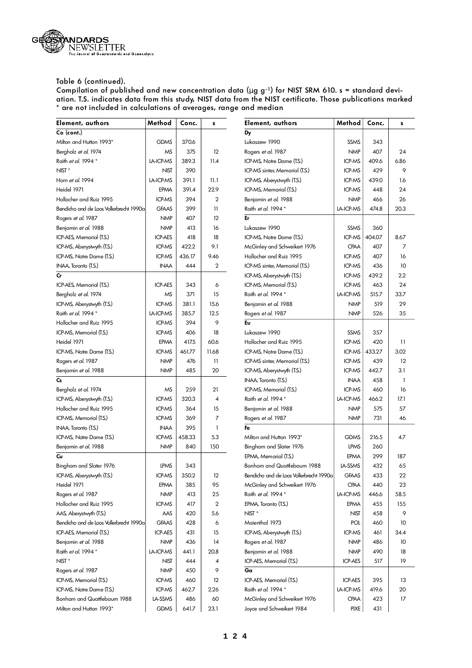

| Element, authors                        | Method         | Conc.  | s              | Element, authors                        | Method           | Conc.  | s       |
|-----------------------------------------|----------------|--------|----------------|-----------------------------------------|------------------|--------|---------|
| Co (cont.)                              |                |        |                | Dy                                      |                  |        |         |
| Milton and Hutton 1993*                 | <b>GDMS</b>    | 370.6  |                | Lukaszew 1990                           | <b>SSMS</b>      | 343    |         |
| Bergholz et al. 1974                    | MS             | 375    | 12             | Rogers et al. 1987                      | <b>NMP</b>       | 407    | 24      |
| Raith et al. 1994 *                     | LA-ICP-MS      | 389.3  | 11.4           | ICP-MS, Notre Dame (T.S.)               | ICP-MS           | 409.6  | 6.86    |
| NIST <sup>*</sup>                       | <b>NIST</b>    | 390    |                | ICP-MS sinter, Memorial (T.S.)          | ICP-MS           | 429    | 9       |
| Horn et al. 1994                        | LA-ICP-MS      | 391.1  | 11.1           | ICP-MS, Aberystwyth (T.S.)              | ICP-MS           | 439.0  | 1.6     |
| Heidel 1971                             | EPMA           | 391.4  | 22.9           | ICP-MS, Memorial (T.S.)                 | ICP-MS           | 448    | 24      |
| Hollocher and Ruiz 1995                 | ICP-MS         | 394    | $\overline{2}$ | Benjamin et al. 1988                    | <b>NMP</b>       | 466    | 26      |
| Bendicho and de Loos Vollerbrecht 1990a | <b>GFAAS</b>   | 399    | $\mathbf{1}$   | Raith et al. 1994 *                     | LA-ICP-MS        | 474.8  | 20.3    |
| Rogers et al. 1987                      | <b>NMP</b>     | 407    | 12             | Er                                      |                  |        |         |
| Benjamin et al. 1988                    | <b>NMP</b>     | 413    | 16             | Lukaszew 1990                           | SSMS             | 360    |         |
| ICP-AES, Memorial (T.S.)                | ICP-AES        | 418    | 18             | ICP-MS, Notre Dame (T.S.)               | ICP-MS           | 404.07 | 8.67    |
| ICP-MS, Aberystwyth (T.S.)              | ICP-MS         | 422.2  | 9.1            | McGinley and Schweikert 1976            | <b>CPAA</b>      | 407    | 7       |
| ICP-MS, Notre Dame (T.S.)               | ICP-MS         | 436.17 | 9.46           | Hollocher and Ruiz 1995                 | ICP-MS           | 407    | 16      |
| INAA, Toronto (T.S.)                    | <b>INAA</b>    | 444    | 2              | ICP-MS sinter, Memorial (T.S.)          | ICP-MS           | 436    | 10      |
| <b>Cr</b>                               |                |        |                | ICP-MS, Aberystwyth (T.S.)              | ICP-MS           | 439.2  | $2.2\,$ |
| ICP-AES, Memorial (T.S.)                | <b>ICP-AES</b> | 343    | 6              | ICP-MS, Memorial (T.S.)                 | ICP-MS           | 463    | 24      |
| Bergholz et al. 1974                    | ΜS             | 371    | 15             | Raith et al. 1994 *                     | <b>LA-ICP-MS</b> | 515.7  | 33.7    |
| ICP-MS, Aberystwyth (T.S.)              | ICP-MS         | 381.1  | 15.6           | Benjamin et al. 1988                    | <b>NMP</b>       | 519    | 29      |
| Raith et al. 1994 *                     | LA-ICP-MS      | 385.7  | 12.5           | Rogers et al. 1987                      | <b>NMP</b>       | 526    | 35      |
| Hollocher and Ruiz 1995                 | ICP-MS         | 394    | 9              | Eu                                      |                  |        |         |
| ICP-MS, Memorial (T.S.)                 | ICP-MS         | 406    | 18             | Lukaszew 1990                           | SSMS             | 357    |         |
| Heidel 1971                             | EPMA           | 417.5  | 60.6           | Hollocher and Ruiz 1995                 | ICP-MS           | 420    | 11      |
| ICP-MS, Notre Dame (T.S.)               | ICP-MS         | 461.77 | 11.68          | ICP-MS, Notre Dame (T.S.)               | ICP-MS           | 433.27 | 3.02    |
| Rogers et al. 1987                      | <b>NMP</b>     | 476    | $\mathbf{1}$   | ICP-MS sinter, Memorial (T.S.)          | ICP-MS           | 439    | 12      |
| Benjamin et al. 1988                    | <b>NMP</b>     | 485    | 20             | ICP-MS, Aberystwyth (T.S.)              | ICP-MS           | 442.7  | 3.1     |
| $\mathsf{Cs}$                           |                |        |                | INAA, Toronto (T.S.)                    | <b>INAA</b>      | 458    | 1       |
| Bergholz et al. 1974                    | ΜS             | 259    | 21             | ICP-MS, Memorial (T.S.)                 | ICP-MS           | 460    | 16      |
| ICP-MS, Aberystwyth (T.S.)              | ICP-MS         | 320.3  | 4              | Raith et al. 1994 *                     | <b>LA-ICP-MS</b> | 466.2  | 17.1    |
| Hollocher and Ruiz 1995                 | ICP-MS         | 364    | 15             | Benjamin et al. 1988                    | <b>NMP</b>       | 575    | 57      |
| ICP-MS, Memorial (T.S.)                 | ICP-MS         | 369    | 7              | Rogers et al. 1987                      | <b>NMP</b>       | 731    | 46      |
| INAA, Toronto (T.S.)                    | <b>INAA</b>    | 395    | $\mathbf{1}$   | Fe                                      |                  |        |         |
| ICP-MS, Notre Dame (T.S.)               | ICP-MS         | 458.33 | 5.3            | Milton and Hutton 1993*                 | <b>GDMS</b>      | 216.5  | 4.7     |
| Benjamin et al. 1988                    | <b>NMP</b>     | 840    | 150            | Bingham and Slater 1976                 | <b>LPMS</b>      | 260    |         |
| Cυ                                      |                |        |                | EPMA, Memorial (T.S.)                   | EPMA             | 299    | 187     |
| Bingham and Slater 1976                 | <b>LPMS</b>    | 343    |                | Bonham and Quattlebaum 1988             | <b>LA-SSMS</b>   | 432    | 65      |
| ICP-MS, Aberystwyth (T.S.)              | ICP-MS         | 350.2  | 12             | Bendicho and de Loos Vollerbrecht 1990a | <b>GFAAS</b>     | 433    | 22      |
| Heidel 1971                             | EPMA           | 385    | 95             | McGinley and Schweikert 1976            | <b>CPAA</b>      | 440    | 23      |
| Rogers et al. 1987                      | <b>NMP</b>     | 413    | 25             | Raith et al. 1994 *                     | LA-ICP-MS        | 446.6  | 58.5    |
| Hollocher and Ruiz 1995                 | ICP-MS         | 417    | $\overline{2}$ | EPMA, Toronto (T.S.)                    | EPMA             | 455    | 155     |
| AAS, Aberystwyth (T.S.)                 | AAS            | 420    | 5.6            | NIST <sup>*</sup>                       | NIST             | 458    | 9       |
| Bendicho and de Loos Vollerbrecht 1990a | <b>GFAAS</b>   | 428    | 6              | Maienthal 1973                          | POL              | 460    | 10      |
| ICP-AES, Memorial (T.S.)                | ICP-AES        | 431    | 15             | ICP-MS, Aberystwyth (T.S.)              | ICP-MS           | 461    | 34.4    |
| Benjamin et al. 1988                    | <b>NMP</b>     | 436    | 14             | Rogers et al. 1987                      | <b>NMP</b>       | 486    | 10      |
| Raith et al. 1994 *                     | LA-ICP-MS      | 441.1  | 20.8           | Benjamin et al. 1988                    | <b>NMP</b>       | 490    |         |
|                                         |                |        |                |                                         | <b>ICP-AES</b>   |        | 18      |
| NIST <sup>*</sup>                       | NIST           | 444    | 4              | ICP-AES, Memorial (T.S.)                |                  | 517    | 19      |
| Rogers et al. 1987                      | <b>NMP</b>     | 450    | 9              | Ga                                      |                  |        |         |
| ICP-MS, Memorial (T.S.)                 | ICP-MS         | 460    | 12             | ICP-AES, Memorial (T.S.)                | <b>ICP-AES</b>   | 395    | 13      |
| ICP-MS, Notre Dame (T.S.)               | ICP-MS         | 462.7  | 2.26           | Raith et al. 1994 *                     | LA-ICP-MS        | 419.6  | 20      |
| Bonham and Quattlebaum 1988             | LA-SSMS        | 486    | 60             | McGinley and Schweikert 1976            | <b>CPAA</b>      | 423    | 17      |
| Milton and Hutton 1993*                 | <b>GDMS</b>    | 641.7  | 23.1           | Joyce and Schweikert 1984               | <b>PIXE</b>      | 431    |         |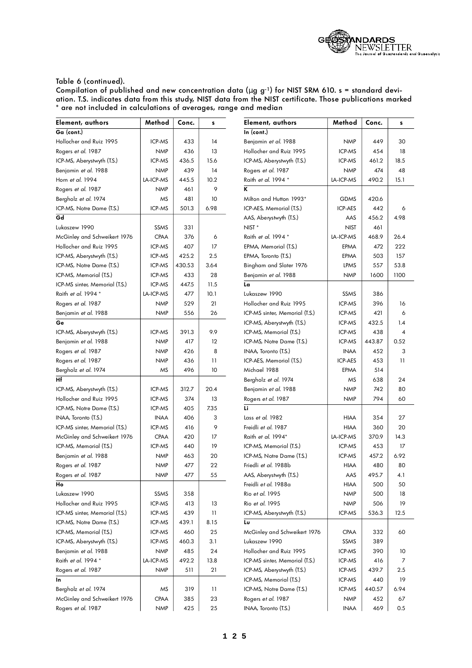

| Element, authors               | Method      | Conc.  | s               | Element, authors               | Method         | Conc.  | s    |
|--------------------------------|-------------|--------|-----------------|--------------------------------|----------------|--------|------|
| Ga (cont.)                     |             |        |                 | In (cont.)                     |                |        |      |
| Hollocher and Ruiz 1995        | ICP-MS      | 433    | 14              | Benjamin et al. 1988           | <b>NMP</b>     | 449    | 30   |
| Rogers et al. 1987             | <b>NMP</b>  | 436    | 13              | Hollocher and Ruiz 1995        | ICP-MS         | 454    | 18   |
| ICP-MS, Aberystwyth (T.S.)     | ICP-MS      | 436.5  | 15.6            | ICP-MS, Aberystwyth (T.S.)     | ICP-MS         | 461.2  | 18.5 |
| Benjamin et al. 1988           | <b>NMP</b>  | 439    | 14              | Rogers et al. 1987             | <b>NMP</b>     | 474    | 48   |
| Horn et al. 1994               | LA-ICP-MS   | 445.5  | 10.2            | Raith et al. 1994 *            | LA-ICP-MS      | 490.2  | 15.1 |
| Rogers et al. 1987             | <b>NMP</b>  | 461    | 9               | ĸ                              |                |        |      |
| Bergholz et al. 1974           | MS          | 481    | 10              | Milton and Hutton 1993*        | <b>GDMS</b>    | 420.6  |      |
| ICP-MS, Notre Dame (T.S.)      | ICP-MS      | 501.3  | 6.98            | ICP-AES, Memorial (T.S.)       | <b>ICP-AES</b> | 442    | 6    |
| Gd                             |             |        |                 | AAS, Aberystwyth (T.S.)        | AAS            | 456.2  | 4.98 |
| Lukaszew 1990                  | SSMS        | 331    |                 | NIST <sup>*</sup>              | <b>NIST</b>    | 461    |      |
| McGinley and Schweikert 1976   | <b>CPAA</b> | 376    | 6               | Raith <i>et al.</i> 1994 *     | LA-ICP-MS      | 468.9  | 26.4 |
| Hollocher and Ruiz 1995        | ICP-MS      | 407    | 17              | EPMA, Memorial (T.S.)          | EPMA           | 472    | 222  |
| ICP-MS, Aberystwyth (T.S.)     | ICP-MS      | 425.2  | 2.5             | EPMA, Toronto (T.S.)           | EPMA           | 503    | 157  |
| ICP-MS, Notre Dame (T.S.)      | ICP-MS      | 430.53 | 3.64            | Bingham and Slater 1976        | LPMS           | 557    | 53.8 |
| ICP-MS, Memorial (T.S.)        | ICP-MS      | 433    | 28              | Benjamin et al. 1988           | <b>NMP</b>     | 1600   | 1100 |
| ICP-MS sinter, Memorial (T.S.) | ICP-MS      | 447.5  | 11.5            | La                             |                |        |      |
| Raith et al. 1994 *            | LA-ICP-MS   | 477    | 10.1            | Lukaszew 1990                  | SSMS           | 386    |      |
| Rogers et al. 1987             | <b>NMP</b>  | 529    | 21              | Hollocher and Ruiz 1995        | ICP-MS         | 396    | 16   |
| Benjamin <i>et al</i> . 1988   | <b>NMP</b>  | 556    | 26              | ICP-MS sinter, Memorial (T.S.) | ICP-MS         | 421    | 6    |
| Ge                             |             |        |                 | ICP-MS, Aberystwyth (T.S.)     | ICP-MS         | 432.5  | 1.4  |
| ICP-MS, Aberystwyth (T.S.)     | ICP-MS      | 391.3  | 9.9             | ICP-MS, Memorial (T.S.)        | ICP-MS         | 438    | 4    |
| Benjamin et al. 1988           | <b>NMP</b>  | 417    | $12 \,$         | ICP-MS, Notre Dame (T.S.)      | ICP-MS         | 443.87 | 0.52 |
| Rogers et al. 1987             | <b>NMP</b>  | 426    | 8               | INAA, Toronto (T.S.)           | <b>INAA</b>    | 452    | 3    |
| Rogers et al. 1987             | <b>NMP</b>  | 436    | $\overline{11}$ | ICP-AES, Memorial (T.S.)       | ICP-AES        | 453    | 11   |
| Bergholz <i>et al</i> . 1974   | ΜS          | 496    | 10              | Michael 1988                   | EPMA           | 514    |      |
| Нf                             |             |        |                 | Bergholz et al. 1974           | MS             | 638    | 24   |
| ICP-MS, Aberystwyth (T.S.)     | ICP-MS      | 312.7  | 20.4            | Benjamin et al. 1988           | <b>NMP</b>     | 742    | 80   |
| Hollocher and Ruiz 1995        | ICP-MS      | 374    | 13              | Rogers et al. 1987             | <b>NMP</b>     | 794    | 60   |
| ICP-MS, Notre Dame (T.S.)      | ICP-MS      | 405    | 7.35            | Li                             |                |        |      |
| INAA, Toronto (T.S.)           | <b>INAA</b> | 406    | 3               | Lass et al. 1982               | <b>HIAA</b>    | 354    | 27   |
| ICP-MS sinter, Memorial (T.S.) | ICP-MS      | 416    | 9               | Freidli et al. 1987            | <b>HIAA</b>    | 360    | 20   |
| McGinley and Schweikert 1976   | CPAA        | 420    | 17              | Raith et al. 1994*             | LA-ICP-MS      | 370.9  | 14.3 |
| ICP-MS, Memorial (T.S.)        | ICP-MS      | 440    | 19              | ICP-MS, Memorial (T.S.)        | ICP-MS         | 453    | 17   |
| Benjamin et al. 1988           | <b>NMP</b>  | 463    | 20              | ICP-MS, Notre Dame (T.S.)      | ICP-MS         | 457.2  | 6.92 |
| Rogers <i>et al</i> . 1987     | <b>NMP</b>  | 477    | 22              | Friedli et al. 1988b           | <b>HIAA</b>    | 480    | 80   |
| Rogers et al. 1987             | <b>NMP</b>  | 477    | 55              | AAS, Aberystwyth (T.S.)        | AAS            | 495.7  | 4.1  |
| Ho                             |             |        |                 | Freidli et al. 1988a           | <b>HIAA</b>    | 500    | 50   |
| Lukaszew 1990                  | SSMS        | 358    |                 | Rio et al. 1995                | <b>NMP</b>     | 500    | 18   |
| Hollocher and Ruiz 1995        | ICP-MS      | 413    | 13              | Rio et al. 1995                | <b>NMP</b>     | 506    | 19   |
| ICP-MS sinter, Memorial (T.S.) | ICP-MS      | 439    | $\overline{11}$ | ICP-MS, Aberystwyth (T.S.)     | ICP-MS         | 536.3  | 12.5 |
| ICP-MS, Notre Dame (T.S.)      | ICP-MS      | 439.1  | 8.15            | Lu                             |                |        |      |
| ICP-MS, Memorial (T.S.)        | ICP-MS      | 460    | 25              | McGinley and Schweikert 1976   | <b>CPAA</b>    | 332    | 60   |
| ICP-MS, Aberystwyth (T.S.)     | ICP-MS      | 460.3  | 3.1             | Lukaszew 1990                  | SSMS           | 389    |      |
| Benjamin et al. 1988           | <b>NMP</b>  | 485    | 24              | Hollocher and Ruiz 1995        | ICP-MS         | 390    | 10   |
| Raith et al. 1994 *            | LA-ICP-MS   | 492.2  | 13.8            | ICP-MS sinter, Memorial (T.S.) | ICP-MS         | 416    | 7    |
| Rogers et al. 1987             | <b>NMP</b>  | 511    | 21              | ICP-MS, Aberystwyth (T.S.)     | ICP-MS         | 439.7  | 2.5  |
| ln.                            |             |        |                 | ICP-MS, Memorial (T.S.)        | ICP-MS         | 440    | 19   |
| Bergholz et al. 1974           | ΜS          | 319    | 11              | ICP-MS, Notre Dame (T.S.)      | ICP-MS         | 440.57 | 6.94 |
| McGinley and Schweikert 1976   | <b>CPAA</b> | 385    | 23              | Rogers et al. 1987             | <b>NMP</b>     | 452    | 67   |
| Rogers et al. 1987             | <b>NMP</b>  | 425    | 25              | INAA, Toronto (T.S.)           | <b>INAA</b>    | 469    | 0.5  |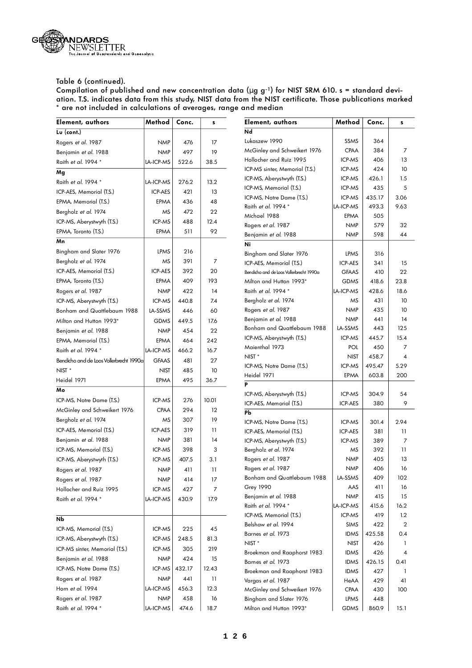

| Element, authors                        | Method       | Conc.  | s              | Element, authors                                | Method         | Conc.      | s         |
|-----------------------------------------|--------------|--------|----------------|-------------------------------------------------|----------------|------------|-----------|
| Lu (cont.)                              |              |        |                | Nd                                              |                |            |           |
| Rogers et al. 1987                      | <b>NMP</b>   | 476    | 17             | Lukaszew 1990                                   | SSMS           | 364        |           |
| Benjamin et al. 1988                    | <b>NMP</b>   | 497    | 19             | McGinley and Schweikert 1976                    | <b>CPAA</b>    | 384        | 7         |
| Raith et al. 1994 *                     | LA-ICP-MS    | 522.6  | 38.5           | Hollocher and Ruiz 1995                         | ICP-MS         | 406        | 13        |
| Mg                                      |              |        |                | ICP-MS sinter, Memorial (T.S.)                  | ICP-MS         | 424        | 10        |
| Raith et al. 1994 *                     | LA-ICP-MS    | 276.2  | 13.2           | ICP-MS, Aberystwyth (T.S.)                      | ICP-MS         | 426.1      | 1.5       |
| ICP-AES, Memorial (T.S.)                | ICP-AES      | 421    | 13             | ICP-MS, Memorial (T.S.)                         | ICP-MS         | 435        | 5         |
| EPMA, Memorial (T.S.)                   | EPMA         | 436    | 48             | ICP-MS, Notre Dame (T.S.)                       | ICP-MS         | 435.17     | 3.06      |
| Bergholz et al. 1974                    | ΜS           | 472    | 22             | Raith et al. 1994 *                             | LA-ICP-MS      | 493.3      | 9.63      |
| ICP-MS, Aberystwyth (T.S.)              | ICP-MS       | 488    | 12.4           | Michael 1988                                    | EPMA           | 505        |           |
| EPMA, Toronto (T.S.)                    | EPMA         | 511    | 92             | Rogers et al. 1987                              | <b>NMP</b>     | 579        | 32        |
| Mn                                      |              |        |                | Benjamin et al. 1988<br>Ni                      | <b>NMP</b>     | 598        | 44        |
| Bingham and Slater 1976                 | LPMS         | 216    |                | Bingham and Slater 1976                         | LPMS           | 316        |           |
| Bergholz et al. 1974                    | ΜS           | 391    | $\overline{7}$ | ICP-AES, Memorial (T.S.)                        | ICP-AES        | 341        | 15        |
| ICP-AES, Memorial (T.S.)                | ICP-AES      | 392    | 20             | Bendicho and de Loos Vollerbrecht 1990a         | <b>GFAAS</b>   | 410        | 22        |
| EPMA, Toronto (T.S.)                    | EPMA         | 409    | 193            | Milton and Hutton 1993*                         | <b>GDMS</b>    | 418.6      | 23.8      |
| Rogers et al. 1987                      | <b>NMP</b>   | 422    | 14             | Raith et al. 1994 *                             | LA-ICP-MS      | 428.6      | 18.6      |
| ICP-MS, Aberystwyth (T.S.)              | ICP-MS       | 440.8  | 7.4            | Bergholz et al. 1974                            | ΜS             | 431        | 10        |
| Bonham and Quattlebaum 1988             | LA-SSMS      | 446    | 60             | Rogers et al. 1987                              | <b>NMP</b>     | 435        | 10        |
| Milton and Hutton 1993*                 | <b>GDMS</b>  | 449.5  | 17.6           | Benjamin et al. 1988                            | <b>NMP</b>     | 441        | 14        |
| Benjamin et al. 1988                    | <b>NMP</b>   | 454    | 22             | Bonham and Quattlebaum 1988                     | LA-SSMS        | 443        | 125       |
| EPMA, Memorial (T.S.)                   | EPMA         | 464    | 242            | ICP-MS, Aberystwyth (T.S.)                      | ICP-MS         | 445.7      | 15.4      |
| Raith et al. 1994 *                     | LA-ICP-MS    | 466.2  | 16.7           | Maienthal 1973                                  | POL            | 450        | 7         |
| Bendicho and de Loos Vollerbrecht 1990a | <b>GFAAS</b> | 481    | 27             | NIST <sup>*</sup>                               | <b>NIST</b>    | 458.7      | 4         |
| NIST <sup>*</sup>                       | <b>NIST</b>  | 485    | 10             | ICP-MS, Notre Dame (T.S.)                       | ICP-MS         | 495.47     | 5.29      |
| Heidel 1971                             |              |        |                | Heidel 1971                                     | EPMA           | 603.8      | 200       |
| Mo                                      | EPMA         | 495    | 36.7           | P                                               |                |            |           |
|                                         | ICP-MS       |        | 10.01          | ICP-MS, Aberystwyth (T.S.)                      | ICP-MS         | 304.9      | 54        |
| ICP-MS, Notre Dame (T.S.)               |              | 276    |                | ICP-AES, Memorial (T.S.)                        | ICP-AES        | 380        | 9         |
| McGinley and Schweikert 1976            | CPAA         | 294    | 12             | Pb                                              |                |            |           |
| Bergholz et al. 1974                    | ΜS           | 307    | 19             | ICP-MS, Notre Dame (T.S.)                       | ICP-MS         | 301.4      | 2.94      |
| ICP-AES, Memorial (T.S.)                | ICP-AES      | 319    | 11             | ICP-AES, Memorial (T.S.)                        | <b>ICP-AES</b> | 381        | 11        |
| Benjamin et al. 1988                    | <b>NMP</b>   | 381    | 14             | ICP-MS, Aberystwyth (T.S.)                      | ICP-MS         | 389        | 7         |
| ICP-MS, Memorial (T.S.)                 | ICP-MS       | 398    | 3              | Bergholz et al. 1974                            | ΜS             | 392        | 11        |
| ICP-MS, Aberystwyth (T.S.)              | ICP-MS       | 407.5  | 3.1            | Rogers et al. 1987                              | <b>NMP</b>     | 405        | 13        |
| Rogers et al. 1987                      | <b>NMP</b>   | 411    | П              | Rogers et al. 1987                              | <b>NMP</b>     | 406        | 16        |
| Rogers et al. 1987                      | <b>NMP</b>   | 414    | 17             | Bonham and Quattlebaum 1988<br><b>Grey 1990</b> | LA-SSMS<br>AAS | 409<br>411 | 102<br>16 |
| Hollocher and Ruiz 1995                 | ICP-MS       | 427    | $\overline{7}$ | Benjamin et al. 1988                            | <b>NMP</b>     | 415        | 15        |
| Raith et al. 1994 *                     | LA-ICP-MS    | 430.9  | 17.9           | Raith et al. 1994 *                             | LA-ICP-MS      | 415.6      | 16.2      |
|                                         |              |        |                | ICP-MS, Memorial (T.S.)                         | ICP-MS         | 419        | 1.2       |
| Nb                                      |              |        |                | Belshaw et al. 1994                             | <b>SIMS</b>    | 422        | 2         |
| ICP-MS, Memorial (T.S.)                 | ICP-MS       | 225    | 45             | Barnes et al. 1973                              | <b>IDMS</b>    | 425.58     | 0.4       |
| ICP-MS, Aberystwyth (T.S.)              | ICP-MS       | 248.5  | 81.3           | NIST <sup>*</sup>                               | <b>NIST</b>    | 426        | -1        |
| ICP-MS sinter, Memorial (T.S.)          | ICP-MS       | 305    | 219            | Broekman and Raaphorst 1983                     | <b>IDMS</b>    | 426        | 4         |
| Benjamin et al. 1988                    | <b>NMP</b>   | 424    | 15             | Barnes et al. 1973                              | <b>IDMS</b>    | 426.15     | 0.41      |
| ICP-MS, Notre Dame (T.S.)               | ICP-MS       | 432.17 | 12.43          | Broekman and Raaphorst 1983                     | <b>IDMS</b>    | 427        | -1        |
| Rogers et al. 1987                      | <b>NMP</b>   | 441    | 11             | Vargas et al. 1987                              | HeAA           | 429        | 41        |
| Horn et al. 1994                        | LA-ICP-MS    | 456.3  | 12.3           | McGinley and Schweikert 1976                    | <b>CPAA</b>    | 430        | 100       |
| Rogers et al. 1987                      | <b>NMP</b>   | 458    | 16             | Bingham and Slater 1976                         | LPMS           | 448        |           |
| Raith et al. 1994 *                     | LA-ICP-MS    | 474.6  | 18.7           | Milton and Hutton 1993*                         | GDMS           | 860.9      | 15.1      |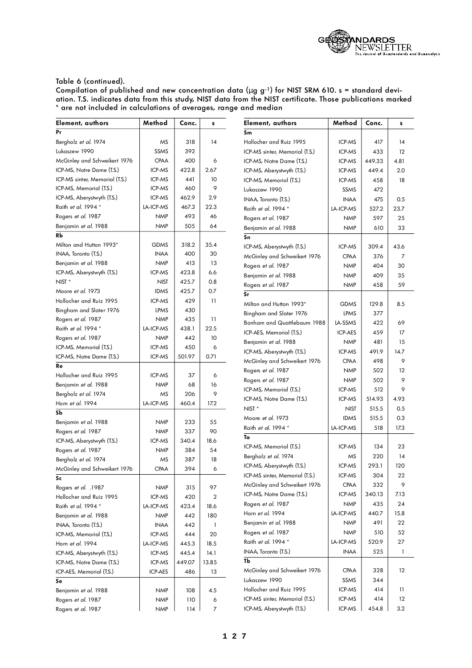

| Element, authors               | Method      | Conc.  | s                | Element, authors               | Method         | Conc.  | s    |
|--------------------------------|-------------|--------|------------------|--------------------------------|----------------|--------|------|
| Pr                             |             |        |                  | Sm                             |                |        |      |
| Bergholz et al. 1974           | MS          | 318    | 14               | Hollocher and Ruiz 1995        | ICP-MS         | 417    | 4    |
| Lukaszew 1990                  | <b>SSMS</b> | 392    |                  | ICP-MS sinter, Memorial (T.S.) | ICP-MS         | 433    | 12   |
| McGinley and Schweikert 1976   | <b>CPAA</b> | 400    | 6                | ICP-MS, Notre Dame (T.S.)      | ICP-MS         | 449.33 | 4.81 |
| ICP-MS, Notre Dame (T.S.)      | ICP-MS      | 422.8  | 2.67             | ICP-MS, Aberystwyth (T.S.)     | ICP-MS         | 449.4  | 2.0  |
| ICP-MS sinter, Memorial (T.S.) | ICP-MS      | 441    | 10               | ICP-MS, Memorial (T.S.)        | ICP-MS         | 458    | 18   |
| ICP-MS, Memorial (T.S.)        | ICP-MS      | 460    | 9                | Lukaszew 1990                  | SSMS           | 472    |      |
| ICP-MS, Aberystwyth (T.S.)     | ICP-MS      | 462.9  | 2.9              | INAA, Toronto (T.S.)           | <b>INAA</b>    | 475    | 0.5  |
| Raith et al. 1994 *            | LA-ICP-MS   | 467.3  | 22.3             | Raith et al. 1994 *            | LA-ICP-MS      | 527.2  | 23.7 |
| Rogers et al. 1987             | <b>NMP</b>  | 493    | 46               | Rogers et al. 1987             | <b>NMP</b>     | 597    | 25   |
| Benjamin et al. 1988           | <b>NMP</b>  | 505    | 64               | Benjamin et al. 1988           | <b>NMP</b>     | 610    | 33   |
| RЬ                             |             |        |                  | Sn                             |                |        |      |
| Milton and Hutton 1993*        | <b>GDMS</b> | 318.2  | 35.4             | ICP-MS, Aberystwyth (T.S.)     | ICP-MS         | 309.4  | 43.6 |
| INAA, Toronto (T.S.)           | <b>INAA</b> | 400    | 30               | McGinley and Schweikert 1976   | <b>CPAA</b>    | 376    | 7    |
| Benjamin et al. 1988           | <b>NMP</b>  | 413    | 13               | Rogers et al. 1987             | <b>NMP</b>     | 404    | 30   |
| ICP-MS, Aberystwyth (T.S.)     | ICP-MS      | 423.8  | 6.6              | Benjamin et al. 1988           | <b>NMP</b>     | 409    | 35   |
| NIST <sup>*</sup>              | <b>NIST</b> | 425.7  | 0.8              |                                |                |        |      |
| Moore et al. 1973              | <b>IDMS</b> | 425.7  | 0.7              | Rogers et al. 1987<br>Sr       | <b>NMP</b>     | 458    | 59   |
| Hollocher and Ruiz 1995        | ICP-MS      | 429    | $\overline{11}$  |                                |                |        |      |
| Bingham and Slater 1976        | LPMS        | 430    |                  | Milton and Hutton 1993*        | <b>GDMS</b>    | 129.8  | 8.5  |
| Rogers et al. 1987             | <b>NMP</b>  | 435    | $\overline{11}$  | Bingham and Slater 1976        | LPMS           | 377    |      |
| Raith et al. 1994 *            | LA-ICP-MS   | 438.1  | 22.5             | Bonham and Quattlebaum 1988    | LA-SSMS        | 422    | 69   |
| Rogers et al. 1987             | <b>NMP</b>  | 442    | 10               | ICP-AES, Memorial (T.S.)       | <b>ICP-AES</b> | 459    | 17   |
| ICP-MS, Memorial (T.S.)        | ICP-MS      | 450    | 6                | Benjamin et al. 1988           | <b>NMP</b>     | 481    | 15   |
| ICP-MS, Notre Dame (T.S.)      | ICP-MS      | 501.97 | 0.71             | ICP-MS, Aberystwyth (T.S.)     | ICP-MS         | 491.9  | 14.7 |
| Re                             |             |        |                  | McGinley and Schweikert 1976   | <b>CPAA</b>    | 498    | 9    |
| Hollocher and Ruiz 1995        | ICP-MS      | 37     | 6                | Rogers et al. 1987             | <b>NMP</b>     | 502    | 12   |
| Benjamin et al. 1988           | <b>NMP</b>  | 68     | 16               | Rogers et al. 1987             | <b>NMP</b>     | 502    | 9    |
| Bergholz et al. 1974           | MS          | 206    | 9                | ICP-MS, Memorial (T.S.)        | ICP-MS         | 512    | 9    |
| Horn et al. 1994               | LA-ICP-MS   | 460.4  | 17.2             | ICP-MS, Notre Dame (T.S.)      | ICP-MS         | 514.93 | 4.93 |
| SЬ                             |             |        |                  | NIST <sup>*</sup>              | <b>NIST</b>    | 515.5  | 0.5  |
| Benjamin <i>et al.</i> 1988    | <b>NMP</b>  | 233    | 55               | Moore et al. 1973              | <b>IDMS</b>    | 515.5  | 0.3  |
| Rogers et al. 1987             | <b>NMP</b>  | 337    | 90               | Raith et al. 1994 *            | LA-ICP-MS      | 518    | 17.3 |
| ICP-MS, Aberystwyth (T.S.)     | ICP-MS      | 340.4  | 18.6             | Ta                             |                |        |      |
| Rogers et al. 1987             | <b>NMP</b>  | 384    | 54               | ICP-MS, Memorial (T.S.)        | ICP-MS         | 134    | 23   |
| Bergholz et al. 1974           | MS          | 387    | 18               | Bergholz et al. 1974           | MS             | 220    | 14   |
| McGinley and Schweikert 1976   | <b>CPAA</b> | 394    | 6                | ICP-MS, Aberystwyth (T.S.)     | ICP-MS         | 293.1  | 120  |
| Sc                             |             |        |                  | ICP-MS sinter, Memorial (T.S.) | ICP-MS         | 304    | 22   |
| Rogers et al. . 1987           | <b>NMP</b>  | 315    | 97               | McGinley and Schweikert 1976   | <b>CPAA</b>    | 332    | 9    |
| Hollocher and Ruiz 1995        | ICP-MS      | 420    | $\overline{2}$   | ICP-MS, Notre Dame (T.S.)      | ICP-MS         | 340.13 | 7.13 |
| Raith et al. 1994 *            | LA-ICP-MS   | 423.4  | 18.6             | Rogers et al. 1987             | <b>NMP</b>     | 435    | 24   |
| Benjamin et al. 1988           | <b>NMP</b>  | 442    | 180              | Horn et al. 1994               | LA-ICP-MS      | 440.7  | 15.8 |
| INAA, Toronto (T.S.)           | <b>INAA</b> | 442    | $\mathbf{I}$     | Benjamin et al. 1988           | <b>NMP</b>     | 491    | 22   |
| ICP-MS, Memorial (T.S.)        | ICP-MS      | 444    | 20               | Rogers et al. 1987             | <b>NMP</b>     | 510    | 52   |
| Horn et al. 1994               | LA-ICP-MS   | 445.3  | 18.5             | Raith et al. 1994 *            | LA-ICP-MS      | 520.9  | 27   |
| ICP-MS, Aberystwyth (T.S.)     | ICP-MS      | 445.4  | 14.1             | INAA, Toronto (T.S.)           | <b>INAA</b>    | 525    | 1    |
| ICP-MS, Notre Dame (T.S.)      | ICP-MS      | 449.07 | 13.85            | Тb                             |                |        |      |
| ICP-AES, Memorial (T.S.)       | ICP-AES     | 486    | 13               | McGinley and Schweikert 1976   | <b>CPAA</b>    | 328    | 12   |
| Se                             |             |        |                  | Lukaszew 1990                  | SSMS           | 344    |      |
| Benjamin et al. 1988           | <b>NMP</b>  | 108    | 4.5              | Hollocher and Ruiz 1995        | ICP-MS         | 414    | 11   |
| Rogers et al. 1987             | <b>NMP</b>  | 110    | 6                | ICP-MS sinter, Memorial (T.S.) | ICP-MS         | 414    | 12   |
| Rogers et al. 1987             | <b>NMP</b>  | 114    | $\boldsymbol{7}$ | ICP-MS, Aberystwyth (T.S.)     | ICP-MS         | 454.8  | 3.2  |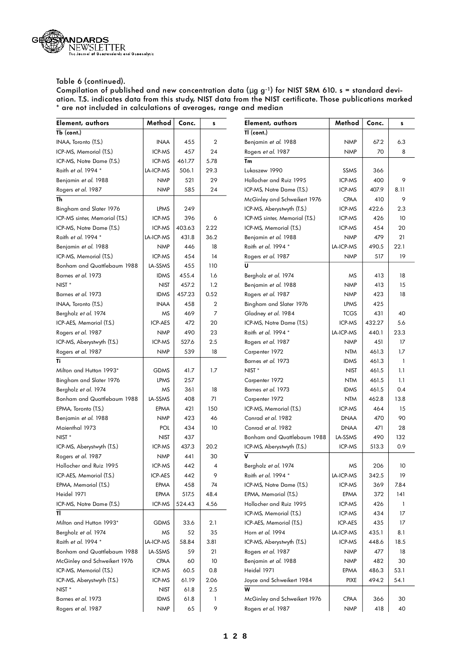

| Element, authors               | Method         | Conc.  | s              | Element, authors               | Method      | Conc.  | s            |
|--------------------------------|----------------|--------|----------------|--------------------------------|-------------|--------|--------------|
| Tb (cont.)                     |                |        |                | TI (cont.)                     |             |        |              |
| INAA, Toronto (T.S.)           | <b>INAA</b>    | 455    | $\overline{2}$ | Benjamin et al. 1988           | <b>NMP</b>  | 67.2   | 6.3          |
| ICP-MS, Memorial (T.S.)        | ICP-MS         | 457    | 24             | Rogers et al. 1987             | <b>NMP</b>  | 70     | 8            |
| ICP-MS, Notre Dame (T.S.)      | ICP-MS         | 461.77 | 5.78           | Tm                             |             |        |              |
| Raith et al. 1994 *            | LA-ICP-MS      | 506.1  | 29.3           | Lukaszew 1990                  | SSMS        | 366    |              |
| Benjamin et al. 1988           | <b>NMP</b>     | 521    | 29             | Hollocher and Ruiz 1995        | ICP-MS      | 400    | 9            |
| Rogers et al. 1987             | <b>NMP</b>     | 585    | 24             | ICP-MS, Notre Dame (T.S.)      | ICP-MS      | 407.9  | 8.11         |
| Th                             |                |        |                | McGinley and Schweikert 1976   | <b>CPAA</b> | 410    | 9            |
| Bingham and Slater 1976        | LPMS           | 249    |                | ICP-MS, Aberystwyth (T.S.)     | ICP-MS      | 422.6  | 2.3          |
| ICP-MS sinter, Memorial (T.S.) | ICP-MS         | 396    | 6              | ICP-MS sinter, Memorial (T.S.) | ICP-MS      | 426    | 10           |
| ICP-MS, Notre Dame (T.S.)      | ICP-MS         | 403.63 | 2.22           | ICP-MS, Memorial (T.S.)        | ICP-MS      | 454    | 20           |
| Raith et al. 1994 *            | LA-ICP-MS      | 431.8  | 36.2           | Benjamin et al. 1988           | <b>NMP</b>  | 479    | 21           |
| Benjamin et al. 1988           | <b>NMP</b>     | 446    | 18             | Raith et al. 1994 *            | LA-ICP-MS   | 490.5  | 22.1         |
| ICP-MS, Memorial (T.S.)        | ICP-MS         | 454    | 14             | Rogers et al. 1987             | <b>NMP</b>  | 517    | 19           |
| Bonham and Quattlebaum 1988    | LA-SSMS        | 455    | 110            | U                              |             |        |              |
| Barnes et al. 1973             | <b>IDMS</b>    | 455.4  | 1.6            | Bergholz et al. 1974           | ΜS          | 413    | 18           |
| NIST <sup>*</sup>              | <b>NIST</b>    | 457.2  | 1.2            | Benjamin et al. 1988           | <b>NMP</b>  | 413    | 15           |
| Barnes et al. 1973             | <b>IDMS</b>    | 457.23 | 0.52           | Rogers et al. 1987             | <b>NMP</b>  | 423    | 18           |
| INAA, Toronto (T.S.)           | <b>INAA</b>    | 458    | $\mathbf{2}$   | Bingham and Slater 1976        | LPMS        | 425    |              |
| Bergholz et al. 1974           | MS             | 469    | $\overline{7}$ | Gladney et al. 1984            | <b>TCGS</b> | 431    | 40           |
| ICP-AES, Memorial (T.S.)       | ICP-AES        | 472    | 20             | ICP-MS, Notre Dame (T.S.)      | ICP-MS      | 432.27 | 5.6          |
| Rogers et al. 1987             | <b>NMP</b>     | 490    | 23             | Raith et al. 1994 *            | LA-ICP-MS   | 440.1  | 23.3         |
| ICP-MS, Aberystwyth (T.S.)     | ICP-MS         | 527.6  | 2.5            | Rogers et al. 1987             | <b>NMP</b>  | 451    | 17           |
| Rogers et al. 1987             | <b>NMP</b>     | 539    | 18             | Carpenter 1972                 | <b>NTM</b>  | 461.3  | 1.7          |
| Ti                             |                |        |                | Barnes et al. 1973             | <b>IDMS</b> | 461.3  | $\mathbf{1}$ |
| Milton and Hutton 1993*        | <b>GDMS</b>    | 41.7   | 1.7            | NIST <sup>*</sup>              | <b>NIST</b> | 461.5  | 1.1          |
| Bingham and Slater 1976        | LPMS           | 257    |                | Carpenter 1972                 | <b>NTM</b>  | 461.5  | 1.1          |
| Bergholz et al. 1974           | MS             | 361    | 18             | Barnes et al. 1973             | <b>IDMS</b> | 461.5  | 0.4          |
| Bonham and Quattlebaum 1988    | <b>LA-SSMS</b> | 408    | 71             | Carpenter 1972                 | <b>NTM</b>  | 462.8  | 13.8         |
| EPMA, Toronto (T.S.)           | EPMA           | 421    | 150            | ICP-MS, Memorial (T.S.)        | ICP-MS      | 464    | 15           |
| Benjamin <i>et al.</i> 1988    | <b>NMP</b>     | 423    | 46             | Conrad et al. 1982             | <b>DNAA</b> | 470    | 90           |
| Maienthal 1973                 | <b>POL</b>     | 434    | 10             | Conrad et al. 1982             | <b>DNAA</b> | 471    | 28           |
| NIST <sup>*</sup>              | <b>NIST</b>    | 437    |                | Bonham and Quattlebaum 1988    | LA-SSMS     | 490    | 132          |
| ICP-MS, Aberystwyth (T.S.)     | ICP-MS         | 437.3  | 20.2           | ICP-MS, Aberystwyth (T.S.)     | ICP-MS      | 513.3  | 0.9          |
| Rogers et al. 1987             | <b>NMP</b>     | 441    | 30             | v                              |             |        |              |
| Hollocher and Ruiz 1995        | ICP-MS         | 442    | 4              | Bergholz et al. 1974           | MS          | 206    | 10           |
| ICP-AES, Memorial (T.S.)       | ICP-AES        | 442    | 9              | Raith et al. 1994 *            | LA-ICP-MS   | 342.5  | 19           |
| EPMA, Memorial (T.S.)          | EPMA           | 458    | 74             | ICP-MS, Notre Dame (T.S.)      | ICP-MS      | 369    | 7.84         |
| Heidel 1971                    | EPMA           | 517.5  | 48.4           | EPMA, Memorial (T.S.)          | EPMA        | 372    | 141          |
| ICP-MS, Notre Dame (T.S.)      | ICP-MS         | 524.43 | 4.56           | Hollocher and Ruiz 1995        | ICP-MS      | 426    | 1            |
| TI                             |                |        |                | ICP-MS, Memorial (T.S.)        | ICP-MS      | 434    | 17           |
| Milton and Hutton 1993*        | <b>GDMS</b>    | 33.6   | 2.1            | ICP-AES, Memorial (T.S.)       | ICP-AES     | 435    | 17           |
| Bergholz et al. 1974           | ΜS             | 52     | 35             | Horn et al. 1994               | LA-ICP-MS   | 435.1  | 8.1          |
| Raith et al. 1994 *            | LA-ICP-MS      | 58.84  | 3.81           | ICP-MS, Aberystwyth (T.S.)     | ICP-MS      | 448.6  | 18.5         |
| Bonham and Quattlebaum 1988    | LA-SSMS        | 59     | 21             | Rogers et al. 1987             | <b>NMP</b>  | 477    | 18           |
| McGinley and Schweikert 1976   | CPAA           | 60     | 10             | Benjamin et al. 1988           | <b>NMP</b>  | 482    | 30           |
| ICP-MS, Memorial (T.S.)        | ICP-MS         | 60.5   | 0.8            | Heidel 1971                    | EPMA        | 486.3  | 53.1         |
| ICP-MS, Aberystwyth (T.S.)     | ICP-MS         | 61.19  | 2.06           | Joyce and Schweikert 1984      | <b>PIXE</b> | 494.2  | 54.1         |
| $NIST *$                       | <b>NIST</b>    | 61.8   | 2.5            | W                              |             |        |              |
| Barnes et al. 1973             | <b>IDMS</b>    | 61.8   | 1              | McGinley and Schweikert 1976   | <b>CPAA</b> | 366    | 30           |
| Rogers et al. 1987             | <b>NMP</b>     | 65     | 9              | Rogers et al. 1987             | <b>NMP</b>  | 418    | 40           |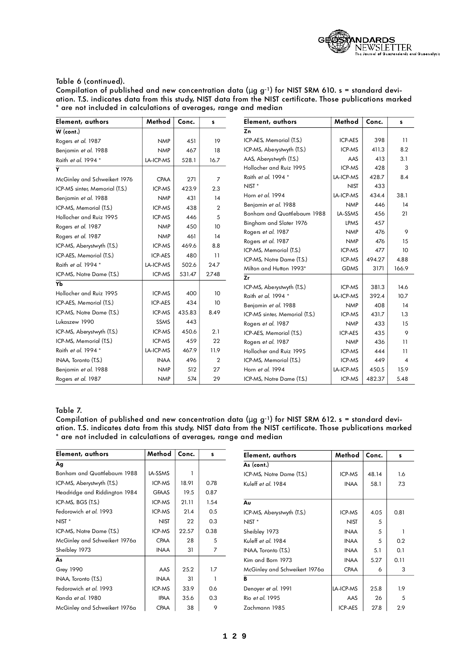

Compilation of published and new concentration data (μ g g-1) for NIST SRM 610. s = standard deviation. T.S. indicates data from this study, NIST data from the NIST certificate. Those publications marked \* are not included in calculations of averages, range and median

| Element, authors               | Method         | Conc.  | s              | Element, authors               | Method         | Conc.  | s               |
|--------------------------------|----------------|--------|----------------|--------------------------------|----------------|--------|-----------------|
| W (cont.)                      |                |        |                | Zn                             |                |        |                 |
| Rogers et al. 1987             | <b>NMP</b>     | 451    | 19             | ICP-AES, Memorial (T.S.)       | <b>ICP-AES</b> | 398    | $\mathbf{1}$    |
| Benjamin et al. 1988           | <b>NMP</b>     | 467    | 18             | ICP-MS, Aberystwyth (T.S.)     | ICP-MS         | 411.3  | 8.2             |
| Raith et al. 1994 *            | LA-ICP-MS      | 528.1  | 16.7           | AAS, Aberystwyth (T.S.)        | AAS            | 413    | 3.1             |
| Y                              |                |        |                | Hollocher and Ruiz 1995        | ICP-MS         | 428    | 3               |
| McGinley and Schweikert 1976   | <b>CPAA</b>    | 271    | $\overline{7}$ | Raith et al. 1994 *            | LA-ICP-MS      | 428.7  | 8.4             |
| ICP-MS sinter, Memorial (T.S.) | ICP-MS         | 423.9  | 2.3            | NIST <sup>*</sup>              | <b>NIST</b>    | 433    |                 |
| Benjamin et al. 1988           | <b>NMP</b>     | 431    | 14             | Horn et al. 1994               | LA-ICP-MS      | 434.4  | 38.1            |
| ICP-MS, Memorial (T.S.)        | ICP-MS         | 438    | $\overline{2}$ | Benjamin et al. 1988           | <b>NMP</b>     | 446    | 14              |
| Hollocher and Ruiz 1995        | ICP-MS         | 446    | 5              | Bonham and Quattlebaum 1988    | LA-SSMS        | 456    | 21              |
| Rogers et al. 1987             | <b>NMP</b>     | 450    | 10             | Bingham and Slater 1976        | <b>LPMS</b>    | 457    |                 |
| Rogers et al. 1987             | <b>NMP</b>     | 461    | 14             | Rogers et al. 1987             | <b>NMP</b>     | 476    | 9               |
| ICP-MS, Aberystwyth (T.S.)     | ICP-MS         | 469.6  | 8.8            | Rogers et al. 1987             | <b>NMP</b>     | 476    | 15              |
| ICP-AES, Memorial (T.S.)       | <b>ICP-AES</b> | 480    | 11             | ICP-MS, Memorial (T.S.)        | ICP-MS         | 477    | 10              |
| Raith et al. 1994 *            | LA-ICP-MS      | 502.6  | 24.7           | ICP-MS, Notre Dame (T.S.)      | ICP-MS         | 494.27 | 4.88            |
| ICP-MS, Notre Dame (T.S.)      | ICP-MS         | 531.47 | 2.748          | Milton and Hutton 1993*<br>Zr  | <b>GDMS</b>    | 3171   | 166.9           |
| Yb                             |                |        |                | ICP-MS, Aberystwyth (T.S.)     | ICP-MS         | 381.3  | 14.6            |
| Hollocher and Ruiz 1995        | ICP-MS         | 400    | 10             | Raith et al. 1994 *            | LA-ICP-MS      | 392.4  | 10.7            |
| ICP-AES, Memorial (T.S.)       | <b>ICP-AES</b> | 434    | 10             | Benjamin et al. 1988           | <b>NMP</b>     | 408    | 14              |
| ICP-MS, Notre Dame (T.S.)      | ICP-MS         | 435.83 | 8.49           | ICP-MS sinter, Memorial (T.S.) | ICP-MS         | 431.7  | 1.3             |
| Lukaszew 1990                  | SSMS           | 443    |                | Rogers et al. 1987             | <b>NMP</b>     | 433    | 15              |
| ICP-MS, Aberystwyth (T.S.)     | ICP-MS         | 450.6  | 2.1            | ICP-AES, Memorial (T.S.)       | <b>ICP-AES</b> | 435    | 9               |
| ICP-MS, Memorial (T.S.)        | ICP-MS         | 459    | 22             | Rogers et al. 1987             | <b>NMP</b>     | 436    | 11              |
| Raith et al. 1994 *            | LA-ICP-MS      | 467.9  | 11.9           | Hollocher and Ruiz 1995        | ICP-MS         | 444    | $\overline{11}$ |
| INAA, Toronto (T.S.)           | <b>INAA</b>    | 496    | $\overline{2}$ | ICP-MS, Memorial (T.S.)        | ICP-MS         | 449    | $\overline{4}$  |
| Benjamin et al. 1988           | <b>NMP</b>     | 512    | 27             | Horn et al. 1994               | LA-ICP-MS      | 450.5  | 15.9            |
| Rogers et al. 1987             | <b>NMP</b>     | 574    | 29             | ICP-MS, Notre Dame (T.S.)      | ICP-MS         | 482.37 | 5.48            |

### Table 7.

| Element, authors              | Method       | Conc. | s    | Element, authors              | Method         | Conc. | s    |  |
|-------------------------------|--------------|-------|------|-------------------------------|----------------|-------|------|--|
| Ag                            |              |       |      | As (cont.)                    |                |       |      |  |
| Bonham and Quattlebaum 1988   | LA-SSMS      |       |      | ICP-MS, Notre Dame (T.S.)     | <b>ICP-MS</b>  | 48.14 | 1.6  |  |
| ICP-MS, Aberystwyth (T.S.)    | ICP-MS       | 18.91 | 0.78 | Kuleff et al. 1984            | <b>INAA</b>    | 58.1  | 7.3  |  |
| Headridge and Riddington 1984 | <b>GFAAS</b> | 19.5  | 0.87 |                               |                |       |      |  |
| ICP-MS, BGS (T.S.)            | ICP-MS       | 21.11 | 1.54 | Au                            |                |       |      |  |
| Fedorowich et al. 1993        | ICP-MS       | 21.4  | 0.5  | ICP-MS, Aberystwyth (T.S.)    | ICP-MS         | 4.05  | 0.81 |  |
| $NIST *$                      | <b>NIST</b>  | 22    | 0.3  | $NIST *$                      | <b>NIST</b>    | 5     |      |  |
| ICP-MS, Notre Dame (T.S.)     | ICP-MS       | 22.57 | 0.38 | Sheibley 1973                 | <b>INAA</b>    | 5     |      |  |
| McGinley and Schweikert 1976a | <b>CPAA</b>  | 28    | 5    | Kuleff et al. 1984            | <b>INAA</b>    | 5     | 0.2  |  |
| Sheibley 1973                 | <b>INAA</b>  | 31    | 7    | INAA Toronto (T.S.)           | <b>INAA</b>    | 5.1   | 0.1  |  |
| As                            |              |       |      | Kim and Born 1973             | <b>INAA</b>    | 5.27  | 0.11 |  |
| <b>Grey 1990</b>              | AAS          | 25.2  | 1.7  | McGinley and Schweikert 1976a | <b>CPAA</b>    | 6     | 3    |  |
| INAA, Toronto (T.S.)          | <b>INAA</b>  | 31    |      | в                             |                |       |      |  |
| Fedorowich et al. 1993        | ICP-MS       | 33.9  | 0.6  | Denoyer et al. 1991           | LA-ICP-MS      | 25.8  | 1.9  |  |
| Kanda et al. 1980             | <b>IPAA</b>  | 35.6  | 0.3  | Rio et al. 1995               | AAS            | 26    | 5    |  |
| McGinley and Schweikert 1976a | <b>CPAA</b>  | 38    | 9    | Zachmann 1985                 | <b>ICP-AES</b> | 27.8  | 2.9  |  |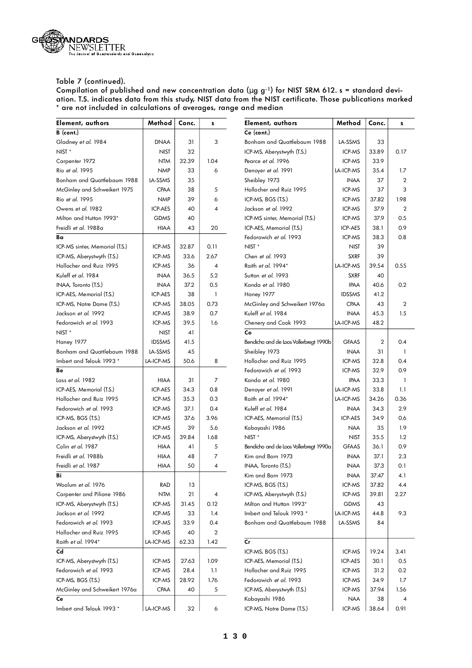

| Element, authors               | Method         | Conc. | s              | Element, authors                       | Method        | Conc. | s    |
|--------------------------------|----------------|-------|----------------|----------------------------------------|---------------|-------|------|
| B (cont.)                      |                |       |                | Ce (cont.)                             |               |       |      |
| Gladney et al. 1984            | <b>DNAA</b>    | 31    | 3              | Bonham and Quattlebaum 1988            | LA-SSMS       | 33    |      |
| NIST <sup>*</sup>              | <b>NIST</b>    | 32    |                | ICP-MS, Aberystwyth (T.S.)             | ICP-MS        | 33.89 | 0.17 |
| Carpenter 1972                 | <b>NTM</b>     | 32.39 | 1.04           | Pearce et al. 1996                     | ICP-MS        | 33.9  |      |
| Rio et al. 1995                | <b>NMP</b>     | 33    | 6              | Denoyer et al. 1991                    | LA-ICP-MS     | 35.4  | 1.7  |
| Bonham and Quattlebaum 1988    | LA-SSMS        | 35    |                | Sheibley 1973                          | <b>INAA</b>   | 37    | 2    |
| McGinley and Schweikert 1975   | <b>CPAA</b>    | 38    | 5              | Hollocher and Ruiz 1995                | ICP-MS        | 37    | 3    |
| Rio et al. 1995                | <b>NMP</b>     | 39    | 6              | ICP-MS, BGS (T.S.)                     | ICP-MS        | 37.82 | 1.98 |
| Owens et al. 1982              | <b>ICP-AES</b> | 40    | $\overline{4}$ | Jackson et al. 1992                    | ICP-MS        | 37.9  | 2    |
| Milton and Hutton 1993*        | <b>GDMS</b>    | 40    |                | ICP-MS sinter, Memorial (T.S.)         | ICP-MS        | 37.9  | 0.5  |
| Freidli et al. 1988a           | <b>HIAA</b>    | 43    | 20             | ICP-AES, Memorial (T.S.)               | ICP-AES       | 38.1  | 0.9  |
| Ba                             |                |       |                | Fedorowich et al. 1993                 | ICP-MS        | 38.3  | 0.8  |
| ICP-MS sinter, Memorial (T.S.) | ICP-MS         | 32.87 | 0.11           | NIST <sup>*</sup>                      | <b>NIST</b>   | 39    |      |
| ICP-MS, Aberystwyth (T.S.)     | ICP-MS         | 33.6  | 2.67           | Chen et al. 1993                       | <b>SXRF</b>   | 39    |      |
| Hollocher and Ruiz 1995        | ICP-MS         | 36    | 4              | Raith et al. 1994*                     | LA-ICP-MS     | 39.54 | 0.55 |
| Kuleff et al. 1984             | <b>INAA</b>    | 36.5  | 5.2            | Sutton et al. 1993                     | <b>SXRF</b>   | 40    |      |
| INAA, Toronto (T.S.)           | <b>INAA</b>    | 37.2  | 0.5            | Kanda et al. 1980                      | <b>IPAA</b>   | 40.6  | 0.2  |
| ICP-AES, Memorial (T.S.)       | ICP-AES        | 38    | $\mathbf{1}$   | <b>Haney 1977</b>                      | <b>IDSSMS</b> | 41.2  |      |
| ICP-MS, Notre Dame (T.S.)      | ICP-MS         | 38.05 | 0.73           | McGinley and Schweikert 1976a          | <b>CPAA</b>   | 43    | 2    |
| Jackson et al. 1992            | ICP-MS         | 38.9  | 0.7            | Kuleff et al. 1984                     | <b>INAA</b>   | 45.3  | 1.5  |
| Fedorowich et al. 1993         | ICP-MS         | 39.5  | 1.6            | Chenery and Cook 1993                  | LA-ICP-MS     | 48.2  |      |
| NIST <sup>*</sup>              | <b>NIST</b>    | 41    |                | Co                                     |               |       |      |
| <b>Haney 1977</b>              | <b>IDSSMS</b>  | 41.5  |                | Bendicho and de Loos Vollerbregt 1990b | <b>GFAAS</b>  | 2     | 0.4  |
| Bonham and Quattlebaum 1988    | LA-SSMS        | 45    |                | Sheibley 1973                          | <b>INAA</b>   | 31    | 1    |
| Imbert and Telouk 1993 *       | LA-ICP-MS      | 50.6  | 8              | Hollocher and Ruiz 1995                | ICP-MS        | 32.8  | 0.4  |
| Be                             |                |       |                | Fedorowich et al. 1993                 | ICP-MS        | 32.9  | 0.9  |
| Lass et al. 1982               | <b>HIAA</b>    | 31    | 7              | Kanda et al. 1980                      | <b>IPAA</b>   | 33.3  | 1    |
| ICP-AES, Memorial (T.S.)       | ICP-AES        | 34.3  | 0.8            | Denoyer et al. 1991                    | LA-ICP-MS     | 33.8  | 1.1  |
| Hollocher and Ruiz 1995        | ICP-MS         | 35.3  | 0.3            | Raith et al. 1994*                     | LA-ICP-MS     | 34.26 | 0.36 |
| Fedorowich et al. 1993         | ICP-MS         | 37.1  | 0.4            | Kuleff et al. 1984                     | <b>INAA</b>   | 34.3  | 2.9  |
| ICP-MS, BGS (T.S.)             | ICP-MS         | 37.6  | 3.96           | ICP-AES, Memorial (T.S.)               | ICP-AES       | 34.9  | 0.6  |
| Jackson et al. 1992            | ICP-MS         | 39    | 5.6            | Kobayashi 1986                         | <b>NAA</b>    | 35    | 1.9  |
| ICP-MS, Aberystwyth (T.S.)     | ICP-MS         | 39.84 | 1.68           | NIST <sup>*</sup>                      | <b>NIST</b>   | 35.5  | 1.2  |
| Colin et al. 1987              | <b>HIAA</b>    | 41    | 5              | Bendicho and de Loos Vollerbregt 1990a | <b>GFAAS</b>  | 36.1  | 0.9  |
| Freidli et al. 1988b           | <b>HIAA</b>    | 48    | 7              | Kim and Born 1973                      | <b>INAA</b>   | 37.1  | 2.3  |
| Freidli et al. 1987            | HIAA           | 50    | 4              | INAA, Toronto (T.S.)                   | <b>INAA</b>   | 37.3  | 0.1  |
| Bi                             |                |       |                | Kim and Born 1973                      | <b>INAA</b>   | 37.47 | 4.1  |
| Woolum et al. 1976             | RAD            | 13    |                | ICP-MS, BGS (T.S.)                     | ICP-MS        | 37.82 | 4.4  |
| Carpenter and Pilione 1986     | <b>NTM</b>     | 21    | 4              | ICP-MS, Aberystwyth (T.S.)             | ICP-MS        | 39.81 | 2.27 |
| ICP-MS, Aberystwyth (T.S.)     | ICP-MS         | 31.45 | 0.12           | Milton and Hutton 1993*                | GDMS          | 43    |      |
| Jackson et al. 1992            | ICP-MS         | 33    | 1.4            | Imbert and Telouk 1993 *               | LA-ICP-MS     | 44.8  | 9.3  |
| Fedorowich et al. 1993         | ICP-MS         | 33.9  | 0.4            | Bonham and Quattlebaum 1988            | LA-SSMS       | 84    |      |
| Hollocher and Ruiz 1995        | ICP-MS         | 40    | 2              |                                        |               |       |      |
| Raith et al. 1994*             | LA-ICP-MS      | 62.33 | 1.42           | cr                                     |               |       |      |
| Cd                             |                |       |                | ICP-MS, BGS (T.S.)                     | ICP-MS        | 19.24 | 3.41 |
| ICP-MS, Aberystwyth (T.S.)     | ICP-MS         | 27.63 | 1.09           | ICP-AES, Memorial (T.S.)               | ICP-AES       | 30.1  | 0.5  |
| Fedorowich et al. 1993         | ICP-MS         | 28.4  | 1.1            | Hollocher and Ruiz 1995                | ICP-MS        | 31.2  | 0.2  |
| ICP-MS, BGS (T.S.)             | ICP-MS         | 28.92 | 1.76           | Fedorowich et al. 1993                 | ICP-MS        | 34.9  | 1.7  |
| McGinley and Schweikert 1976a  | <b>CPAA</b>    | 40    | 5              | ICP-MS, Aberystwyth (T.S.)             | ICP-MS        | 37.94 | 1.56 |
| Сe                             |                |       |                | Kobayashi 1986                         | NAA           | 38    | 4    |
| Imbert and Telouk 1993 *       | LA-ICP-MS      | 32    | 6              | ICP-MS, Notre Dame (T.S.)              | ICP-MS        | 38.64 | 0.91 |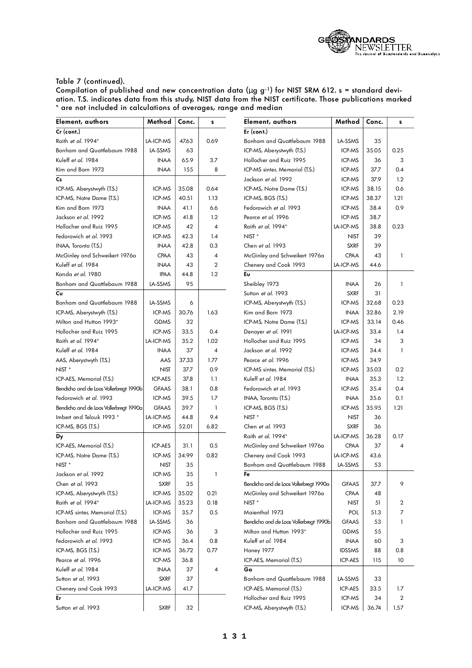

| Element, authors                       | Method         | Conc. | s              | Element, authors                       | Method        | Conc. | s    |
|----------------------------------------|----------------|-------|----------------|----------------------------------------|---------------|-------|------|
| $Cr$ (cont.)                           |                |       |                | Er (cont.)                             |               |       |      |
| Raith et al. 1994*                     | LA-ICP-MS      | 47.63 | 0.69           | Bonham and Quattlebaum 1988            | LA-SSMS       | 35    |      |
| Bonham and Quattlebaum 1988            | LA-SSMS        | 63    |                | ICP-MS, Aberystwyth (T.S.)             | ICP-MS        | 35.05 | 0.25 |
| Kuleff et al. 1984                     | <b>INAA</b>    | 65.9  | 3.7            | Hollocher and Ruiz 1995                | ICP-MS        | 36    | 3    |
| Kim and Born 1973                      | <b>INAA</b>    | 155   | 8              | ICP-MS sinter, Memorial (T.S.)         | ICP-MS        | 37.7  | 0.4  |
| $\mathsf{Cs}$                          |                |       |                | Jackson et al. 1992                    | ICP-MS        | 37.9  | 1.2  |
| ICP-MS, Aberystwyth (T.S.)             | ICP-MS         | 35.08 | 0.64           | ICP-MS, Notre Dame (T.S.)              | ICP-MS        | 38.15 | 0.6  |
| ICP-MS, Notre Dame (T.S.)              | ICP-MS         | 40.51 | 1.13           | ICP-MS, BGS (T.S.)                     | ICP-MS        | 38.37 | 1.21 |
| Kim and Born 1973                      | <b>INAA</b>    | 41.1  | 6.6            | Fedorowich et al. 1993                 | ICP-MS        | 38.4  | 0.9  |
| Jackson et al. 1992                    | ICP-MS         | 41.8  | 1.2            | Pearce et al. 1996                     | ICP-MS        | 38.7  |      |
| Hollocher and Ruiz 1995                | ICP-MS         | 42    | $\overline{4}$ | Raith et al. 1994*                     | LA-ICP-MS     | 38.8  | 0.23 |
| Fedorowich et al. 1993                 | ICP-MS         | 42.3  | 1.4            | NIST <sup>*</sup>                      | <b>NIST</b>   | 39    |      |
| INAA, Toronto (T.S.)                   | <b>INAA</b>    | 42.8  | 0.3            | Chen et al. 1993                       | <b>SXRF</b>   | 39    |      |
| McGinley and Schweikert 1976a          | <b>CPAA</b>    | 43    | $\overline{4}$ | McGinley and Schweikert 1976a          | <b>CPAA</b>   | 43    | 1    |
| Kuleff et al. 1984                     | <b>INAA</b>    | 43    | $\overline{2}$ | Chenery and Cook 1993                  | LA-ICP-MS     | 44.6  |      |
| Kanda et al. 1980                      | <b>IPAA</b>    | 44.8  | 1.2            | Eυ                                     |               |       |      |
| Bonham and Quattlebaum 1988            | LA-SSMS        | 95    |                | Sheibley 1973                          | <b>INAA</b>   | 26    | 1    |
| Cυ                                     |                |       |                | Sutton et al. 1993                     | <b>SXRF</b>   | 31    |      |
| Bonham and Quattlebaum 1988            | LA-SSMS        | 6     |                | ICP-MS, Aberystwyth (T.S.)             | ICP-MS        | 32.68 | 0.23 |
| ICP-MS, Aberystwyth (T.S.)             | ICP-MS         | 30.76 | 1.63           | Kim and Born 1973                      | <b>INAA</b>   | 32.86 | 2.19 |
| Milton and Hutton 1993*                | <b>GDMS</b>    | 32    |                | ICP-MS, Notre Dame (T.S.)              | ICP-MS        | 33.14 | 0.46 |
| Hollocher and Ruiz 1995                | ICP-MS         | 33.5  | 0.4            | Denoyer et al. 1991                    | LA-ICP-MS     | 33.4  | 1.4  |
| Raith et al. 1994*                     | LA-ICP-MS      | 35.2  | 1.02           | Hollocher and Ruiz 1995                | ICP-MS        | 34    | 3    |
| Kuleff et al. 1984                     | <b>INAA</b>    | 37    | 4              | Jackson et al. 1992                    | ICP-MS        | 34.4  | 1    |
| AAS, Aberystwyth (T.S.)                | AAS            | 37.33 | 1.77           | Pearce et al. 1996                     | ICP-MS        | 34.9  |      |
| NIST <sup>*</sup>                      | <b>NIST</b>    | 37.7  | 0.9            | ICP-MS sinter, Memorial (T.S.)         | ICP-MS        | 35.03 | 0.2  |
| ICP-AES, Memorial (T.S.)               | <b>ICP-AES</b> | 37.8  | 1.1            | Kuleff et al. 1984                     | <b>INAA</b>   | 35.3  | 1.2  |
| Bendicho and de Loos Vollerbregt 1990b | <b>GFAAS</b>   | 38.1  | 0.8            | Fedorowich et al. 1993                 | ICP-MS        | 35.4  | 0.4  |
| Fedorowich et al. 1993                 | ICP-MS         | 39.5  | 1.7            | INAA, Toronto (T.S.)                   | <b>INAA</b>   | 35.6  | 0.1  |
| Bendicho and de Loos Vollerbregt 1990a | <b>GFAAS</b>   | 39.7  | $\mathbf{1}$   | ICP-MS, BGS (T.S.)                     | ICP-MS        | 35.95 | 1.21 |
| Imbert and Telouk 1993 *               | LA-ICP-MS      | 44.8  | 9.4            | NIST <sup>*</sup>                      | <b>NIST</b>   | 36    |      |
| ICP-MS, BGS (T.S.)                     | ICP-MS         | 52.01 | 6.82           | Chen et al. 1993                       | <b>SXRF</b>   | 36    |      |
| Dy                                     |                |       |                | Raith et al. 1994*                     | LA-ICP-MS     | 36.28 | 0.17 |
| ICP-AES, Memorial (T.S.)               | <b>ICP-AES</b> | 31.1  | 0.5            | McGinley and Schweikert 1976a          | <b>CPAA</b>   | 37    | 4    |
| ICP-MS, Notre Dame (T.S.)              | ICP-MS         | 34.99 | 0.82           | Chenery and Cook 1993                  | LA-ICP-MS     | 43.6  |      |
| NIST <sup>*</sup>                      | <b>NIST</b>    | 35    |                | Bonham and Quattlebaum 1988            | LA-SSMS       | 53    |      |
| Jackson <i>et al</i> . 1992            | ICP-MS         | 35    | 1              | Fe                                     |               |       |      |
| Chen et al. 1993                       | <b>SXRF</b>    | 35    |                | Bendicho and de Loos Vollerbregt 1990a | <b>GFAAS</b>  | 37.7  | 9    |
| ICP-MS, Aberystwyth (T.S.)             | ICP-MS         | 35.02 | 0.21           | McGinley and Schweikert 1976a          | <b>CPAA</b>   | 48    |      |
| Raith et al. 1994*                     | LA-ICP-MS      | 35.23 | 0.18           | NIST <sup>*</sup>                      | <b>NIST</b>   | 51    | 2    |
| ICP-MS sinter, Memorial (T.S.)         | ICP-MS         | 35.7  | 0.5            | Maienthal 1973                         | POL           | 51.3  | 7    |
| Bonham and Quattlebaum 1988            | LA-SSMS        | 36    |                | Bendicho and de Loos Vollerbregt 1990b | <b>GFAAS</b>  | 53    | 1    |
| Hollocher and Ruiz 1995                | ICP-MS         | 36    | 3              | Milton and Hutton 1993*                | <b>GDMS</b>   | 55    |      |
| Fedorowich et al. 1993                 | ICP-MS         | 36.4  | 0.8            | Kuleff et al. 1984                     | <b>INAA</b>   | 60    | 3    |
| ICP-MS, BGS (T.S.)                     | ICP-MS         | 36.72 | 0.77           | <b>Haney 1977</b>                      | <b>IDSSMS</b> | 88    | 0.8  |
| Pearce et al. 1996                     | ICP-MS         | 36.8  |                | ICP-AES, Memorial (T.S.)               | ICP-AES       | 115   | 10   |
| Kuleff et al. 1984                     | <b>INAA</b>    | 37    | 4              | Ga                                     |               |       |      |
| Sutton et al. 1993                     | <b>SXRF</b>    | 37    |                | Bonham and Quattlebaum 1988            | LA-SSMS       | 33    |      |
| Chenery and Cook 1993                  | LA-ICP-MS      | 41.7  |                | ICP-AES, Memorial (T.S.)               | ICP-AES       | 33.5  | 1.7  |
| Er                                     |                |       |                | Hollocher and Ruiz 1995                | ICP-MS        | 34    | 2    |
| Sutton et al. 1993                     | <b>SXRF</b>    | 32    |                | ICP-MS, Aberystwyth (T.S.)             | ICP-MS        | 36.74 | 1.57 |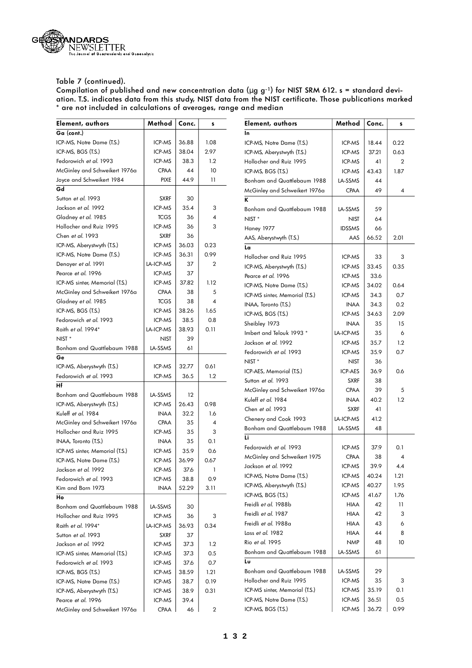

| Element, authors               | Method      | Conc. | s                       | Element, authors               | Method         | Conc. | s              |
|--------------------------------|-------------|-------|-------------------------|--------------------------------|----------------|-------|----------------|
| Ga (cont.)                     |             |       |                         | In                             |                |       |                |
| ICP-MS, Notre Dame (T.S.)      | ICP-MS      | 36.88 | 1.08                    | ICP-MS, Notre Dame (T.S.)      | ICP-MS         | 18.44 | 0.22           |
| ICP-MS, BGS (T.S.)             | ICP-MS      | 38.04 | 2.97                    | ICP-MS, Aberystwyth (T.S.)     | ICP-MS         | 37.21 | 0.63           |
| Fedorowich et al. 1993         | ICP-MS      | 38.3  | 1.2                     | Hollocher and Ruiz 1995        | ICP-MS         | 41    | $\overline{2}$ |
| McGinley and Schweikert 1976a  | <b>CPAA</b> | 44    | 10                      | ICP-MS, BGS (T.S.)             | ICP-MS         | 43.43 | 1.87           |
| Joyce and Schweikert 1984      | <b>PIXE</b> | 44.9  | $\overline{11}$         | Bonham and Quattlebaum 1988    | LA-SSMS        | 44    |                |
| Gd                             |             |       |                         | McGinley and Schweikert 1976a  | <b>CPAA</b>    | 49    | 4              |
| Sutton et al. 1993             | <b>SXRF</b> | 30    |                         | K                              |                |       |                |
| Jackson et al. 1992            | ICP-MS      | 35.4  | 3                       | Bonham and Quattlebaum 1988    | LA-SSMS        | 59    |                |
| Gladney et al. 1985            | <b>TCGS</b> | 36    | 4                       | NIST <sup>*</sup>              | <b>NIST</b>    | 64    |                |
| Hollocher and Ruiz 1995        | ICP-MS      | 36    | 3                       | <b>Haney 1977</b>              | <b>IDSSMS</b>  | 66    |                |
| Chen et al. 1993               | <b>SXRF</b> | 36    |                         | AAS, Aberystwyth (T.S.)        | AAS            | 66.52 | 2.01           |
| ICP-MS, Aberystwyth (T.S.)     | ICP-MS      | 36.03 | 0.23                    | La                             |                |       |                |
| ICP-MS, Notre Dame (T.S.)      | ICP-MS      | 36.31 | 0.99                    | Hollocher and Ruiz 1995        | ICP-MS         | 33    | 3              |
| Denoyer et al. 1991            | LA-ICP-MS   | 37    | 2                       | ICP-MS, Aberystwyth (T.S.)     | ICP-MS         | 33.45 | 0.35           |
| Pearce et al. 1996             | ICP-MS      | 37    |                         | Pearce et al. 1996             | ICP-MS         | 33.6  |                |
| ICP-MS sinter, Memorial (T.S.) | ICP-MS      | 37.82 | 1.12                    | ICP-MS, Notre Dame (T.S.)      | ICP-MS         | 34.02 | 0.64           |
| McGinley and Schweikert 1976a  | CPAA        | 38    | 5                       | ICP-MS sinter, Memorial (T.S.) | ICP-MS         | 34.3  | 0.7            |
| Gladney et al. 1985            | <b>TCGS</b> | 38    | $\overline{4}$          |                                | <b>INAA</b>    |       | 0.2            |
| ICP-MS, BGS (T.S.)             | ICP-MS      | 38.26 | 1.65                    | INAA, Toronto (T.S.)           |                | 34.3  |                |
| Fedorowich et al. 1993         | ICP-MS      | 38.5  | 0.8                     | ICP-MS, BGS (T.S.)             | ICP-MS         | 34.63 | 2.09           |
| Raith et al. 1994*             | LA-ICP-MS   | 38.93 | 0.11                    | Sheibley 1973                  | <b>INAA</b>    | 35    | 15             |
| NIST <sup>*</sup>              | NIST        | 39    |                         | Imbert and Telouk 1993 *       | LA-ICP-MS      | 35    | 6              |
| Bonham and Quattlebaum 1988    | LA-SSMS     | 61    |                         | Jackson et al. 1992            | ICP-MS         | 35.7  | 1.2            |
| Ge                             |             |       |                         | Fedorowich et al. 1993         | ICP-MS         | 35.9  | 0.7            |
| ICP-MS, Aberystwyth (T.S.)     | ICP-MS      | 32.77 | 0.61                    | NIST <sup>*</sup>              | <b>NIST</b>    | 36    |                |
| Fedorowich et al. 1993         | ICP-MS      | 36.5  | 1.2                     | ICP-AES, Memorial (T.S.)       | <b>ICP-AES</b> | 36.9  | 0.6            |
| Нf                             |             |       |                         | Sutton et al. 1993             | <b>SXRF</b>    | 38    |                |
| Bonham and Quattlebaum 1988    | LA-SSMS     | 12    |                         | McGinley and Schweikert 1976a  | <b>CPAA</b>    | 39    | 5              |
| ICP-MS, Aberystwyth (T.S.)     | ICP-MS      | 26.43 | 0.98                    | Kuleff et al. 1984             | <b>INAA</b>    | 40.2  | 1.2            |
| Kuleff et al. 1984             | <b>INAA</b> | 32.2  | 1.6                     | Chen et al. 1993               | <b>SXRF</b>    | 41    |                |
| McGinley and Schweikert 1976a  | <b>CPAA</b> | 35    | 4                       | Chenery and Cook 1993          | LA-ICP-MS      | 41.2  |                |
| Hollocher and Ruiz 1995        | ICP-MS      | 35    | 3                       | Bonham and Quattlebaum 1988    | LA-SSMS        | 48    |                |
| INAA, Toronto (T.S.)           | <b>INAA</b> | 35    | 0.1                     | Li                             |                |       |                |
| ICP-MS sinter, Memorial (T.S.) | ICP-MS      | 35.9  | 0.6                     | Fedorowich et al. 1993         | ICP-MS         | 37.9  | 0.1            |
| ICP-MS, Notre Dame (T.S.)      | ICP-MS      | 36.99 | 0.67                    | McGinley and Schweikert 1975   | <b>CPAA</b>    | 38    | 4              |
| Jackson <i>et al</i> . 1992    | ICP-MS      | 37.6  | 1                       | Jackson et al. 1992            | ICP-MS         | 39.9  | 4.4            |
| Fedorowich et al. 1993         | ICP-MS      | 38.8  | 0.9                     | ICP-MS, Notre Dame (T.S.)      | ICP-MS         | 40.24 | 1.21           |
| Kim and Born 1973              | <b>INAA</b> | 52.29 | 3.11                    | ICP-MS, Aberystwyth (T.S.)     | ICP-MS         | 40.27 | 1.95           |
| Ho                             |             |       |                         | ICP-MS, BGS (T.S.)             | ICP-MS         | 41.67 | 1.76           |
| Bonham and Quattlebaum 1988    | LA-SSMS     | 30    |                         | Freidli et al. 1988b           | <b>HIAA</b>    | 42    | 11             |
| Hollocher and Ruiz 1995        | ICP-MS      | 36    | 3                       | Freidli et al. 1987            | <b>HIAA</b>    | 42    | 3              |
| Raith et al. 1994*             | LA-ICP-MS   | 36.93 | 0.34                    | Freidli et al. 1988a           | <b>HIAA</b>    | 43    | 6              |
| Sutton et al. 1993             | <b>SXRF</b> | 37    |                         | Lass et al. 1982               | <b>HIAA</b>    | 44    | 8              |
| Jackson et al. 1992            | ICP-MS      | 37.3  | 1.2                     | Rio et al. 1995                | <b>NMP</b>     | 48    | 10             |
| ICP-MS sinter, Memorial (T.S.) | ICP-MS      | 37.3  | 0.5                     | Bonham and Quattlebaum 1988    | LA-SSMS        | 61    |                |
| Fedorowich et al. 1993         | ICP-MS      | 37.6  | 0.7                     | Lυ                             |                |       |                |
| ICP-MS, BGS (T.S.)             | ICP-MS      | 38.59 | 1.21                    | Bonham and Quattlebaum 1988    | LA-SSMS        | 29    |                |
| ICP-MS, Notre Dame (T.S.)      | ICP-MS      | 38.7  | 0.19                    | Hollocher and Ruiz 1995        | ICP-MS         | 35    | 3              |
| ICP-MS, Aberystwyth (T.S.)     | ICP-MS      | 38.9  | 0.31                    | ICP-MS sinter, Memorial (T.S.) | ICP-MS         | 35.19 | 0.1            |
| Pearce <i>et al.</i> 1996      | ICP-MS      | 39.4  |                         | ICP-MS, Notre Dame (T.S.)      | ICP-MS         | 36.51 | 0.5            |
| McGinley and Schweikert 1976a  | CPAA        | 46    | $\overline{\mathbf{c}}$ | ICP-MS, BGS (T.S.)             | ICP-MS         | 36.72 | 0.99           |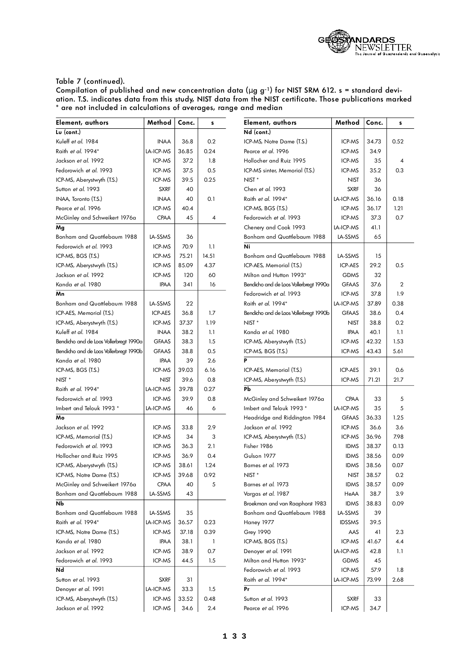

| Element, authors                       | Method       | Conc. | s     | Element, authors                       | Method           | Conc. | s              |
|----------------------------------------|--------------|-------|-------|----------------------------------------|------------------|-------|----------------|
| Lu (cont.)                             |              |       |       | Nd (cont.)                             |                  |       |                |
| Kuleff et al. 1984                     | <b>INAA</b>  | 36.8  | 0.2   | ICP-MS, Notre Dame (T.S.)              | ICP-MS           | 34.73 | 0.52           |
| Raith et al. 1994*                     | LA-ICP-MS    | 36.85 | 0.24  | Pearce et al. 1996                     | ICP-MS           | 34.9  |                |
| Jackson et al. 1992                    | ICP-MS       | 37.2  | 1.8   | Hollocher and Ruiz 1995                | ICP-MS           | 35    | $\overline{4}$ |
| Fedorowich et al. 1993                 | ICP-MS       | 37.5  | 0.5   | ICP-MS sinter, Memorial (T.S.)         | ICP-MS           | 35.2  | 0.3            |
| ICP-MS, Aberystwyth (T.S.)             | ICP-MS       | 39.5  | 0.25  | NIST <sup>*</sup>                      | <b>NIST</b>      | 36    |                |
| Sutton et al. 1993                     | <b>SXRF</b>  | 40    |       | Chen et al. 1993                       | <b>SXRF</b>      | 36    |                |
| INAA, Toronto (T.S.)                   | <b>INAA</b>  | 40    | 0.1   | Raith et al. 1994*                     | LA-ICP-MS        | 36.16 | 0.18           |
| Pearce et al. 1996                     | ICP-MS       | 40.4  |       | ICP-MS, BGS (T.S.)                     | ICP-MS           | 36.17 | 1.21           |
| McGinley and Schweikert 1976a          | <b>CPAA</b>  | 45    | 4     | Fedorowich et al. 1993                 | ICP-MS           | 37.3  | 0.7            |
| Mg                                     |              |       |       | Chenery and Cook 1993                  | <b>LA-ICP-MS</b> | 41.1  |                |
| Bonham and Quattlebaum 1988            | LA-SSMS      | 36    |       | Bonham and Quattlebaum 1988            | LA-SSMS          | 65    |                |
| Fedorowich et al. 1993                 | ICP-MS       | 70.9  | 1.1   | Ni                                     |                  |       |                |
| ICP-MS, BGS (T.S.)                     | ICP-MS       | 75.21 | 14.51 | Bonham and Quattlebaum 1988            | LA-SSMS          | 15    |                |
| ICP-MS, Aberystwyth (T.S.)             | ICP-MS       | 85.09 | 4.37  | ICP-AES, Memorial (T.S.)               | <b>ICP-AES</b>   | 29.2  | 0.5            |
| Jackson et al. 1992                    | ICP-MS       | 120   | 60    | Milton and Hutton 1993*                | <b>GDMS</b>      | 32    |                |
| Kanda et al. 1980                      | <b>IPAA</b>  | 341   | 16    | Bendicho and de Loos Vollerbregt 1990a | <b>GFAAS</b>     | 37.6  | $\overline{2}$ |
| Mn                                     |              |       |       | Fedorowich et al. 1993                 | ICP-MS           | 37.8  | 1.9            |
| Bonham and Quattlebaum 1988            | LA-SSMS      | 22    |       | Raith et al. 1994*                     | LA-ICP-MS        | 37.89 | 0.38           |
| ICP-AES, Memorial (T.S.)               | ICP-AES      | 36.8  | 1.7   | Bendicho and de Loos Vollerbregt 1990b | <b>GFAAS</b>     | 38.6  | 0.4            |
| ICP-MS, Aberystwyth (T.S.)             | ICP-MS       | 37.37 | 1.19  | NIST <sup>*</sup>                      | <b>NIST</b>      | 38.8  | 0.2            |
| Kuleff et al. 1984                     | <b>INAA</b>  | 38.2  | 1.1   | Kanda et al. 1980                      | <b>IPAA</b>      | 40.1  | 1.1            |
| Bendicho and de Loos Vollerbregt 1990a | <b>GFAAS</b> | 38.3  | 1.5   | ICP-MS, Aberystwyth (T.S.)             | ICP-MS           | 42.32 | 1.53           |
| Bendicho and de Loos Vollerbregt 1990b | <b>GFAAS</b> | 38.8  | 0.5   | ICP-MS, BGS (T.S.)                     | ICP-MS           | 43.43 | 5.61           |
| Kanda et al. 1980                      | <b>IPAA</b>  | 39    | 2.6   | P                                      |                  |       |                |
| ICP-MS, BGS (T.S.)                     | ICP-MS       | 39.03 | 6.16  | ICP-AES, Memorial (T.S.)               | ICP-AES          | 39.1  | 0.6            |
| NIST <sup>*</sup>                      | <b>NIST</b>  | 39.6  | 0.8   | ICP-MS, Aberystwyth (T.S.)             | ICP-MS           | 71.21 | 21.7           |
| Raith et al. 1994*                     | LA-ICP-MS    | 39.78 | 0.27  | Pb                                     |                  |       |                |
| Fedorowich et al. 1993                 | ICP-MS       | 39.9  | 0.8   | McGinley and Schweikert 1976a          | <b>CPAA</b>      | 33    | 5              |
| Imbert and Telouk 1993 *               | LA-ICP-MS    | 46    | 6     | Imbert and Telouk 1993 *               | LA-ICP-MS        | 35    | 5              |
| Mo                                     |              |       |       | Headridge and Riddington 1984          | <b>GFAAS</b>     | 36.33 | 1.25           |
| Jackson et al. 1992                    | ICP-MS       | 33.8  | 2.9   | Jackson et al. 1992                    | ICP-MS           | 36.6  | 3.6            |
| ICP-MS, Memorial (T.S.)                | ICP-MS       | 34    | 3     | ICP-MS, Aberystwyth (T.S.)             | ICP-MS           | 36.96 | 7.98           |
| Fedorowich et al. 1993                 | ICP-MS       | 36.3  | 2.1   | Fisher 1986                            | <b>IDMS</b>      | 38.37 | 0.13           |
| Hollocher and Ruiz 1995                | ICP-MS       | 36.9  | 0.4   | Gulson 1977                            | <b>IDMS</b>      | 38.56 | 0.09           |
| ICP-MS, Aberystwyth (T.S.)             | ICP-MS       | 38.61 | 1.24  | Bames et al. 1973                      | <b>IDMS</b>      | 38.56 | 0.07           |
| ICP-MS, Notre Dame (T.S.)              | ICP-MS       | 39.68 | 0.92  | NIST <sup>*</sup>                      | <b>NIST</b>      | 38.57 | 0.2            |
| McGinley and Schweikert 1976a          | CPAA         | 40    | 5     | Barnes et al. 1973                     | <b>IDMS</b>      | 38.57 | 0.09           |
| Bonham and Quattlebaum 1988            | LA-SSMS      | 43    |       | Vargas et al. 1987                     | HeAA             | 38.7  | 3.9            |
| Nb                                     |              |       |       | Broekman and van Raaphorst 1983        | <b>IDMS</b>      | 38.83 | 0.09           |
| Bonham and Quattlebaum 1988            | LA-SSMS      | 35    |       | Bonham and Quattlebaum 1988            | LA-SSMS          | 39    |                |
| Raith et al. 1994*                     | LA-ICP-MS    | 36.57 | 0.23  | Haney 1977                             | <b>IDSSMS</b>    | 39.5  |                |
| ICP-MS, Notre Dame (T.S.)              | ICP-MS       | 37.18 | 0.39  | <b>Grey 1990</b>                       | AAS              | 41    | 2.3            |
| Kanda et al. 1980                      | IPAA         | 38.1  | 1     | ICP-MS, BGS (T.S.)                     | ICP-MS           | 41.67 | 4.4            |
| Jackson <i>et al.</i> 1992             | ICP-MS       | 38.9  | 0.7   | Denoyer et al. 1991                    | <b>LA-ICP-MS</b> | 42.8  | 1.1            |
| Fedorowich et al. 1993                 | ICP-MS       | 44.5  | 1.5   | Milton and Hutton 1993*                | <b>GDMS</b>      | 45    |                |
| Nd                                     |              |       |       | Fedorowich et al. 1993                 | ICP-MS           | 57.9  | 1.8            |
| Sutton et al. 1993                     | <b>SXRF</b>  | 31    |       | Raith et al. 1994*                     | LA-ICP-MS        | 73.99 | 2.68           |
| Denoyer et al. 1991                    | LA-ICP-MS    | 33.3  | 1.5   | Pr                                     |                  |       |                |
| ICP-MS, Aberystwyth (T.S.)             | ICP-MS       | 33.52 | 0.48  | Sutton et al. 1993                     | <b>SXRF</b>      | 33    |                |
| Jackson et al. 1992                    | ICP-MS       | 34.6  | 2.4   | Pearce et al. 1996                     | ICP-MS           | 34.7  |                |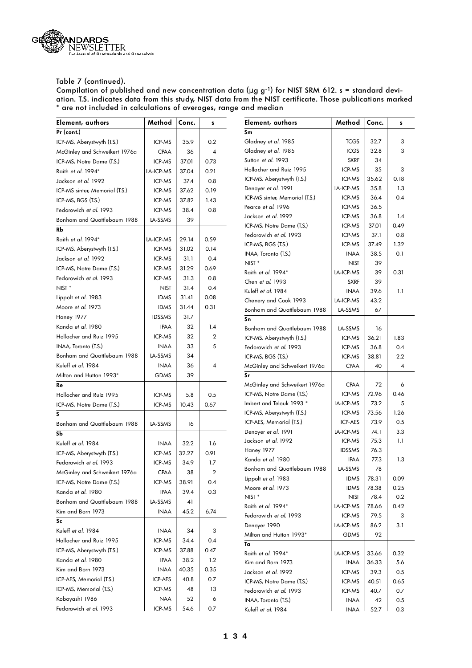

| Pr (cont.)<br>Sm<br>Gladney et al. 1985<br>32.7<br>3<br><b>TCGS</b><br>ICP-MS, Aberystwyth (T.S.)<br>35.9<br>0.2<br>ICP-MS<br>Gladney et al. 1985<br><b>TCGS</b><br>32.8<br>3<br>McGinley and Schweikert 1976a<br><b>CPAA</b><br>36<br>$\overline{4}$<br>Sutton et al. 1993<br><b>SXRF</b><br>34<br>ICP-MS, Notre Dame (T.S.)<br>ICP-MS<br>37.01<br>0.73<br>Hollocher and Ruiz 1995<br>ICP-MS<br>35<br>3<br>Raith et al. 1994*<br>0.21<br>LA-ICP-MS<br>37.04<br>35.62<br>ICP-MS<br>0.18<br>ICP-MS, Aberystwyth (T.S.)<br>0.8<br>Jackson et al. 1992<br>ICP-MS<br>37.4<br>Denoyer et al. 1991<br>LA-ICP-MS<br>35.8<br>1.3<br>0.19<br>ICP-MS sinter, Memorial (T.S.)<br>ICP-MS<br>37.62<br>ICP-MS sinter, Memorial (T.S.)<br>ICP-MS<br>36.4<br>0.4<br>ICP-MS, BGS (T.S.)<br>ICP-MS<br>37.82<br>1.43<br>Pearce et al. 1996<br>ICP-MS<br>36.5<br>Fedorowich et al. 1993<br>ICP-MS<br>38.4<br>0.8<br>Jackson et al. 1992<br>ICP-MS<br>36.8<br>1.4<br>Bonham and Quattlebaum 1988<br>LA-SSMS<br>39<br>ICP-MS, Notre Dame (T.S.)<br>ICP-MS<br>37.01<br>0.49<br>RЬ<br>Fedorowich et al. 1993<br>ICP-MS<br>37.1<br>0.8<br>0.59<br>Raith et al. 1994*<br>LA-ICP-MS<br>29.14<br>1.32<br>ICP-MS, BGS (T.S.)<br>ICP-MS<br>37.49<br>ICP-MS, Aberystwyth (T.S.)<br>ICP-MS<br>31.02<br>0.14<br>0.1<br><b>INAA</b><br>38.5<br>INAA, Toronto (T.S.)<br>Jackson et al. 1992<br>ICP-MS<br>31.1<br>0.4<br>NIST <sup>*</sup><br><b>NIST</b><br>39<br>ICP-MS, Notre Dame (T.S.)<br>ICP-MS<br>31.29<br>0.69<br>Raith et al. 1994*<br>LA-ICP-MS<br>39<br>0.31<br>Fedorowich et al. 1993<br>ICP-MS<br>31.3<br>0.8<br>Chen et al. 1993<br><b>SXRF</b><br>39<br>$NIST *$<br><b>NIST</b><br>31.4<br>0.4<br>Kuleff et al. 1984<br><b>INAA</b><br>39.6<br>1.1<br>31.41<br>0.08<br>Lippolt et al. 1983<br><b>IDMS</b><br>LA-ICP-MS<br>Chenery and Cook 1993<br>43.2<br>0.31<br>Moore et al. 1973<br>31.44<br><b>IDMS</b><br>Bonham and Quattlebaum 1988<br>LA-SSMS<br>67<br>Haney 1977<br><b>IDSSMS</b><br>31.7<br>Sn<br>Kanda et al. 1980<br>1.4<br><b>IPAA</b><br>32<br>Bonham and Quattlebaum 1988<br>LA-SSMS<br>16<br>Hollocher and Ruiz 1995<br>ICP-MS<br>32<br>2<br>ICP-MS, Aberystwyth (T.S.)<br>ICP-MS<br>36.21<br>1.83<br>INAA, Toronto (T.S.)<br><b>INAA</b><br>33<br>5<br>Fedorowich et al. 1993<br>ICP-MS<br>36.8<br>0.4<br>Bonham and Quattlebaum 1988<br>LA-SSMS<br>34<br>ICP-MS, BGS (T.S.)<br>ICP-MS<br>38.81<br>2.2<br>Kuleff et al. 1984<br><b>INAA</b><br>36<br>4<br>McGinley and Schweikert 1976a<br><b>CPAA</b><br>40<br>4<br>Sr<br>Milton and Hutton 1993*<br><b>GDMS</b><br>39<br>McGinley and Schweikert 1976a<br><b>CPAA</b><br>72<br>6<br>Re<br>ICP-MS, Notre Dame (T.S.)<br>ICP-MS<br>72.96<br>0.46<br>Hollocher and Ruiz 1995<br>0.5<br>ICP-MS<br>5.8<br>Imbert and Telouk 1993 *<br>LA-ICP-MS<br>73.2<br>5<br>ICP-MS, Notre Dame (T.S.)<br>ICP-MS<br>10.43<br>0.67<br>1.26<br>ICP-MS<br>73.56<br>ICP-MS, Aberystwyth (T.S.)<br>S<br>ICP-AES, Memorial (T.S.)<br>73.9<br>0.5<br>ICP-AES<br>Bonham and Quattlebaum 1988<br>LA-SSMS<br>16<br>Denoyer et al. 1991<br>LA-ICP-MS<br>74.1<br>3.3<br>Sb<br>Jackson et al. 1992<br>ICP-MS<br>75.3<br>1.1<br>Kuleff et al. 1984<br>32.2<br>1.6<br><b>INAA</b><br><b>IDSSMS</b><br>76.3<br><b>Haney 1977</b><br>ICP-MS, Aberystwyth (T.S.)<br>ICP-MS<br>32.27<br>0.91<br>Kanda et al. 1980<br><b>IPAA</b><br>77.3<br>1.3<br>Fedorowich et al. 1993<br>ICP-MS<br>34.9<br>1.7<br>LA-SSMS<br>78<br>Bonham and Quattlebaum 1988<br>McGinley and Schweikert 1976a<br>CPAA<br>$38\,$<br>$\mathbf 2$<br>Lippolt et al. 1983<br>78.31<br><b>IDMS</b><br>0.09<br>ICP-MS, Notre Dame (T.S.)<br>ICP-MS<br>38.91<br>0.4<br>Moore et al. 1973<br><b>IDMS</b><br>78.38<br>0.25<br>Kanda et al. 1980<br><b>IPAA</b><br>39.4<br>0.3<br>NIST <sup>*</sup><br><b>NIST</b><br>78.4<br>0.2<br>Bonham and Quattlebaum 1988<br><b>LA-SSMS</b><br>41<br>Raith et al. 1994*<br>LA-ICP-MS<br>78.66<br>0.42<br>Kim and Born 1973<br>45.2<br>6.74<br><b>INAA</b><br>Fedorowich et al. 1993<br>ICP-MS<br>79.5<br>3<br>Sc<br>Denoyer 1990<br>3.1<br>LA-ICP-MS<br>86.2<br>Kuleff et al. 1984<br>3<br>INAA<br>34<br>Milton and Hutton 1993*<br>92<br><b>GDMS</b><br>Hollocher and Ruiz 1995<br>ICP-MS<br>34.4<br>0.4<br>Ta<br>ICP-MS, Aberystwyth (T.S.)<br>ICP-MS<br>37.88<br>0.47<br>Raith et al. 1994*<br>LA-ICP-MS<br>0.32<br>33.66<br>Kanda et al. 1980<br>38.2<br>1.2<br><b>IPAA</b><br>Kim and Born 1973<br><b>INAA</b><br>36.33<br>5.6<br>Kim and Born 1973<br>40.35<br>0.35<br>INAA<br>Jackson et al. 1992<br>ICP-MS<br>39.3<br>0.5<br>ICP-AES, Memorial (T.S.)<br>40.8<br>0.7<br>ICP-AES<br>ICP-MS, Notre Dame (T.S.)<br>ICP-MS<br>40.51<br>0.65<br>ICP-MS, Memorial (T.S.)<br>ICP-MS<br>48<br>13<br>Fedorowich et al. 1993<br>ICP-MS<br>40.7<br>0.7<br>Kobayashi 1986<br>6<br>NAA<br>52<br>INAA, Toronto (T.S.)<br>0.5<br><b>INAA</b><br>42 | Element, authors       | Method | Conc. | s   | Element, authors   | Method      | Conc. | s   |
|-----------------------------------------------------------------------------------------------------------------------------------------------------------------------------------------------------------------------------------------------------------------------------------------------------------------------------------------------------------------------------------------------------------------------------------------------------------------------------------------------------------------------------------------------------------------------------------------------------------------------------------------------------------------------------------------------------------------------------------------------------------------------------------------------------------------------------------------------------------------------------------------------------------------------------------------------------------------------------------------------------------------------------------------------------------------------------------------------------------------------------------------------------------------------------------------------------------------------------------------------------------------------------------------------------------------------------------------------------------------------------------------------------------------------------------------------------------------------------------------------------------------------------------------------------------------------------------------------------------------------------------------------------------------------------------------------------------------------------------------------------------------------------------------------------------------------------------------------------------------------------------------------------------------------------------------------------------------------------------------------------------------------------------------------------------------------------------------------------------------------------------------------------------------------------------------------------------------------------------------------------------------------------------------------------------------------------------------------------------------------------------------------------------------------------------------------------------------------------------------------------------------------------------------------------------------------------------------------------------------------------------------------------------------------------------------------------------------------------------------------------------------------------------------------------------------------------------------------------------------------------------------------------------------------------------------------------------------------------------------------------------------------------------------------------------------------------------------------------------------------------------------------------------------------------------------------------------------------------------------------------------------------------------------------------------------------------------------------------------------------------------------------------------------------------------------------------------------------------------------------------------------------------------------------------------------------------------------------------------------------------------------------------------------------------------------------------------------------------------------------------------------------------------------------------------------------------------------------------------------------------------------------------------------------------------------------------------------------------------------------------------------------------------------------------------------------------------------------------------------------------------------------------------------------------------------------------------------------------------------------------------------------------------------------------------------------------------------------------------------------------------------------------------------------------------------------------------------------------------------------------------------------------------------------------------------------------------------------------------------------------------------------------------------------------------------------------------------------------------------------------------------------------------------------------------------------------------------------------------|------------------------|--------|-------|-----|--------------------|-------------|-------|-----|
|                                                                                                                                                                                                                                                                                                                                                                                                                                                                                                                                                                                                                                                                                                                                                                                                                                                                                                                                                                                                                                                                                                                                                                                                                                                                                                                                                                                                                                                                                                                                                                                                                                                                                                                                                                                                                                                                                                                                                                                                                                                                                                                                                                                                                                                                                                                                                                                                                                                                                                                                                                                                                                                                                                                                                                                                                                                                                                                                                                                                                                                                                                                                                                                                                                                                                                                                                                                                                                                                                                                                                                                                                                                                                                                                                                                                                                                                                                                                                                                                                                                                                                                                                                                                                                                                                                                                                                                                                                                                                                                                                                                                                                                                                                                                                                                                                                                           |                        |        |       |     |                    |             |       |     |
|                                                                                                                                                                                                                                                                                                                                                                                                                                                                                                                                                                                                                                                                                                                                                                                                                                                                                                                                                                                                                                                                                                                                                                                                                                                                                                                                                                                                                                                                                                                                                                                                                                                                                                                                                                                                                                                                                                                                                                                                                                                                                                                                                                                                                                                                                                                                                                                                                                                                                                                                                                                                                                                                                                                                                                                                                                                                                                                                                                                                                                                                                                                                                                                                                                                                                                                                                                                                                                                                                                                                                                                                                                                                                                                                                                                                                                                                                                                                                                                                                                                                                                                                                                                                                                                                                                                                                                                                                                                                                                                                                                                                                                                                                                                                                                                                                                                           |                        |        |       |     |                    |             |       |     |
|                                                                                                                                                                                                                                                                                                                                                                                                                                                                                                                                                                                                                                                                                                                                                                                                                                                                                                                                                                                                                                                                                                                                                                                                                                                                                                                                                                                                                                                                                                                                                                                                                                                                                                                                                                                                                                                                                                                                                                                                                                                                                                                                                                                                                                                                                                                                                                                                                                                                                                                                                                                                                                                                                                                                                                                                                                                                                                                                                                                                                                                                                                                                                                                                                                                                                                                                                                                                                                                                                                                                                                                                                                                                                                                                                                                                                                                                                                                                                                                                                                                                                                                                                                                                                                                                                                                                                                                                                                                                                                                                                                                                                                                                                                                                                                                                                                                           |                        |        |       |     |                    |             |       |     |
|                                                                                                                                                                                                                                                                                                                                                                                                                                                                                                                                                                                                                                                                                                                                                                                                                                                                                                                                                                                                                                                                                                                                                                                                                                                                                                                                                                                                                                                                                                                                                                                                                                                                                                                                                                                                                                                                                                                                                                                                                                                                                                                                                                                                                                                                                                                                                                                                                                                                                                                                                                                                                                                                                                                                                                                                                                                                                                                                                                                                                                                                                                                                                                                                                                                                                                                                                                                                                                                                                                                                                                                                                                                                                                                                                                                                                                                                                                                                                                                                                                                                                                                                                                                                                                                                                                                                                                                                                                                                                                                                                                                                                                                                                                                                                                                                                                                           |                        |        |       |     |                    |             |       |     |
|                                                                                                                                                                                                                                                                                                                                                                                                                                                                                                                                                                                                                                                                                                                                                                                                                                                                                                                                                                                                                                                                                                                                                                                                                                                                                                                                                                                                                                                                                                                                                                                                                                                                                                                                                                                                                                                                                                                                                                                                                                                                                                                                                                                                                                                                                                                                                                                                                                                                                                                                                                                                                                                                                                                                                                                                                                                                                                                                                                                                                                                                                                                                                                                                                                                                                                                                                                                                                                                                                                                                                                                                                                                                                                                                                                                                                                                                                                                                                                                                                                                                                                                                                                                                                                                                                                                                                                                                                                                                                                                                                                                                                                                                                                                                                                                                                                                           |                        |        |       |     |                    |             |       |     |
|                                                                                                                                                                                                                                                                                                                                                                                                                                                                                                                                                                                                                                                                                                                                                                                                                                                                                                                                                                                                                                                                                                                                                                                                                                                                                                                                                                                                                                                                                                                                                                                                                                                                                                                                                                                                                                                                                                                                                                                                                                                                                                                                                                                                                                                                                                                                                                                                                                                                                                                                                                                                                                                                                                                                                                                                                                                                                                                                                                                                                                                                                                                                                                                                                                                                                                                                                                                                                                                                                                                                                                                                                                                                                                                                                                                                                                                                                                                                                                                                                                                                                                                                                                                                                                                                                                                                                                                                                                                                                                                                                                                                                                                                                                                                                                                                                                                           |                        |        |       |     |                    |             |       |     |
|                                                                                                                                                                                                                                                                                                                                                                                                                                                                                                                                                                                                                                                                                                                                                                                                                                                                                                                                                                                                                                                                                                                                                                                                                                                                                                                                                                                                                                                                                                                                                                                                                                                                                                                                                                                                                                                                                                                                                                                                                                                                                                                                                                                                                                                                                                                                                                                                                                                                                                                                                                                                                                                                                                                                                                                                                                                                                                                                                                                                                                                                                                                                                                                                                                                                                                                                                                                                                                                                                                                                                                                                                                                                                                                                                                                                                                                                                                                                                                                                                                                                                                                                                                                                                                                                                                                                                                                                                                                                                                                                                                                                                                                                                                                                                                                                                                                           |                        |        |       |     |                    |             |       |     |
|                                                                                                                                                                                                                                                                                                                                                                                                                                                                                                                                                                                                                                                                                                                                                                                                                                                                                                                                                                                                                                                                                                                                                                                                                                                                                                                                                                                                                                                                                                                                                                                                                                                                                                                                                                                                                                                                                                                                                                                                                                                                                                                                                                                                                                                                                                                                                                                                                                                                                                                                                                                                                                                                                                                                                                                                                                                                                                                                                                                                                                                                                                                                                                                                                                                                                                                                                                                                                                                                                                                                                                                                                                                                                                                                                                                                                                                                                                                                                                                                                                                                                                                                                                                                                                                                                                                                                                                                                                                                                                                                                                                                                                                                                                                                                                                                                                                           |                        |        |       |     |                    |             |       |     |
|                                                                                                                                                                                                                                                                                                                                                                                                                                                                                                                                                                                                                                                                                                                                                                                                                                                                                                                                                                                                                                                                                                                                                                                                                                                                                                                                                                                                                                                                                                                                                                                                                                                                                                                                                                                                                                                                                                                                                                                                                                                                                                                                                                                                                                                                                                                                                                                                                                                                                                                                                                                                                                                                                                                                                                                                                                                                                                                                                                                                                                                                                                                                                                                                                                                                                                                                                                                                                                                                                                                                                                                                                                                                                                                                                                                                                                                                                                                                                                                                                                                                                                                                                                                                                                                                                                                                                                                                                                                                                                                                                                                                                                                                                                                                                                                                                                                           |                        |        |       |     |                    |             |       |     |
|                                                                                                                                                                                                                                                                                                                                                                                                                                                                                                                                                                                                                                                                                                                                                                                                                                                                                                                                                                                                                                                                                                                                                                                                                                                                                                                                                                                                                                                                                                                                                                                                                                                                                                                                                                                                                                                                                                                                                                                                                                                                                                                                                                                                                                                                                                                                                                                                                                                                                                                                                                                                                                                                                                                                                                                                                                                                                                                                                                                                                                                                                                                                                                                                                                                                                                                                                                                                                                                                                                                                                                                                                                                                                                                                                                                                                                                                                                                                                                                                                                                                                                                                                                                                                                                                                                                                                                                                                                                                                                                                                                                                                                                                                                                                                                                                                                                           |                        |        |       |     |                    |             |       |     |
|                                                                                                                                                                                                                                                                                                                                                                                                                                                                                                                                                                                                                                                                                                                                                                                                                                                                                                                                                                                                                                                                                                                                                                                                                                                                                                                                                                                                                                                                                                                                                                                                                                                                                                                                                                                                                                                                                                                                                                                                                                                                                                                                                                                                                                                                                                                                                                                                                                                                                                                                                                                                                                                                                                                                                                                                                                                                                                                                                                                                                                                                                                                                                                                                                                                                                                                                                                                                                                                                                                                                                                                                                                                                                                                                                                                                                                                                                                                                                                                                                                                                                                                                                                                                                                                                                                                                                                                                                                                                                                                                                                                                                                                                                                                                                                                                                                                           |                        |        |       |     |                    |             |       |     |
|                                                                                                                                                                                                                                                                                                                                                                                                                                                                                                                                                                                                                                                                                                                                                                                                                                                                                                                                                                                                                                                                                                                                                                                                                                                                                                                                                                                                                                                                                                                                                                                                                                                                                                                                                                                                                                                                                                                                                                                                                                                                                                                                                                                                                                                                                                                                                                                                                                                                                                                                                                                                                                                                                                                                                                                                                                                                                                                                                                                                                                                                                                                                                                                                                                                                                                                                                                                                                                                                                                                                                                                                                                                                                                                                                                                                                                                                                                                                                                                                                                                                                                                                                                                                                                                                                                                                                                                                                                                                                                                                                                                                                                                                                                                                                                                                                                                           |                        |        |       |     |                    |             |       |     |
|                                                                                                                                                                                                                                                                                                                                                                                                                                                                                                                                                                                                                                                                                                                                                                                                                                                                                                                                                                                                                                                                                                                                                                                                                                                                                                                                                                                                                                                                                                                                                                                                                                                                                                                                                                                                                                                                                                                                                                                                                                                                                                                                                                                                                                                                                                                                                                                                                                                                                                                                                                                                                                                                                                                                                                                                                                                                                                                                                                                                                                                                                                                                                                                                                                                                                                                                                                                                                                                                                                                                                                                                                                                                                                                                                                                                                                                                                                                                                                                                                                                                                                                                                                                                                                                                                                                                                                                                                                                                                                                                                                                                                                                                                                                                                                                                                                                           |                        |        |       |     |                    |             |       |     |
|                                                                                                                                                                                                                                                                                                                                                                                                                                                                                                                                                                                                                                                                                                                                                                                                                                                                                                                                                                                                                                                                                                                                                                                                                                                                                                                                                                                                                                                                                                                                                                                                                                                                                                                                                                                                                                                                                                                                                                                                                                                                                                                                                                                                                                                                                                                                                                                                                                                                                                                                                                                                                                                                                                                                                                                                                                                                                                                                                                                                                                                                                                                                                                                                                                                                                                                                                                                                                                                                                                                                                                                                                                                                                                                                                                                                                                                                                                                                                                                                                                                                                                                                                                                                                                                                                                                                                                                                                                                                                                                                                                                                                                                                                                                                                                                                                                                           |                        |        |       |     |                    |             |       |     |
|                                                                                                                                                                                                                                                                                                                                                                                                                                                                                                                                                                                                                                                                                                                                                                                                                                                                                                                                                                                                                                                                                                                                                                                                                                                                                                                                                                                                                                                                                                                                                                                                                                                                                                                                                                                                                                                                                                                                                                                                                                                                                                                                                                                                                                                                                                                                                                                                                                                                                                                                                                                                                                                                                                                                                                                                                                                                                                                                                                                                                                                                                                                                                                                                                                                                                                                                                                                                                                                                                                                                                                                                                                                                                                                                                                                                                                                                                                                                                                                                                                                                                                                                                                                                                                                                                                                                                                                                                                                                                                                                                                                                                                                                                                                                                                                                                                                           |                        |        |       |     |                    |             |       |     |
|                                                                                                                                                                                                                                                                                                                                                                                                                                                                                                                                                                                                                                                                                                                                                                                                                                                                                                                                                                                                                                                                                                                                                                                                                                                                                                                                                                                                                                                                                                                                                                                                                                                                                                                                                                                                                                                                                                                                                                                                                                                                                                                                                                                                                                                                                                                                                                                                                                                                                                                                                                                                                                                                                                                                                                                                                                                                                                                                                                                                                                                                                                                                                                                                                                                                                                                                                                                                                                                                                                                                                                                                                                                                                                                                                                                                                                                                                                                                                                                                                                                                                                                                                                                                                                                                                                                                                                                                                                                                                                                                                                                                                                                                                                                                                                                                                                                           |                        |        |       |     |                    |             |       |     |
|                                                                                                                                                                                                                                                                                                                                                                                                                                                                                                                                                                                                                                                                                                                                                                                                                                                                                                                                                                                                                                                                                                                                                                                                                                                                                                                                                                                                                                                                                                                                                                                                                                                                                                                                                                                                                                                                                                                                                                                                                                                                                                                                                                                                                                                                                                                                                                                                                                                                                                                                                                                                                                                                                                                                                                                                                                                                                                                                                                                                                                                                                                                                                                                                                                                                                                                                                                                                                                                                                                                                                                                                                                                                                                                                                                                                                                                                                                                                                                                                                                                                                                                                                                                                                                                                                                                                                                                                                                                                                                                                                                                                                                                                                                                                                                                                                                                           |                        |        |       |     |                    |             |       |     |
|                                                                                                                                                                                                                                                                                                                                                                                                                                                                                                                                                                                                                                                                                                                                                                                                                                                                                                                                                                                                                                                                                                                                                                                                                                                                                                                                                                                                                                                                                                                                                                                                                                                                                                                                                                                                                                                                                                                                                                                                                                                                                                                                                                                                                                                                                                                                                                                                                                                                                                                                                                                                                                                                                                                                                                                                                                                                                                                                                                                                                                                                                                                                                                                                                                                                                                                                                                                                                                                                                                                                                                                                                                                                                                                                                                                                                                                                                                                                                                                                                                                                                                                                                                                                                                                                                                                                                                                                                                                                                                                                                                                                                                                                                                                                                                                                                                                           |                        |        |       |     |                    |             |       |     |
|                                                                                                                                                                                                                                                                                                                                                                                                                                                                                                                                                                                                                                                                                                                                                                                                                                                                                                                                                                                                                                                                                                                                                                                                                                                                                                                                                                                                                                                                                                                                                                                                                                                                                                                                                                                                                                                                                                                                                                                                                                                                                                                                                                                                                                                                                                                                                                                                                                                                                                                                                                                                                                                                                                                                                                                                                                                                                                                                                                                                                                                                                                                                                                                                                                                                                                                                                                                                                                                                                                                                                                                                                                                                                                                                                                                                                                                                                                                                                                                                                                                                                                                                                                                                                                                                                                                                                                                                                                                                                                                                                                                                                                                                                                                                                                                                                                                           |                        |        |       |     |                    |             |       |     |
|                                                                                                                                                                                                                                                                                                                                                                                                                                                                                                                                                                                                                                                                                                                                                                                                                                                                                                                                                                                                                                                                                                                                                                                                                                                                                                                                                                                                                                                                                                                                                                                                                                                                                                                                                                                                                                                                                                                                                                                                                                                                                                                                                                                                                                                                                                                                                                                                                                                                                                                                                                                                                                                                                                                                                                                                                                                                                                                                                                                                                                                                                                                                                                                                                                                                                                                                                                                                                                                                                                                                                                                                                                                                                                                                                                                                                                                                                                                                                                                                                                                                                                                                                                                                                                                                                                                                                                                                                                                                                                                                                                                                                                                                                                                                                                                                                                                           |                        |        |       |     |                    |             |       |     |
|                                                                                                                                                                                                                                                                                                                                                                                                                                                                                                                                                                                                                                                                                                                                                                                                                                                                                                                                                                                                                                                                                                                                                                                                                                                                                                                                                                                                                                                                                                                                                                                                                                                                                                                                                                                                                                                                                                                                                                                                                                                                                                                                                                                                                                                                                                                                                                                                                                                                                                                                                                                                                                                                                                                                                                                                                                                                                                                                                                                                                                                                                                                                                                                                                                                                                                                                                                                                                                                                                                                                                                                                                                                                                                                                                                                                                                                                                                                                                                                                                                                                                                                                                                                                                                                                                                                                                                                                                                                                                                                                                                                                                                                                                                                                                                                                                                                           |                        |        |       |     |                    |             |       |     |
|                                                                                                                                                                                                                                                                                                                                                                                                                                                                                                                                                                                                                                                                                                                                                                                                                                                                                                                                                                                                                                                                                                                                                                                                                                                                                                                                                                                                                                                                                                                                                                                                                                                                                                                                                                                                                                                                                                                                                                                                                                                                                                                                                                                                                                                                                                                                                                                                                                                                                                                                                                                                                                                                                                                                                                                                                                                                                                                                                                                                                                                                                                                                                                                                                                                                                                                                                                                                                                                                                                                                                                                                                                                                                                                                                                                                                                                                                                                                                                                                                                                                                                                                                                                                                                                                                                                                                                                                                                                                                                                                                                                                                                                                                                                                                                                                                                                           |                        |        |       |     |                    |             |       |     |
|                                                                                                                                                                                                                                                                                                                                                                                                                                                                                                                                                                                                                                                                                                                                                                                                                                                                                                                                                                                                                                                                                                                                                                                                                                                                                                                                                                                                                                                                                                                                                                                                                                                                                                                                                                                                                                                                                                                                                                                                                                                                                                                                                                                                                                                                                                                                                                                                                                                                                                                                                                                                                                                                                                                                                                                                                                                                                                                                                                                                                                                                                                                                                                                                                                                                                                                                                                                                                                                                                                                                                                                                                                                                                                                                                                                                                                                                                                                                                                                                                                                                                                                                                                                                                                                                                                                                                                                                                                                                                                                                                                                                                                                                                                                                                                                                                                                           |                        |        |       |     |                    |             |       |     |
|                                                                                                                                                                                                                                                                                                                                                                                                                                                                                                                                                                                                                                                                                                                                                                                                                                                                                                                                                                                                                                                                                                                                                                                                                                                                                                                                                                                                                                                                                                                                                                                                                                                                                                                                                                                                                                                                                                                                                                                                                                                                                                                                                                                                                                                                                                                                                                                                                                                                                                                                                                                                                                                                                                                                                                                                                                                                                                                                                                                                                                                                                                                                                                                                                                                                                                                                                                                                                                                                                                                                                                                                                                                                                                                                                                                                                                                                                                                                                                                                                                                                                                                                                                                                                                                                                                                                                                                                                                                                                                                                                                                                                                                                                                                                                                                                                                                           |                        |        |       |     |                    |             |       |     |
|                                                                                                                                                                                                                                                                                                                                                                                                                                                                                                                                                                                                                                                                                                                                                                                                                                                                                                                                                                                                                                                                                                                                                                                                                                                                                                                                                                                                                                                                                                                                                                                                                                                                                                                                                                                                                                                                                                                                                                                                                                                                                                                                                                                                                                                                                                                                                                                                                                                                                                                                                                                                                                                                                                                                                                                                                                                                                                                                                                                                                                                                                                                                                                                                                                                                                                                                                                                                                                                                                                                                                                                                                                                                                                                                                                                                                                                                                                                                                                                                                                                                                                                                                                                                                                                                                                                                                                                                                                                                                                                                                                                                                                                                                                                                                                                                                                                           |                        |        |       |     |                    |             |       |     |
|                                                                                                                                                                                                                                                                                                                                                                                                                                                                                                                                                                                                                                                                                                                                                                                                                                                                                                                                                                                                                                                                                                                                                                                                                                                                                                                                                                                                                                                                                                                                                                                                                                                                                                                                                                                                                                                                                                                                                                                                                                                                                                                                                                                                                                                                                                                                                                                                                                                                                                                                                                                                                                                                                                                                                                                                                                                                                                                                                                                                                                                                                                                                                                                                                                                                                                                                                                                                                                                                                                                                                                                                                                                                                                                                                                                                                                                                                                                                                                                                                                                                                                                                                                                                                                                                                                                                                                                                                                                                                                                                                                                                                                                                                                                                                                                                                                                           |                        |        |       |     |                    |             |       |     |
|                                                                                                                                                                                                                                                                                                                                                                                                                                                                                                                                                                                                                                                                                                                                                                                                                                                                                                                                                                                                                                                                                                                                                                                                                                                                                                                                                                                                                                                                                                                                                                                                                                                                                                                                                                                                                                                                                                                                                                                                                                                                                                                                                                                                                                                                                                                                                                                                                                                                                                                                                                                                                                                                                                                                                                                                                                                                                                                                                                                                                                                                                                                                                                                                                                                                                                                                                                                                                                                                                                                                                                                                                                                                                                                                                                                                                                                                                                                                                                                                                                                                                                                                                                                                                                                                                                                                                                                                                                                                                                                                                                                                                                                                                                                                                                                                                                                           |                        |        |       |     |                    |             |       |     |
|                                                                                                                                                                                                                                                                                                                                                                                                                                                                                                                                                                                                                                                                                                                                                                                                                                                                                                                                                                                                                                                                                                                                                                                                                                                                                                                                                                                                                                                                                                                                                                                                                                                                                                                                                                                                                                                                                                                                                                                                                                                                                                                                                                                                                                                                                                                                                                                                                                                                                                                                                                                                                                                                                                                                                                                                                                                                                                                                                                                                                                                                                                                                                                                                                                                                                                                                                                                                                                                                                                                                                                                                                                                                                                                                                                                                                                                                                                                                                                                                                                                                                                                                                                                                                                                                                                                                                                                                                                                                                                                                                                                                                                                                                                                                                                                                                                                           |                        |        |       |     |                    |             |       |     |
|                                                                                                                                                                                                                                                                                                                                                                                                                                                                                                                                                                                                                                                                                                                                                                                                                                                                                                                                                                                                                                                                                                                                                                                                                                                                                                                                                                                                                                                                                                                                                                                                                                                                                                                                                                                                                                                                                                                                                                                                                                                                                                                                                                                                                                                                                                                                                                                                                                                                                                                                                                                                                                                                                                                                                                                                                                                                                                                                                                                                                                                                                                                                                                                                                                                                                                                                                                                                                                                                                                                                                                                                                                                                                                                                                                                                                                                                                                                                                                                                                                                                                                                                                                                                                                                                                                                                                                                                                                                                                                                                                                                                                                                                                                                                                                                                                                                           |                        |        |       |     |                    |             |       |     |
|                                                                                                                                                                                                                                                                                                                                                                                                                                                                                                                                                                                                                                                                                                                                                                                                                                                                                                                                                                                                                                                                                                                                                                                                                                                                                                                                                                                                                                                                                                                                                                                                                                                                                                                                                                                                                                                                                                                                                                                                                                                                                                                                                                                                                                                                                                                                                                                                                                                                                                                                                                                                                                                                                                                                                                                                                                                                                                                                                                                                                                                                                                                                                                                                                                                                                                                                                                                                                                                                                                                                                                                                                                                                                                                                                                                                                                                                                                                                                                                                                                                                                                                                                                                                                                                                                                                                                                                                                                                                                                                                                                                                                                                                                                                                                                                                                                                           |                        |        |       |     |                    |             |       |     |
|                                                                                                                                                                                                                                                                                                                                                                                                                                                                                                                                                                                                                                                                                                                                                                                                                                                                                                                                                                                                                                                                                                                                                                                                                                                                                                                                                                                                                                                                                                                                                                                                                                                                                                                                                                                                                                                                                                                                                                                                                                                                                                                                                                                                                                                                                                                                                                                                                                                                                                                                                                                                                                                                                                                                                                                                                                                                                                                                                                                                                                                                                                                                                                                                                                                                                                                                                                                                                                                                                                                                                                                                                                                                                                                                                                                                                                                                                                                                                                                                                                                                                                                                                                                                                                                                                                                                                                                                                                                                                                                                                                                                                                                                                                                                                                                                                                                           |                        |        |       |     |                    |             |       |     |
|                                                                                                                                                                                                                                                                                                                                                                                                                                                                                                                                                                                                                                                                                                                                                                                                                                                                                                                                                                                                                                                                                                                                                                                                                                                                                                                                                                                                                                                                                                                                                                                                                                                                                                                                                                                                                                                                                                                                                                                                                                                                                                                                                                                                                                                                                                                                                                                                                                                                                                                                                                                                                                                                                                                                                                                                                                                                                                                                                                                                                                                                                                                                                                                                                                                                                                                                                                                                                                                                                                                                                                                                                                                                                                                                                                                                                                                                                                                                                                                                                                                                                                                                                                                                                                                                                                                                                                                                                                                                                                                                                                                                                                                                                                                                                                                                                                                           |                        |        |       |     |                    |             |       |     |
|                                                                                                                                                                                                                                                                                                                                                                                                                                                                                                                                                                                                                                                                                                                                                                                                                                                                                                                                                                                                                                                                                                                                                                                                                                                                                                                                                                                                                                                                                                                                                                                                                                                                                                                                                                                                                                                                                                                                                                                                                                                                                                                                                                                                                                                                                                                                                                                                                                                                                                                                                                                                                                                                                                                                                                                                                                                                                                                                                                                                                                                                                                                                                                                                                                                                                                                                                                                                                                                                                                                                                                                                                                                                                                                                                                                                                                                                                                                                                                                                                                                                                                                                                                                                                                                                                                                                                                                                                                                                                                                                                                                                                                                                                                                                                                                                                                                           |                        |        |       |     |                    |             |       |     |
|                                                                                                                                                                                                                                                                                                                                                                                                                                                                                                                                                                                                                                                                                                                                                                                                                                                                                                                                                                                                                                                                                                                                                                                                                                                                                                                                                                                                                                                                                                                                                                                                                                                                                                                                                                                                                                                                                                                                                                                                                                                                                                                                                                                                                                                                                                                                                                                                                                                                                                                                                                                                                                                                                                                                                                                                                                                                                                                                                                                                                                                                                                                                                                                                                                                                                                                                                                                                                                                                                                                                                                                                                                                                                                                                                                                                                                                                                                                                                                                                                                                                                                                                                                                                                                                                                                                                                                                                                                                                                                                                                                                                                                                                                                                                                                                                                                                           |                        |        |       |     |                    |             |       |     |
|                                                                                                                                                                                                                                                                                                                                                                                                                                                                                                                                                                                                                                                                                                                                                                                                                                                                                                                                                                                                                                                                                                                                                                                                                                                                                                                                                                                                                                                                                                                                                                                                                                                                                                                                                                                                                                                                                                                                                                                                                                                                                                                                                                                                                                                                                                                                                                                                                                                                                                                                                                                                                                                                                                                                                                                                                                                                                                                                                                                                                                                                                                                                                                                                                                                                                                                                                                                                                                                                                                                                                                                                                                                                                                                                                                                                                                                                                                                                                                                                                                                                                                                                                                                                                                                                                                                                                                                                                                                                                                                                                                                                                                                                                                                                                                                                                                                           |                        |        |       |     |                    |             |       |     |
|                                                                                                                                                                                                                                                                                                                                                                                                                                                                                                                                                                                                                                                                                                                                                                                                                                                                                                                                                                                                                                                                                                                                                                                                                                                                                                                                                                                                                                                                                                                                                                                                                                                                                                                                                                                                                                                                                                                                                                                                                                                                                                                                                                                                                                                                                                                                                                                                                                                                                                                                                                                                                                                                                                                                                                                                                                                                                                                                                                                                                                                                                                                                                                                                                                                                                                                                                                                                                                                                                                                                                                                                                                                                                                                                                                                                                                                                                                                                                                                                                                                                                                                                                                                                                                                                                                                                                                                                                                                                                                                                                                                                                                                                                                                                                                                                                                                           |                        |        |       |     |                    |             |       |     |
|                                                                                                                                                                                                                                                                                                                                                                                                                                                                                                                                                                                                                                                                                                                                                                                                                                                                                                                                                                                                                                                                                                                                                                                                                                                                                                                                                                                                                                                                                                                                                                                                                                                                                                                                                                                                                                                                                                                                                                                                                                                                                                                                                                                                                                                                                                                                                                                                                                                                                                                                                                                                                                                                                                                                                                                                                                                                                                                                                                                                                                                                                                                                                                                                                                                                                                                                                                                                                                                                                                                                                                                                                                                                                                                                                                                                                                                                                                                                                                                                                                                                                                                                                                                                                                                                                                                                                                                                                                                                                                                                                                                                                                                                                                                                                                                                                                                           |                        |        |       |     |                    |             |       |     |
|                                                                                                                                                                                                                                                                                                                                                                                                                                                                                                                                                                                                                                                                                                                                                                                                                                                                                                                                                                                                                                                                                                                                                                                                                                                                                                                                                                                                                                                                                                                                                                                                                                                                                                                                                                                                                                                                                                                                                                                                                                                                                                                                                                                                                                                                                                                                                                                                                                                                                                                                                                                                                                                                                                                                                                                                                                                                                                                                                                                                                                                                                                                                                                                                                                                                                                                                                                                                                                                                                                                                                                                                                                                                                                                                                                                                                                                                                                                                                                                                                                                                                                                                                                                                                                                                                                                                                                                                                                                                                                                                                                                                                                                                                                                                                                                                                                                           |                        |        |       |     |                    |             |       |     |
|                                                                                                                                                                                                                                                                                                                                                                                                                                                                                                                                                                                                                                                                                                                                                                                                                                                                                                                                                                                                                                                                                                                                                                                                                                                                                                                                                                                                                                                                                                                                                                                                                                                                                                                                                                                                                                                                                                                                                                                                                                                                                                                                                                                                                                                                                                                                                                                                                                                                                                                                                                                                                                                                                                                                                                                                                                                                                                                                                                                                                                                                                                                                                                                                                                                                                                                                                                                                                                                                                                                                                                                                                                                                                                                                                                                                                                                                                                                                                                                                                                                                                                                                                                                                                                                                                                                                                                                                                                                                                                                                                                                                                                                                                                                                                                                                                                                           |                        |        |       |     |                    |             |       |     |
|                                                                                                                                                                                                                                                                                                                                                                                                                                                                                                                                                                                                                                                                                                                                                                                                                                                                                                                                                                                                                                                                                                                                                                                                                                                                                                                                                                                                                                                                                                                                                                                                                                                                                                                                                                                                                                                                                                                                                                                                                                                                                                                                                                                                                                                                                                                                                                                                                                                                                                                                                                                                                                                                                                                                                                                                                                                                                                                                                                                                                                                                                                                                                                                                                                                                                                                                                                                                                                                                                                                                                                                                                                                                                                                                                                                                                                                                                                                                                                                                                                                                                                                                                                                                                                                                                                                                                                                                                                                                                                                                                                                                                                                                                                                                                                                                                                                           |                        |        |       |     |                    |             |       |     |
|                                                                                                                                                                                                                                                                                                                                                                                                                                                                                                                                                                                                                                                                                                                                                                                                                                                                                                                                                                                                                                                                                                                                                                                                                                                                                                                                                                                                                                                                                                                                                                                                                                                                                                                                                                                                                                                                                                                                                                                                                                                                                                                                                                                                                                                                                                                                                                                                                                                                                                                                                                                                                                                                                                                                                                                                                                                                                                                                                                                                                                                                                                                                                                                                                                                                                                                                                                                                                                                                                                                                                                                                                                                                                                                                                                                                                                                                                                                                                                                                                                                                                                                                                                                                                                                                                                                                                                                                                                                                                                                                                                                                                                                                                                                                                                                                                                                           |                        |        |       |     |                    |             |       |     |
|                                                                                                                                                                                                                                                                                                                                                                                                                                                                                                                                                                                                                                                                                                                                                                                                                                                                                                                                                                                                                                                                                                                                                                                                                                                                                                                                                                                                                                                                                                                                                                                                                                                                                                                                                                                                                                                                                                                                                                                                                                                                                                                                                                                                                                                                                                                                                                                                                                                                                                                                                                                                                                                                                                                                                                                                                                                                                                                                                                                                                                                                                                                                                                                                                                                                                                                                                                                                                                                                                                                                                                                                                                                                                                                                                                                                                                                                                                                                                                                                                                                                                                                                                                                                                                                                                                                                                                                                                                                                                                                                                                                                                                                                                                                                                                                                                                                           |                        |        |       |     |                    |             |       |     |
|                                                                                                                                                                                                                                                                                                                                                                                                                                                                                                                                                                                                                                                                                                                                                                                                                                                                                                                                                                                                                                                                                                                                                                                                                                                                                                                                                                                                                                                                                                                                                                                                                                                                                                                                                                                                                                                                                                                                                                                                                                                                                                                                                                                                                                                                                                                                                                                                                                                                                                                                                                                                                                                                                                                                                                                                                                                                                                                                                                                                                                                                                                                                                                                                                                                                                                                                                                                                                                                                                                                                                                                                                                                                                                                                                                                                                                                                                                                                                                                                                                                                                                                                                                                                                                                                                                                                                                                                                                                                                                                                                                                                                                                                                                                                                                                                                                                           |                        |        |       |     |                    |             |       |     |
|                                                                                                                                                                                                                                                                                                                                                                                                                                                                                                                                                                                                                                                                                                                                                                                                                                                                                                                                                                                                                                                                                                                                                                                                                                                                                                                                                                                                                                                                                                                                                                                                                                                                                                                                                                                                                                                                                                                                                                                                                                                                                                                                                                                                                                                                                                                                                                                                                                                                                                                                                                                                                                                                                                                                                                                                                                                                                                                                                                                                                                                                                                                                                                                                                                                                                                                                                                                                                                                                                                                                                                                                                                                                                                                                                                                                                                                                                                                                                                                                                                                                                                                                                                                                                                                                                                                                                                                                                                                                                                                                                                                                                                                                                                                                                                                                                                                           |                        |        |       |     |                    |             |       |     |
|                                                                                                                                                                                                                                                                                                                                                                                                                                                                                                                                                                                                                                                                                                                                                                                                                                                                                                                                                                                                                                                                                                                                                                                                                                                                                                                                                                                                                                                                                                                                                                                                                                                                                                                                                                                                                                                                                                                                                                                                                                                                                                                                                                                                                                                                                                                                                                                                                                                                                                                                                                                                                                                                                                                                                                                                                                                                                                                                                                                                                                                                                                                                                                                                                                                                                                                                                                                                                                                                                                                                                                                                                                                                                                                                                                                                                                                                                                                                                                                                                                                                                                                                                                                                                                                                                                                                                                                                                                                                                                                                                                                                                                                                                                                                                                                                                                                           |                        |        |       |     |                    |             |       |     |
|                                                                                                                                                                                                                                                                                                                                                                                                                                                                                                                                                                                                                                                                                                                                                                                                                                                                                                                                                                                                                                                                                                                                                                                                                                                                                                                                                                                                                                                                                                                                                                                                                                                                                                                                                                                                                                                                                                                                                                                                                                                                                                                                                                                                                                                                                                                                                                                                                                                                                                                                                                                                                                                                                                                                                                                                                                                                                                                                                                                                                                                                                                                                                                                                                                                                                                                                                                                                                                                                                                                                                                                                                                                                                                                                                                                                                                                                                                                                                                                                                                                                                                                                                                                                                                                                                                                                                                                                                                                                                                                                                                                                                                                                                                                                                                                                                                                           |                        |        |       |     |                    |             |       |     |
|                                                                                                                                                                                                                                                                                                                                                                                                                                                                                                                                                                                                                                                                                                                                                                                                                                                                                                                                                                                                                                                                                                                                                                                                                                                                                                                                                                                                                                                                                                                                                                                                                                                                                                                                                                                                                                                                                                                                                                                                                                                                                                                                                                                                                                                                                                                                                                                                                                                                                                                                                                                                                                                                                                                                                                                                                                                                                                                                                                                                                                                                                                                                                                                                                                                                                                                                                                                                                                                                                                                                                                                                                                                                                                                                                                                                                                                                                                                                                                                                                                                                                                                                                                                                                                                                                                                                                                                                                                                                                                                                                                                                                                                                                                                                                                                                                                                           |                        |        |       |     |                    |             |       |     |
|                                                                                                                                                                                                                                                                                                                                                                                                                                                                                                                                                                                                                                                                                                                                                                                                                                                                                                                                                                                                                                                                                                                                                                                                                                                                                                                                                                                                                                                                                                                                                                                                                                                                                                                                                                                                                                                                                                                                                                                                                                                                                                                                                                                                                                                                                                                                                                                                                                                                                                                                                                                                                                                                                                                                                                                                                                                                                                                                                                                                                                                                                                                                                                                                                                                                                                                                                                                                                                                                                                                                                                                                                                                                                                                                                                                                                                                                                                                                                                                                                                                                                                                                                                                                                                                                                                                                                                                                                                                                                                                                                                                                                                                                                                                                                                                                                                                           |                        |        |       |     |                    |             |       |     |
|                                                                                                                                                                                                                                                                                                                                                                                                                                                                                                                                                                                                                                                                                                                                                                                                                                                                                                                                                                                                                                                                                                                                                                                                                                                                                                                                                                                                                                                                                                                                                                                                                                                                                                                                                                                                                                                                                                                                                                                                                                                                                                                                                                                                                                                                                                                                                                                                                                                                                                                                                                                                                                                                                                                                                                                                                                                                                                                                                                                                                                                                                                                                                                                                                                                                                                                                                                                                                                                                                                                                                                                                                                                                                                                                                                                                                                                                                                                                                                                                                                                                                                                                                                                                                                                                                                                                                                                                                                                                                                                                                                                                                                                                                                                                                                                                                                                           |                        |        |       |     |                    |             |       |     |
|                                                                                                                                                                                                                                                                                                                                                                                                                                                                                                                                                                                                                                                                                                                                                                                                                                                                                                                                                                                                                                                                                                                                                                                                                                                                                                                                                                                                                                                                                                                                                                                                                                                                                                                                                                                                                                                                                                                                                                                                                                                                                                                                                                                                                                                                                                                                                                                                                                                                                                                                                                                                                                                                                                                                                                                                                                                                                                                                                                                                                                                                                                                                                                                                                                                                                                                                                                                                                                                                                                                                                                                                                                                                                                                                                                                                                                                                                                                                                                                                                                                                                                                                                                                                                                                                                                                                                                                                                                                                                                                                                                                                                                                                                                                                                                                                                                                           | Fedorowich et al. 1993 | ICP-MS | 54.6  | 0.7 | Kuleff et al. 1984 | <b>INAA</b> | 52.7  | 0.3 |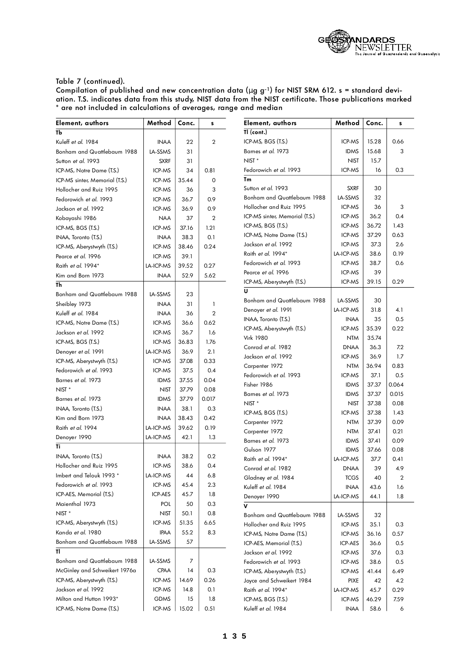

| TI (cont.)<br>TЬ<br>ICP-MS, BGS (T.S.)<br>ICP-MS<br>15.28<br>0.66<br>Kuleff et al. 1984<br><b>INAA</b><br>22<br>$\overline{2}$<br>Barnes et al. 1973<br>15.68<br><b>IDMS</b><br>3<br>Bonham and Quattlebaum 1988<br>LA-SSMS<br>31<br>NIST <sup>*</sup><br>15.7<br><b>NIST</b><br>Sutton et al. 1993<br><b>SXRF</b><br>31<br>Fedorowich et al. 1993<br>0.3<br>ICP-MS<br>16<br>ICP-MS, Notre Dame (T.S.)<br>ICP-MS<br>34<br>0.81<br>Tm<br>ICP-MS sinter, Memorial (T.S.)<br>ICP-MS<br>35.44<br>0<br>Sutton et al. 1993<br>30<br><b>SXRF</b><br>Hollocher and Ruiz 1995<br>ICP-MS<br>3<br>36<br>Bonham and Quattlebaum 1988<br>LA-SSMS<br>32<br>Fedorowich et al. 1993<br>ICP-MS<br>36.7<br>0.9<br>Hollocher and Ruiz 1995<br>ICP-MS<br>36<br>3<br>Jackson et al. 1992<br>ICP-MS<br>36.9<br>0.9<br>ICP-MS<br>0.4<br>ICP-MS sinter, Memorial (T.S.)<br>36.2<br>Kobayashi 1986<br>37<br>$\overline{2}$<br><b>NAA</b><br>ICP-MS<br>36.72<br>1.43<br>ICP-MS, BGS (T.S.)<br>ICP-MS, BGS (T.S.)<br>ICP-MS<br>37.16<br>1.21<br>ICP-MS<br>37.29<br>0.63<br>ICP-MS, Notre Dame (T.S.)<br><b>INAA</b><br>38.3<br>0.1<br>INAA, Toronto (T.S.)<br>Jackson et al. 1992<br>ICP-MS<br>37.3<br>2.6<br>ICP-MS, Aberystwyth (T.S.)<br>ICP-MS<br>38.46<br>0.24<br>Raith et al. 1994*<br>LA-ICP-MS<br>38.6<br>0.19<br>39.1<br>Pearce et al. 1996<br>ICP-MS<br>Fedorowich et al. 1993<br>ICP-MS<br>38.7<br>0.6<br>Raith et al. 1994*<br>LA-ICP-MS<br>39.52<br>0.27<br>Pearce et al. 1996<br>ICP-MS<br>39<br>52.9<br>Kim and Born 1973<br><b>INAA</b><br>5.62<br>ICP-MS<br>39.15<br>0.29<br>ICP-MS, Aberystwyth (T.S.)<br>Th<br>U<br>Bonham and Quattlebaum 1988<br>LA-SSMS<br>23<br>Bonham and Quattlebaum 1988<br>LA-SSMS<br>30<br>Sheibley 1973<br><b>INAA</b><br>31<br>$\mathbf{1}$<br>LA-ICP-MS<br>31.8<br>4.1<br>Denoyer et al. 1991<br>Kuleff et al. 1984<br>$\overline{2}$<br><b>INAA</b><br>36<br>INAA, Toronto (T.S.)<br><b>INAA</b><br>35<br>0.5<br>ICP-MS, Notre Dame (T.S.)<br>ICP-MS<br>36.6<br>0.62<br>ICP-MS<br>35.39<br>0.22<br>ICP-MS, Aberystwyth (T.S.)<br>Jackson et al. 1992<br>ICP-MS<br>36.7<br>1.6<br><b>Virk 1980</b><br><b>NTM</b><br>35.74<br>ICP-MS, BGS (T.S.)<br>ICP-MS<br>36.83<br>1.76<br>Conrad et al. 1982<br><b>DNAA</b><br>36.3<br>7.2<br>LA-ICP-MS<br>36.9<br>2.1<br>Denoyer et al. 1991<br>1.7<br>Jackson et al. 1992<br>ICP-MS<br>36.9<br>ICP-MS<br>ICP-MS, Aberystwyth (T.S.)<br>37.08<br>0.33<br><b>NTM</b><br>36.94<br>0.83<br>Carpenter 1972<br>Fedorowich et al. 1993<br>ICP-MS<br>37.5<br>0.4<br>Fedorowich et al. 1993<br>ICP-MS<br>37.1<br>0.5<br>0.04<br>Barnes et al. 1973<br><b>IDMS</b><br>37.55<br>Fisher 1986<br><b>IDMS</b><br>37.37<br>0.064<br>0.08<br>NIST <sup>*</sup><br><b>NIST</b><br>37.79<br>Barnes et al. 1973<br><b>IDMS</b><br>37.37<br>0.015<br>0.017<br>Barnes et al. 1973<br><b>IDMS</b><br>37.79<br>0.08<br>NIST <sup>*</sup><br>37.38<br><b>NIST</b><br><b>INAA</b><br>38.1<br>0.3<br>INAA, Toronto (T.S.)<br>ICP-MS<br>37.38<br>1.43<br>ICP-MS, BGS (T.S.)<br>0.42<br>Kim and Born 1973<br><b>INAA</b><br>38.43<br>0.09<br><b>NTM</b><br>37.39<br>Carpenter 1972<br>0.19<br>Raith et al. 1994<br>LA-ICP-MS<br>39.62<br>0.21<br><b>NTM</b><br>37.41<br>Carpenter 1972<br>LA-ICP-MS<br>42.1<br>1.3<br>Denoyer 1990<br>Barnes et al. 1973<br>37.41<br>0.09<br><b>IDMS</b> |
|------------------------------------------------------------------------------------------------------------------------------------------------------------------------------------------------------------------------------------------------------------------------------------------------------------------------------------------------------------------------------------------------------------------------------------------------------------------------------------------------------------------------------------------------------------------------------------------------------------------------------------------------------------------------------------------------------------------------------------------------------------------------------------------------------------------------------------------------------------------------------------------------------------------------------------------------------------------------------------------------------------------------------------------------------------------------------------------------------------------------------------------------------------------------------------------------------------------------------------------------------------------------------------------------------------------------------------------------------------------------------------------------------------------------------------------------------------------------------------------------------------------------------------------------------------------------------------------------------------------------------------------------------------------------------------------------------------------------------------------------------------------------------------------------------------------------------------------------------------------------------------------------------------------------------------------------------------------------------------------------------------------------------------------------------------------------------------------------------------------------------------------------------------------------------------------------------------------------------------------------------------------------------------------------------------------------------------------------------------------------------------------------------------------------------------------------------------------------------------------------------------------------------------------------------------------------------------------------------------------------------------------------------------------------------------------------------------------------------------------------------------------------------------------------------------------------------------------------------------------------------------------------------------------------------------------------------------------------------------------------------------------------------------------------------------------------------------------------------------------------------------------------------------------------------------------------------------------------------------------------------------------------------------------------------------------------|
|                                                                                                                                                                                                                                                                                                                                                                                                                                                                                                                                                                                                                                                                                                                                                                                                                                                                                                                                                                                                                                                                                                                                                                                                                                                                                                                                                                                                                                                                                                                                                                                                                                                                                                                                                                                                                                                                                                                                                                                                                                                                                                                                                                                                                                                                                                                                                                                                                                                                                                                                                                                                                                                                                                                                                                                                                                                                                                                                                                                                                                                                                                                                                                                                                                                                                                                        |
|                                                                                                                                                                                                                                                                                                                                                                                                                                                                                                                                                                                                                                                                                                                                                                                                                                                                                                                                                                                                                                                                                                                                                                                                                                                                                                                                                                                                                                                                                                                                                                                                                                                                                                                                                                                                                                                                                                                                                                                                                                                                                                                                                                                                                                                                                                                                                                                                                                                                                                                                                                                                                                                                                                                                                                                                                                                                                                                                                                                                                                                                                                                                                                                                                                                                                                                        |
|                                                                                                                                                                                                                                                                                                                                                                                                                                                                                                                                                                                                                                                                                                                                                                                                                                                                                                                                                                                                                                                                                                                                                                                                                                                                                                                                                                                                                                                                                                                                                                                                                                                                                                                                                                                                                                                                                                                                                                                                                                                                                                                                                                                                                                                                                                                                                                                                                                                                                                                                                                                                                                                                                                                                                                                                                                                                                                                                                                                                                                                                                                                                                                                                                                                                                                                        |
|                                                                                                                                                                                                                                                                                                                                                                                                                                                                                                                                                                                                                                                                                                                                                                                                                                                                                                                                                                                                                                                                                                                                                                                                                                                                                                                                                                                                                                                                                                                                                                                                                                                                                                                                                                                                                                                                                                                                                                                                                                                                                                                                                                                                                                                                                                                                                                                                                                                                                                                                                                                                                                                                                                                                                                                                                                                                                                                                                                                                                                                                                                                                                                                                                                                                                                                        |
|                                                                                                                                                                                                                                                                                                                                                                                                                                                                                                                                                                                                                                                                                                                                                                                                                                                                                                                                                                                                                                                                                                                                                                                                                                                                                                                                                                                                                                                                                                                                                                                                                                                                                                                                                                                                                                                                                                                                                                                                                                                                                                                                                                                                                                                                                                                                                                                                                                                                                                                                                                                                                                                                                                                                                                                                                                                                                                                                                                                                                                                                                                                                                                                                                                                                                                                        |
|                                                                                                                                                                                                                                                                                                                                                                                                                                                                                                                                                                                                                                                                                                                                                                                                                                                                                                                                                                                                                                                                                                                                                                                                                                                                                                                                                                                                                                                                                                                                                                                                                                                                                                                                                                                                                                                                                                                                                                                                                                                                                                                                                                                                                                                                                                                                                                                                                                                                                                                                                                                                                                                                                                                                                                                                                                                                                                                                                                                                                                                                                                                                                                                                                                                                                                                        |
|                                                                                                                                                                                                                                                                                                                                                                                                                                                                                                                                                                                                                                                                                                                                                                                                                                                                                                                                                                                                                                                                                                                                                                                                                                                                                                                                                                                                                                                                                                                                                                                                                                                                                                                                                                                                                                                                                                                                                                                                                                                                                                                                                                                                                                                                                                                                                                                                                                                                                                                                                                                                                                                                                                                                                                                                                                                                                                                                                                                                                                                                                                                                                                                                                                                                                                                        |
|                                                                                                                                                                                                                                                                                                                                                                                                                                                                                                                                                                                                                                                                                                                                                                                                                                                                                                                                                                                                                                                                                                                                                                                                                                                                                                                                                                                                                                                                                                                                                                                                                                                                                                                                                                                                                                                                                                                                                                                                                                                                                                                                                                                                                                                                                                                                                                                                                                                                                                                                                                                                                                                                                                                                                                                                                                                                                                                                                                                                                                                                                                                                                                                                                                                                                                                        |
|                                                                                                                                                                                                                                                                                                                                                                                                                                                                                                                                                                                                                                                                                                                                                                                                                                                                                                                                                                                                                                                                                                                                                                                                                                                                                                                                                                                                                                                                                                                                                                                                                                                                                                                                                                                                                                                                                                                                                                                                                                                                                                                                                                                                                                                                                                                                                                                                                                                                                                                                                                                                                                                                                                                                                                                                                                                                                                                                                                                                                                                                                                                                                                                                                                                                                                                        |
|                                                                                                                                                                                                                                                                                                                                                                                                                                                                                                                                                                                                                                                                                                                                                                                                                                                                                                                                                                                                                                                                                                                                                                                                                                                                                                                                                                                                                                                                                                                                                                                                                                                                                                                                                                                                                                                                                                                                                                                                                                                                                                                                                                                                                                                                                                                                                                                                                                                                                                                                                                                                                                                                                                                                                                                                                                                                                                                                                                                                                                                                                                                                                                                                                                                                                                                        |
|                                                                                                                                                                                                                                                                                                                                                                                                                                                                                                                                                                                                                                                                                                                                                                                                                                                                                                                                                                                                                                                                                                                                                                                                                                                                                                                                                                                                                                                                                                                                                                                                                                                                                                                                                                                                                                                                                                                                                                                                                                                                                                                                                                                                                                                                                                                                                                                                                                                                                                                                                                                                                                                                                                                                                                                                                                                                                                                                                                                                                                                                                                                                                                                                                                                                                                                        |
|                                                                                                                                                                                                                                                                                                                                                                                                                                                                                                                                                                                                                                                                                                                                                                                                                                                                                                                                                                                                                                                                                                                                                                                                                                                                                                                                                                                                                                                                                                                                                                                                                                                                                                                                                                                                                                                                                                                                                                                                                                                                                                                                                                                                                                                                                                                                                                                                                                                                                                                                                                                                                                                                                                                                                                                                                                                                                                                                                                                                                                                                                                                                                                                                                                                                                                                        |
|                                                                                                                                                                                                                                                                                                                                                                                                                                                                                                                                                                                                                                                                                                                                                                                                                                                                                                                                                                                                                                                                                                                                                                                                                                                                                                                                                                                                                                                                                                                                                                                                                                                                                                                                                                                                                                                                                                                                                                                                                                                                                                                                                                                                                                                                                                                                                                                                                                                                                                                                                                                                                                                                                                                                                                                                                                                                                                                                                                                                                                                                                                                                                                                                                                                                                                                        |
|                                                                                                                                                                                                                                                                                                                                                                                                                                                                                                                                                                                                                                                                                                                                                                                                                                                                                                                                                                                                                                                                                                                                                                                                                                                                                                                                                                                                                                                                                                                                                                                                                                                                                                                                                                                                                                                                                                                                                                                                                                                                                                                                                                                                                                                                                                                                                                                                                                                                                                                                                                                                                                                                                                                                                                                                                                                                                                                                                                                                                                                                                                                                                                                                                                                                                                                        |
|                                                                                                                                                                                                                                                                                                                                                                                                                                                                                                                                                                                                                                                                                                                                                                                                                                                                                                                                                                                                                                                                                                                                                                                                                                                                                                                                                                                                                                                                                                                                                                                                                                                                                                                                                                                                                                                                                                                                                                                                                                                                                                                                                                                                                                                                                                                                                                                                                                                                                                                                                                                                                                                                                                                                                                                                                                                                                                                                                                                                                                                                                                                                                                                                                                                                                                                        |
|                                                                                                                                                                                                                                                                                                                                                                                                                                                                                                                                                                                                                                                                                                                                                                                                                                                                                                                                                                                                                                                                                                                                                                                                                                                                                                                                                                                                                                                                                                                                                                                                                                                                                                                                                                                                                                                                                                                                                                                                                                                                                                                                                                                                                                                                                                                                                                                                                                                                                                                                                                                                                                                                                                                                                                                                                                                                                                                                                                                                                                                                                                                                                                                                                                                                                                                        |
|                                                                                                                                                                                                                                                                                                                                                                                                                                                                                                                                                                                                                                                                                                                                                                                                                                                                                                                                                                                                                                                                                                                                                                                                                                                                                                                                                                                                                                                                                                                                                                                                                                                                                                                                                                                                                                                                                                                                                                                                                                                                                                                                                                                                                                                                                                                                                                                                                                                                                                                                                                                                                                                                                                                                                                                                                                                                                                                                                                                                                                                                                                                                                                                                                                                                                                                        |
|                                                                                                                                                                                                                                                                                                                                                                                                                                                                                                                                                                                                                                                                                                                                                                                                                                                                                                                                                                                                                                                                                                                                                                                                                                                                                                                                                                                                                                                                                                                                                                                                                                                                                                                                                                                                                                                                                                                                                                                                                                                                                                                                                                                                                                                                                                                                                                                                                                                                                                                                                                                                                                                                                                                                                                                                                                                                                                                                                                                                                                                                                                                                                                                                                                                                                                                        |
|                                                                                                                                                                                                                                                                                                                                                                                                                                                                                                                                                                                                                                                                                                                                                                                                                                                                                                                                                                                                                                                                                                                                                                                                                                                                                                                                                                                                                                                                                                                                                                                                                                                                                                                                                                                                                                                                                                                                                                                                                                                                                                                                                                                                                                                                                                                                                                                                                                                                                                                                                                                                                                                                                                                                                                                                                                                                                                                                                                                                                                                                                                                                                                                                                                                                                                                        |
|                                                                                                                                                                                                                                                                                                                                                                                                                                                                                                                                                                                                                                                                                                                                                                                                                                                                                                                                                                                                                                                                                                                                                                                                                                                                                                                                                                                                                                                                                                                                                                                                                                                                                                                                                                                                                                                                                                                                                                                                                                                                                                                                                                                                                                                                                                                                                                                                                                                                                                                                                                                                                                                                                                                                                                                                                                                                                                                                                                                                                                                                                                                                                                                                                                                                                                                        |
|                                                                                                                                                                                                                                                                                                                                                                                                                                                                                                                                                                                                                                                                                                                                                                                                                                                                                                                                                                                                                                                                                                                                                                                                                                                                                                                                                                                                                                                                                                                                                                                                                                                                                                                                                                                                                                                                                                                                                                                                                                                                                                                                                                                                                                                                                                                                                                                                                                                                                                                                                                                                                                                                                                                                                                                                                                                                                                                                                                                                                                                                                                                                                                                                                                                                                                                        |
|                                                                                                                                                                                                                                                                                                                                                                                                                                                                                                                                                                                                                                                                                                                                                                                                                                                                                                                                                                                                                                                                                                                                                                                                                                                                                                                                                                                                                                                                                                                                                                                                                                                                                                                                                                                                                                                                                                                                                                                                                                                                                                                                                                                                                                                                                                                                                                                                                                                                                                                                                                                                                                                                                                                                                                                                                                                                                                                                                                                                                                                                                                                                                                                                                                                                                                                        |
|                                                                                                                                                                                                                                                                                                                                                                                                                                                                                                                                                                                                                                                                                                                                                                                                                                                                                                                                                                                                                                                                                                                                                                                                                                                                                                                                                                                                                                                                                                                                                                                                                                                                                                                                                                                                                                                                                                                                                                                                                                                                                                                                                                                                                                                                                                                                                                                                                                                                                                                                                                                                                                                                                                                                                                                                                                                                                                                                                                                                                                                                                                                                                                                                                                                                                                                        |
|                                                                                                                                                                                                                                                                                                                                                                                                                                                                                                                                                                                                                                                                                                                                                                                                                                                                                                                                                                                                                                                                                                                                                                                                                                                                                                                                                                                                                                                                                                                                                                                                                                                                                                                                                                                                                                                                                                                                                                                                                                                                                                                                                                                                                                                                                                                                                                                                                                                                                                                                                                                                                                                                                                                                                                                                                                                                                                                                                                                                                                                                                                                                                                                                                                                                                                                        |
|                                                                                                                                                                                                                                                                                                                                                                                                                                                                                                                                                                                                                                                                                                                                                                                                                                                                                                                                                                                                                                                                                                                                                                                                                                                                                                                                                                                                                                                                                                                                                                                                                                                                                                                                                                                                                                                                                                                                                                                                                                                                                                                                                                                                                                                                                                                                                                                                                                                                                                                                                                                                                                                                                                                                                                                                                                                                                                                                                                                                                                                                                                                                                                                                                                                                                                                        |
|                                                                                                                                                                                                                                                                                                                                                                                                                                                                                                                                                                                                                                                                                                                                                                                                                                                                                                                                                                                                                                                                                                                                                                                                                                                                                                                                                                                                                                                                                                                                                                                                                                                                                                                                                                                                                                                                                                                                                                                                                                                                                                                                                                                                                                                                                                                                                                                                                                                                                                                                                                                                                                                                                                                                                                                                                                                                                                                                                                                                                                                                                                                                                                                                                                                                                                                        |
|                                                                                                                                                                                                                                                                                                                                                                                                                                                                                                                                                                                                                                                                                                                                                                                                                                                                                                                                                                                                                                                                                                                                                                                                                                                                                                                                                                                                                                                                                                                                                                                                                                                                                                                                                                                                                                                                                                                                                                                                                                                                                                                                                                                                                                                                                                                                                                                                                                                                                                                                                                                                                                                                                                                                                                                                                                                                                                                                                                                                                                                                                                                                                                                                                                                                                                                        |
|                                                                                                                                                                                                                                                                                                                                                                                                                                                                                                                                                                                                                                                                                                                                                                                                                                                                                                                                                                                                                                                                                                                                                                                                                                                                                                                                                                                                                                                                                                                                                                                                                                                                                                                                                                                                                                                                                                                                                                                                                                                                                                                                                                                                                                                                                                                                                                                                                                                                                                                                                                                                                                                                                                                                                                                                                                                                                                                                                                                                                                                                                                                                                                                                                                                                                                                        |
|                                                                                                                                                                                                                                                                                                                                                                                                                                                                                                                                                                                                                                                                                                                                                                                                                                                                                                                                                                                                                                                                                                                                                                                                                                                                                                                                                                                                                                                                                                                                                                                                                                                                                                                                                                                                                                                                                                                                                                                                                                                                                                                                                                                                                                                                                                                                                                                                                                                                                                                                                                                                                                                                                                                                                                                                                                                                                                                                                                                                                                                                                                                                                                                                                                                                                                                        |
|                                                                                                                                                                                                                                                                                                                                                                                                                                                                                                                                                                                                                                                                                                                                                                                                                                                                                                                                                                                                                                                                                                                                                                                                                                                                                                                                                                                                                                                                                                                                                                                                                                                                                                                                                                                                                                                                                                                                                                                                                                                                                                                                                                                                                                                                                                                                                                                                                                                                                                                                                                                                                                                                                                                                                                                                                                                                                                                                                                                                                                                                                                                                                                                                                                                                                                                        |
|                                                                                                                                                                                                                                                                                                                                                                                                                                                                                                                                                                                                                                                                                                                                                                                                                                                                                                                                                                                                                                                                                                                                                                                                                                                                                                                                                                                                                                                                                                                                                                                                                                                                                                                                                                                                                                                                                                                                                                                                                                                                                                                                                                                                                                                                                                                                                                                                                                                                                                                                                                                                                                                                                                                                                                                                                                                                                                                                                                                                                                                                                                                                                                                                                                                                                                                        |
|                                                                                                                                                                                                                                                                                                                                                                                                                                                                                                                                                                                                                                                                                                                                                                                                                                                                                                                                                                                                                                                                                                                                                                                                                                                                                                                                                                                                                                                                                                                                                                                                                                                                                                                                                                                                                                                                                                                                                                                                                                                                                                                                                                                                                                                                                                                                                                                                                                                                                                                                                                                                                                                                                                                                                                                                                                                                                                                                                                                                                                                                                                                                                                                                                                                                                                                        |
|                                                                                                                                                                                                                                                                                                                                                                                                                                                                                                                                                                                                                                                                                                                                                                                                                                                                                                                                                                                                                                                                                                                                                                                                                                                                                                                                                                                                                                                                                                                                                                                                                                                                                                                                                                                                                                                                                                                                                                                                                                                                                                                                                                                                                                                                                                                                                                                                                                                                                                                                                                                                                                                                                                                                                                                                                                                                                                                                                                                                                                                                                                                                                                                                                                                                                                                        |
| Ti                                                                                                                                                                                                                                                                                                                                                                                                                                                                                                                                                                                                                                                                                                                                                                                                                                                                                                                                                                                                                                                                                                                                                                                                                                                                                                                                                                                                                                                                                                                                                                                                                                                                                                                                                                                                                                                                                                                                                                                                                                                                                                                                                                                                                                                                                                                                                                                                                                                                                                                                                                                                                                                                                                                                                                                                                                                                                                                                                                                                                                                                                                                                                                                                                                                                                                                     |
| Gulson 1977<br><b>IDMS</b><br>37.66<br>0.08<br>INAA, Toronto (T.S.)<br>38.2<br>0.2<br><b>INAA</b>                                                                                                                                                                                                                                                                                                                                                                                                                                                                                                                                                                                                                                                                                                                                                                                                                                                                                                                                                                                                                                                                                                                                                                                                                                                                                                                                                                                                                                                                                                                                                                                                                                                                                                                                                                                                                                                                                                                                                                                                                                                                                                                                                                                                                                                                                                                                                                                                                                                                                                                                                                                                                                                                                                                                                                                                                                                                                                                                                                                                                                                                                                                                                                                                                      |
| Raith et al. 1994*<br>LA-ICP-MS<br>37.7<br>0.41<br>ICP-MS<br>Hollocher and Ruiz 1995<br>38.6<br>0.4                                                                                                                                                                                                                                                                                                                                                                                                                                                                                                                                                                                                                                                                                                                                                                                                                                                                                                                                                                                                                                                                                                                                                                                                                                                                                                                                                                                                                                                                                                                                                                                                                                                                                                                                                                                                                                                                                                                                                                                                                                                                                                                                                                                                                                                                                                                                                                                                                                                                                                                                                                                                                                                                                                                                                                                                                                                                                                                                                                                                                                                                                                                                                                                                                    |
| 39<br><b>DNAA</b><br>4.9<br>Conrad et al. 1982<br>LA-ICP-MS<br>6.8<br>Imbert and Telouk 1993 *<br>44                                                                                                                                                                                                                                                                                                                                                                                                                                                                                                                                                                                                                                                                                                                                                                                                                                                                                                                                                                                                                                                                                                                                                                                                                                                                                                                                                                                                                                                                                                                                                                                                                                                                                                                                                                                                                                                                                                                                                                                                                                                                                                                                                                                                                                                                                                                                                                                                                                                                                                                                                                                                                                                                                                                                                                                                                                                                                                                                                                                                                                                                                                                                                                                                                   |
| Gladney et al. 1984<br><b>TCGS</b><br>40<br>2<br>Fedorowich et al. 1993<br>ICP-MS<br>45.4<br>2.3<br>Kuleff et al. 1984<br>43.6                                                                                                                                                                                                                                                                                                                                                                                                                                                                                                                                                                                                                                                                                                                                                                                                                                                                                                                                                                                                                                                                                                                                                                                                                                                                                                                                                                                                                                                                                                                                                                                                                                                                                                                                                                                                                                                                                                                                                                                                                                                                                                                                                                                                                                                                                                                                                                                                                                                                                                                                                                                                                                                                                                                                                                                                                                                                                                                                                                                                                                                                                                                                                                                         |
| <b>INAA</b><br>1.6<br>ICP-AES, Memorial (T.S.)<br>ICP-AES<br>45.7<br>1.8                                                                                                                                                                                                                                                                                                                                                                                                                                                                                                                                                                                                                                                                                                                                                                                                                                                                                                                                                                                                                                                                                                                                                                                                                                                                                                                                                                                                                                                                                                                                                                                                                                                                                                                                                                                                                                                                                                                                                                                                                                                                                                                                                                                                                                                                                                                                                                                                                                                                                                                                                                                                                                                                                                                                                                                                                                                                                                                                                                                                                                                                                                                                                                                                                                               |
| Denoyer 1990<br>LA-ICP-MS<br>44.1<br>1.8<br>$0.3\,$<br>Maienthal 1973<br>POL<br>50<br>v                                                                                                                                                                                                                                                                                                                                                                                                                                                                                                                                                                                                                                                                                                                                                                                                                                                                                                                                                                                                                                                                                                                                                                                                                                                                                                                                                                                                                                                                                                                                                                                                                                                                                                                                                                                                                                                                                                                                                                                                                                                                                                                                                                                                                                                                                                                                                                                                                                                                                                                                                                                                                                                                                                                                                                                                                                                                                                                                                                                                                                                                                                                                                                                                                                |
| NIST <sup>*</sup><br><b>NIST</b><br>50.1<br>0.8<br>LA-SSMS                                                                                                                                                                                                                                                                                                                                                                                                                                                                                                                                                                                                                                                                                                                                                                                                                                                                                                                                                                                                                                                                                                                                                                                                                                                                                                                                                                                                                                                                                                                                                                                                                                                                                                                                                                                                                                                                                                                                                                                                                                                                                                                                                                                                                                                                                                                                                                                                                                                                                                                                                                                                                                                                                                                                                                                                                                                                                                                                                                                                                                                                                                                                                                                                                                                             |
| Bonham and Quattlebaum 1988<br>32<br>ICP-MS, Aberystwyth (T.S.)<br>ICP-MS<br>51.35<br>6.65<br>Hollocher and Ruiz 1995<br>ICP-MS                                                                                                                                                                                                                                                                                                                                                                                                                                                                                                                                                                                                                                                                                                                                                                                                                                                                                                                                                                                                                                                                                                                                                                                                                                                                                                                                                                                                                                                                                                                                                                                                                                                                                                                                                                                                                                                                                                                                                                                                                                                                                                                                                                                                                                                                                                                                                                                                                                                                                                                                                                                                                                                                                                                                                                                                                                                                                                                                                                                                                                                                                                                                                                                        |
| 35.1<br>0.3<br>Kanda et al. 1980<br>8.3<br>55.2<br><b>IPAA</b><br>ICP-MS, Notre Dame (T.S.)<br>ICP-MS<br>36.16<br>0.57                                                                                                                                                                                                                                                                                                                                                                                                                                                                                                                                                                                                                                                                                                                                                                                                                                                                                                                                                                                                                                                                                                                                                                                                                                                                                                                                                                                                                                                                                                                                                                                                                                                                                                                                                                                                                                                                                                                                                                                                                                                                                                                                                                                                                                                                                                                                                                                                                                                                                                                                                                                                                                                                                                                                                                                                                                                                                                                                                                                                                                                                                                                                                                                                 |
| Bonham and Quattlebaum 1988<br>LA-SSMS<br>57<br>ICP-AES, Memorial (T.S.)<br>ICP-AES<br>36.6<br>0.5                                                                                                                                                                                                                                                                                                                                                                                                                                                                                                                                                                                                                                                                                                                                                                                                                                                                                                                                                                                                                                                                                                                                                                                                                                                                                                                                                                                                                                                                                                                                                                                                                                                                                                                                                                                                                                                                                                                                                                                                                                                                                                                                                                                                                                                                                                                                                                                                                                                                                                                                                                                                                                                                                                                                                                                                                                                                                                                                                                                                                                                                                                                                                                                                                     |
| π<br>Jackson et al. 1992<br>ICP-MS<br>37.6<br>0.3                                                                                                                                                                                                                                                                                                                                                                                                                                                                                                                                                                                                                                                                                                                                                                                                                                                                                                                                                                                                                                                                                                                                                                                                                                                                                                                                                                                                                                                                                                                                                                                                                                                                                                                                                                                                                                                                                                                                                                                                                                                                                                                                                                                                                                                                                                                                                                                                                                                                                                                                                                                                                                                                                                                                                                                                                                                                                                                                                                                                                                                                                                                                                                                                                                                                      |
| Bonham and Quattlebaum 1988<br>LA-SSMS<br>7                                                                                                                                                                                                                                                                                                                                                                                                                                                                                                                                                                                                                                                                                                                                                                                                                                                                                                                                                                                                                                                                                                                                                                                                                                                                                                                                                                                                                                                                                                                                                                                                                                                                                                                                                                                                                                                                                                                                                                                                                                                                                                                                                                                                                                                                                                                                                                                                                                                                                                                                                                                                                                                                                                                                                                                                                                                                                                                                                                                                                                                                                                                                                                                                                                                                            |
| Fedorowich et al. 1993<br>ICP-MS<br>38.6<br>0.5<br>McGinley and Schweikert 1976a<br>CPAA<br>0.3<br>14<br>ICP-MS, Aberystwyth (T.S.)<br>ICP-MS<br>6.49<br>41.44                                                                                                                                                                                                                                                                                                                                                                                                                                                                                                                                                                                                                                                                                                                                                                                                                                                                                                                                                                                                                                                                                                                                                                                                                                                                                                                                                                                                                                                                                                                                                                                                                                                                                                                                                                                                                                                                                                                                                                                                                                                                                                                                                                                                                                                                                                                                                                                                                                                                                                                                                                                                                                                                                                                                                                                                                                                                                                                                                                                                                                                                                                                                                         |
| ICP-MS, Aberystwyth (T.S.)<br>ICP-MS<br>14.69<br>0.26<br>Joyce and Schweikert 1984<br><b>PIXE</b><br>42<br>4.2                                                                                                                                                                                                                                                                                                                                                                                                                                                                                                                                                                                                                                                                                                                                                                                                                                                                                                                                                                                                                                                                                                                                                                                                                                                                                                                                                                                                                                                                                                                                                                                                                                                                                                                                                                                                                                                                                                                                                                                                                                                                                                                                                                                                                                                                                                                                                                                                                                                                                                                                                                                                                                                                                                                                                                                                                                                                                                                                                                                                                                                                                                                                                                                                         |
| Jackson et al. 1992<br>ICP-MS<br>0.1<br>14.8<br>Raith et al. 1994*<br>LA-ICP-MS<br>0.29<br>45.7                                                                                                                                                                                                                                                                                                                                                                                                                                                                                                                                                                                                                                                                                                                                                                                                                                                                                                                                                                                                                                                                                                                                                                                                                                                                                                                                                                                                                                                                                                                                                                                                                                                                                                                                                                                                                                                                                                                                                                                                                                                                                                                                                                                                                                                                                                                                                                                                                                                                                                                                                                                                                                                                                                                                                                                                                                                                                                                                                                                                                                                                                                                                                                                                                        |
| Milton and Hutton 1993*<br>GDMS<br>1.8<br>15<br>ICP-MS, BGS (T.S.)<br>ICP-MS<br>7.59<br>46.29                                                                                                                                                                                                                                                                                                                                                                                                                                                                                                                                                                                                                                                                                                                                                                                                                                                                                                                                                                                                                                                                                                                                                                                                                                                                                                                                                                                                                                                                                                                                                                                                                                                                                                                                                                                                                                                                                                                                                                                                                                                                                                                                                                                                                                                                                                                                                                                                                                                                                                                                                                                                                                                                                                                                                                                                                                                                                                                                                                                                                                                                                                                                                                                                                          |
| ICP-MS<br>ICP-MS, Notre Dame (T.S.)<br>15.02<br>0.51<br>Kuleff et al. 1984<br><b>INAA</b><br>58.6<br>6                                                                                                                                                                                                                                                                                                                                                                                                                                                                                                                                                                                                                                                                                                                                                                                                                                                                                                                                                                                                                                                                                                                                                                                                                                                                                                                                                                                                                                                                                                                                                                                                                                                                                                                                                                                                                                                                                                                                                                                                                                                                                                                                                                                                                                                                                                                                                                                                                                                                                                                                                                                                                                                                                                                                                                                                                                                                                                                                                                                                                                                                                                                                                                                                                 |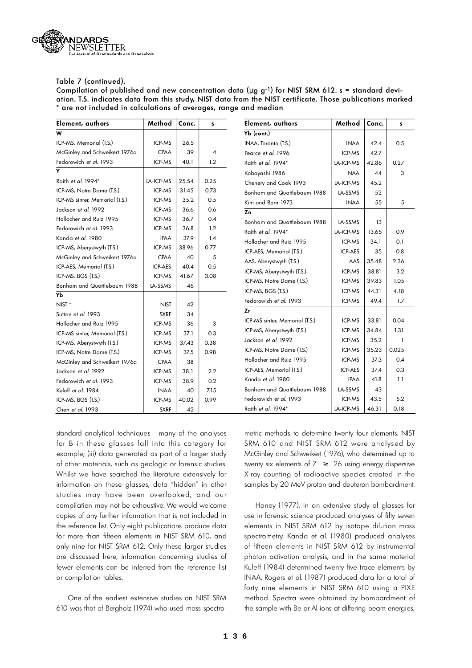

Compilation of published and new concentration data ( $\mu$  g g<sup>-1</sup>) for NIST SRM 612. s = standard deviation. T.S. indicates data from this study, NIST data from the NIST certificate. Those publications marke d \* are not included in calculations of averages, range and median

| Element, authors               | Method      | Conc. | s    | Element, authors               | Method           | Conc. | s            |
|--------------------------------|-------------|-------|------|--------------------------------|------------------|-------|--------------|
| W                              |             |       |      | $Yb$ (cont.)                   |                  |       |              |
| ICP-MS, Memorial (T.S.)        | ICP-MS      | 26.5  |      | INAA, Toronto (T.S.)           | <b>INAA</b>      | 42.4  | 0.5          |
| McGinley and Schweikert 1976a  | <b>CPAA</b> | 39    | 4    | Pearce et al. 1996             | ICP-MS           | 42.7  |              |
| Fedorowich et al. 1993         | ICP-MS      | 40.1  | 1.2  | Raith et al. 1994*             | LA-ICP-MS        | 42.86 | 0.27         |
| Y                              |             |       |      | Kobayashi 1986                 | <b>NAA</b>       | 44    | 3            |
| Raith et al. 1994*             | LA-ICP-MS   | 25.54 | 0.25 | Chenery and Cook 1993          | <b>LA-ICP-MS</b> | 45.2  |              |
| ICP-MS, Notre Dame (T.S.)      | ICP-MS      | 31.45 | 0.73 | Bonham and Quattlebaum 1988    | LA-SSMS          | 52    |              |
| ICP-MS sinter, Memorial (T.S.) | ICP-MS      | 35.2  | 0.5  | Kim and Born 1973              | <b>INAA</b>      | 55    | 5            |
| Jackson et al. 1992            | ICP-MS      | 36.6  | 0.6  | Zn                             |                  |       |              |
| Hollocher and Ruiz 1995        | ICP-MS      | 36.7  | 0.4  | Bonham and Quattlebaum 1988    | LA-SSMS          | 13    |              |
| Fedorowich et al. 1993         | ICP-MS      | 36.8  | 1.2  | Raith et al. 1994*             | LA-ICP-MS        | 13.65 | 0.9          |
| Kanda et al. 1980              | <b>IPAA</b> | 37.9  | 1.4  | Hollocher and Ruiz 1995        | ICP-MS           | 34.1  | 0.1          |
| ICP-MS, Aberystwyth (T.S.)     | ICP-MS      | 38.96 | 0.77 | ICP-AES, Memorial (T.S.)       | ICP-AES          | 35    | 0.8          |
| McGinley and Schweikert 1976a  | <b>CPAA</b> | 40    | 5    | AAS, Aberystwyth (T.S.)        | AAS              | 35.48 | 2.36         |
| ICP-AES, Memorial (T.S.)       | ICP-AES     | 40.4  | 0.5  | ICP-MS, Aberystwyth (T.S.)     | ICP-MS           | 38.81 | 3.2          |
| ICP-MS, BGS (T.S.)             | ICP-MS      | 41.67 | 3.08 | ICP-MS, Notre Dame (T.S.)      | ICP-MS           | 39.83 | 1.05         |
| Bonham and Quattlebaum 1988    | LA-SSMS     | 46    |      | ICP-MS, BGS (T.S.)             | ICP-MS           | 44.31 | 4.18         |
| Yb                             |             |       |      | Fedorowich et al. 1993         | ICP-MS           | 49.4  | 1.7          |
| NIST <sup>*</sup>              | <b>NIST</b> | 42    |      | $\overline{z}$ r               |                  |       |              |
| Sutton et al. 1993             | <b>SXRF</b> | 34    |      |                                |                  |       |              |
| Hollocher and Ruiz 1995        | ICP-MS      | 36    | 3    | ICP-MS sinter, Memorial (T.S.) | ICP-MS           | 33.81 | 0.04         |
| ICP-MS sinter, Memorial (T.S.) | ICP-MS      | 37.1  | 0.3  | ICP-MS, Aberystwyth (T.S.)     | ICP-MS           | 34.84 | 1.31         |
| ICP-MS, Aberystwyth (T.S.)     | ICP-MS      | 37.43 | 0.38 | Jackson et al. 1992            | ICP-MS           | 35.2  | $\mathbf{1}$ |
| ICP-MS, Notre Dame (T.S.)      | ICP-MS      | 37.5  | 0.98 | ICP-MS, Notre Dame (T.S.)      | ICP-MS           | 35.23 | 0.025        |
| McGinley and Schweikert 1976a  | <b>CPAA</b> | 38    |      | Hollocher and Ruiz 1995        | ICP-MS           | 37.3  | 0.4          |
| Jackson et al. 1992            | ICP-MS      | 38.1  | 2.2  | ICP-AES, Memorial (T.S.)       | <b>ICP-AES</b>   | 37.4  | 0.3          |
| Fedorowich et al. 1993         | ICP-MS      | 38.9  | 0.2  | Kanda et al. 1980              | <b>IPAA</b>      | 41.8  | 1.1          |
| Kuleff et al. 1984             | <b>INAA</b> | 40    | 7.15 | Bonham and Quattlebaum 1988    | LA-SSMS          | 43    |              |
| ICP-MS, BGS (T.S.)             | ICP-MS      | 40.02 | 0.99 | Fedorowich et al. 1993         | ICP-MS           | 43.5  | 5.2          |
| Chen et al. 1993               | <b>SXRF</b> | 42    |      | Raith et al. 1994*             | <b>LA-ICP-MS</b> | 46.31 | 0.18         |

standard analytical techniques - many of the analyses for B in these glasses fall into this category for example; (iii) data generated as part of a larger study of other materials, such as geologic or forensic studies. Whilst we have searched the literature extensively for information on these glasses, data "hidden" in other studies may have been overlooked, and our compilation may not be exhaustive. We would welcome copies of any further information that is not included in the reference list. Only eight publications produce data for more than fifteen elements in NIST SRM 610, and only nine for NIST SRM 612. Only these larger studies are discussed here, information concerning studies of fewer elements can be inferred from the reference list or compilation tables.

One of the earliest extensive studies on NIST SRM 610 was that of Bergholz (1974) who used mass spectrometric methods to determine twenty four elements. NIST SRM 610 and NIST SRM 612 were analysed by McGinley and Schweikert (1976), who determined up to twenty six elements of  $Z$   $26$  using energy dispersive X-ray counting of radioactive species created in the samples by 20 MeV proton and deuteron bombardment.

Haney (1977), in an extensive study of glasses for use in forensic science produced analyses of fifty seven elements in NIST SRM 612 by isotope dilution mass spectrometry. Kanda et al. (1980) produced analyses of fifteen elements in NIST SRM 612 by instrumental photon activation analysis, and in the same material Kuleff (1984) determined twenty five trace elements by INAA. Rogers et al. (1987) produced data for a total of forty nine elements in NIST SRM 610 using a PIXE method. Spectra were obtained by bombardment of the sample with Be or AI ions at differing beam energies,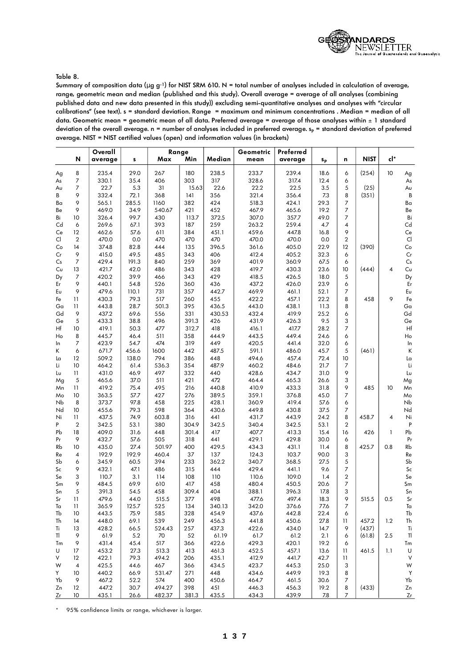

### Table 8.

Summary of composition data ( $\mu$  g g<sup>-1</sup>) for NIST SRM 610. N = total number of analyses included in calculation of average, range, geometric mean and median (published and this study). Overall average = average of all analyses (combining published data and new data presented in this study)) excluding semi-quantitative analyses and analyses with "circular calibrations" (see text). s = standard deviation. Range = maximum and minimum concentrations . Median = median of all data. Geometric mean = geometric mean of all data. Preferred average = average of those analyses within  $\pm 1$  standard deviation of the overall average.  $n =$  number of analyses included in preferred average.  $s_p =$  standard deviation of preferred average. NIST = NIST certified values (open) and information values (in brackets)

|    |                 | Overall |         | Range  |       |        | Geometric | Preferred |                |                |             |              |                      |
|----|-----------------|---------|---------|--------|-------|--------|-----------|-----------|----------------|----------------|-------------|--------------|----------------------|
|    | ${\sf N}$       | average | s       | Max    | Min   | Median | mean      | average   | S <sub>P</sub> | n              | <b>NIST</b> | cl*          |                      |
| Ag | 8               | 235.4   | 29.0    | 267    | 180   | 238.5  | 233.7     | 239.4     | 18.6           | 6              | (254)       | 10           | Ag                   |
| As | $\overline{7}$  | 330.1   | 35.4    | 406    | 303   | 317    | 328.6     | 317.4     | 12.4           | 6              |             |              | As                   |
| Aυ | $\overline{7}$  | 22.7    | 5.3     | 31     | 15.63 | 22.6   | 22.2      | 22.5      | 3.5            | 5              | (25)        |              | Aυ                   |
| В  | 9               | 332.4   | 72.1    | 368    | 4     | 356    | 321.4     | 356.4     | 7.3            | 8              | (351)       |              | B                    |
| Bα | 9               | 565.1   | 285.5   | 1160   | 382   | 424    | 518.3     | 424.1     | 29.3           | 7              |             |              | Ba                   |
| Be | 9               | 469.0   | 34.9    | 540.67 | 421   | 452    | 467.9     | 465.6     | 19.2           | $\overline{7}$ |             |              | Be                   |
| Bi | 10              | 326.4   | 99.7    | 430    | 113.7 | 372.5  | 307.0     | 357.7     | 49.0           | 7              |             |              | Bi                   |
| Cd | 6               | 269.6   | 67.1    | 393    | 187   | 259    | 263.2     | 259.4     | 4.7            | 4              |             |              | Cd                   |
| Ce | 12              | 462.6   | 57.6    | 611    | 384   | 451.1  | 459.6     | 447.8     | 16.8           | 9              |             |              | $\mathsf{Ce}$        |
| Cl | $\overline{2}$  | 470.0   | 0.0     | 470    | 470   | 470    | 470.0     | 470.0     | 0.0            | $\overline{2}$ |             |              | $\mathsf{Cl}\xspace$ |
| Co | 14              | 374.8   | 82.8    | 444    | 135   | 396.5  | 361.6     | 405.0     | 22.9           | 12             | (390)       |              | Co                   |
| Cr | 9               | 415.0   | 49.5    | 485    | 343   | 406    | 412.4     | 405.2     | 32.3           | 6              |             |              | Cr                   |
| Cs | 7               | 429.4   | 191.3   | 840    | 259   | 369    | 401.9     | 360.9     | 67.5           | 6              |             |              | $\mathsf{Cs}$        |
| Cυ | 13              | 421.7   | 42.0    | 486    | 343   | 428    | 419.7     | 430.3     | 23.6           | 10             | (444)       | 4            | $C\upsilon$          |
| Dy | 7               | 420.2   | 39.9    | 466    | 343   | 429    | 418.5     | 426.5     | 18.0           | 5              |             |              | Dy                   |
| Er | 9               | 440.1   | 54.8    | 526    | 360   | 436    | 437.2     | 426.0     | 23.9           | 6              |             |              | Er                   |
| Eυ | 9               | 479.6   | 110.1   | 731    | 357   | 442.7  | 469.9     | 461.1     | 52.1           | 7              |             |              | Eυ                   |
| Fe | $\mathbf{1}$    | 430.3   | 79.3    | 517    | 260   | 455    | 422.2     | 457.1     | 22.2           | 8              | 458         | 9            | Fe                   |
| Ga | 11              | 443.8   | 28.7    | 501.3  | 395   | 436.5  | 443.0     | 438.1     | 11.3           | 8              |             |              | Ga                   |
| Gd | 9               | 437.2   | 69.6    | 556    | 331   | 430.53 | 432.4     | 419.9     | 25.2           | 6              |             |              | Gd                   |
| Ge | 5               | 433.3   | 38.8    | 496    | 391.3 | 426    | 431.9     | 426.3     | 9.5            | 3              |             |              | Ge                   |
| Hf | 10              | 419.1   | 50.3    | 477    | 312.7 | 418    | 416.1     | 417.7     | 28.2           | 7              |             |              | Hf                   |
| Ho | 8               | 445.7   | 46.4    | 511    | 358   | 444.9  | 443.5     | 449.4     | 24.6           | 6              |             |              | Ho                   |
| In | $\overline{7}$  | 423.9   | 54.7    | 474    | 319   | 449    | 420.5     | 441.4     | 32.0           | 6              |             |              | In                   |
| K  | 6               | 671.7   | 456.6   | 1600   | 442   | 487.5  | 591.1     | 486.0     | 45.7           | 5              | (461)       |              | K                    |
| Lα | 12              | 509.2   | 138.0   | 794    | 386   | 448    | 494.6     | 457.4     | 72.4           | 10             |             |              | La                   |
| Li | 10              | 464.2   | 61.4    | 536.3  | 354   | 487.9  | 460.2     | 484.6     | 21.7           | $\overline{7}$ |             |              | Li                   |
| Lυ | 11              | 431.0   | 46.9    | 497    | 332   | 440    | 428.6     | 434.7     | 31.0           | 9              |             |              | Lυ                   |
| Mg | $\sqrt{5}$      | 465.6   | 37.0    | 511    | 421   | 472    | 464.4     | 465.3     | 26.6           | 3              |             |              | Mg                   |
| Mn | $\overline{11}$ | 419.2   | 75.4    | 495    | 216   | 440.8  | 410.9     | 433.3     | 31.8           | 9              | 485         | 10           | Mn                   |
| Mo | 10              | 363.5   | 57.7    | 427    | 276   | 389.5  | 359.1     | 376.8     | 45.0           | 7              |             |              | Mo                   |
| Nb | 8               | 373.7   | 97.8    | 458    | 225   | 428.1  | 360.9     | 419.4     | 57.6           | 6              |             |              | Nb                   |
| Nd | 10              | 455.6   | 79.3    | 598    | 364   | 430.6  | 449.8     | 430.8     | 37.5           | $\overline{7}$ |             |              | Nd                   |
| Ni | $\overline{11}$ | 437.5   | 74.9    | 603.8  | 316   | 441    | 431.7     | 443.9     | 24.2           | 8              | 458.7       | 4            | Ni                   |
| P  | $\overline{2}$  | 342.5   | 53.1    | 380    | 304.9 | 342.5  | 340.4     | 342.5     | 53.1           | $\overline{2}$ |             |              | $\mathsf{P}$         |
| Рb | 18              | 409.0   | 31.6    | 448    | 301.4 | 417    | 407.7     | 413.3     | 15.4           | 16             | 426         | $\mathbf{I}$ | Pb                   |
| Pr | 9               | 432.7   | 57.6    | 505    | 318   | 441    | 429.1     | 429.8     | 30.0           | 6              |             |              | Pr                   |
| Rb | 10              | 435.0   | 27.4    | 501.97 | 400   | 429.5  | 434.3     | 431.1     | 11.4           | 8              | 425.7       | 0.8          | Rb                   |
| Re | 4               | 192.9   | 192.9   | 460.4  | 37    | 137    | 124.3     | 103.7     | 90.0           | 3              |             |              | Re                   |
| Sb | 6               | 345.9   | 60.5    | 394    | 233   | 362.2  | 340.7     | 368.5     | 27.5           | 5              |             |              | Sb                   |
| Sc | 9               | 432.1   | 47.1    | 486    | 315   | 444    | 429.4     | 441.1     | 9.6            | 7              |             |              | $\mathsf{Sc}$        |
| Se | 3               | 110.7   | 3.1     | 114    | 108   | 110    | 110.6     | 109.0     | 1.4            | $\overline{2}$ |             |              | Se                   |
| Sm | 9               | 484.5   | 69.9    | 610    | 417   | 458    | 480.4     | 450.5     | 20.6           | 7              |             |              | Sm                   |
| Sn | 5               | 391.3   | 54.5    | 458    | 309.4 | 404    | 388.1     | 396.3     | 17.8           | 3              |             |              | Sn                   |
| Sr | $\overline{11}$ | 479.6   | 44.0    | 515.5  | 377   | 498    | 477.6     | 497.4     | 18.3           | 9              | 515.5       | 0.5          | Sr                   |
| Ta | 11              | 365.9   | 125.7   | 525    | 134   | 340.13 | 342.0     | 376.6     | 77.6           | 7              |             |              | Ta                   |
| Tb | 10              | 443.5   | 75.9    | 585    | 328   | 454.9  | 437.6     | 442.8     | 22.4           | 6              |             |              | Tb                   |
| Th | 14              | 448.0   | 69.1    | 539    | 249   | 456.3  | 441.8     | 450.6     | 27.8           | 11             | 457.2       | 1.2          | Th                   |
| Ti | 13              | 428.2   | 66.5    | 524.43 | 257   | 437.3  | 422.6     | 434.0     | 14.7           | 9              | (437)       |              | Ti                   |
| TI | 9               | 61.9    | $5.2\,$ | 70     | 52    | 61.19  | 61.7      | 61.2      | 2.1            | 6              | (61.8)      | 2.5          | TI                   |
| Tm | 9               | 431.4   | 45.4    | 517    | 366   | 422.6  | 429.3     | 420.1     | 19.2           | 6              |             |              | Tm                   |
| U  | 17              | 453.2   | 27.3    | 513.3  | 413   | 461.3  | 452.5     | 457.1     | 13.6           | $\mathbf{11}$  | 461.5       | 1.1          | U                    |
| V  | 12              | 422.1   | 79.3    | 494.2  | 206   | 435.1  | 412.9     | 441.7     | 42.7           | 11             |             |              | V                    |
| W  | $\overline{4}$  | 425.5   | 44.6    | 467    | 366   | 434.5  | 423.7     | 445.3     | 25.0           | 3              |             |              | W                    |
| Y  | 10              | 440.2   | 66.9    | 531.47 | 271   | 448    | 434.6     | 449.9     | 19.3           | 8              |             |              | Y                    |
| Yb | 9               | 467.2   | 52.2    | 574    | 400   | 450.6  | 464.7     | 461.5     | 30.6           | 7              |             |              | Yb                   |
| Zn | 12              | 447.2   | 30.7    | 494.27 | 398   | 451    | 446.3     | 456.3     | 19.2           | 8              | (433)       |              | Zn                   |
| Zr | 10              | 435.1   | 26.6    | 482.37 | 381.3 | 435.5  | 434.3     | 439.9     | 7.8            | 7              |             |              | Zr                   |

\* 95% confidence limits or range, whichever is larger.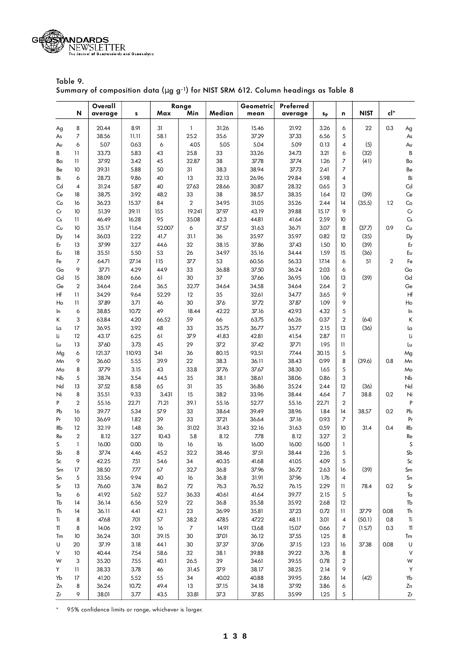

Table 9. Summary of composition data (µ g g-1) for NIST SRM 612. Column headings as Table 8

|    |                | Overall |        |        | Range          |        | Preferred<br>Geometric |         |           |                |        |              |                                                  |
|----|----------------|---------|--------|--------|----------------|--------|------------------------|---------|-----------|----------------|--------|--------------|--------------------------------------------------|
|    | N              | average | s      | Max    | Min            | Median | mean                   | average | <b>Sp</b> | n              | NIST   | cl*          |                                                  |
| Ag | 8              | 20.44   | 8.91   | 31     | $\mathbf{I}$   | 31.26  | 15.46                  | 21.92   | 3.26      | 6              | 22     | 0.3          | Ag                                               |
| As | 7              | 38.56   | 11.11  | 58.1   | 25.2           | 35.6   | 37.29                  | 37.33   | 6.56      | 5              |        |              | As                                               |
| Aυ | 6              | 5.07    | 0.63   | 6      | 4.05           | 5.05   | 5.04                   | 5.09    | 0.13      | 4              | (5)    |              | Au                                               |
| В  | $\mathbf{1}$   | 33.73   | 5.83   | 43     | 25.8           | 33     | 33.26                  | 34.73   | 3.21      | 6              | (32)   |              | B                                                |
| Ba | $\mathbf{11}$  | 37.92   | 3.42   | 45     | 32.87          | 38     | 3778                   | 3774    | 1.26      | 7              | (41)   |              | Ba                                               |
| Be | 10             | 39.31   | 5.88   | 50     | 31             | 38.3   | 38.94                  | 3773    | 2.41      | 7              |        |              | Be                                               |
| Bi | 6              | 28.73   | 9.86   | 40     | 13             | 32.13  | 26.96                  | 29.84   | 5.98      | 4              |        |              | Bi                                               |
| Cd | 4              | 31.24   | 5.87   | 40     | 27.63          | 28.66  | 30.87                  | 28.32   | 0.65      | 3              |        |              | $\ensuremath{\mathsf{C}}\ensuremath{\mathsf{d}}$ |
| Ce | 18             | 38.75   | 3.92   | 48.2   | 33             | 38     | 38.57                  | 38.35   | 1.64      | 12             | (39)   |              | $\mathsf{Ce}$                                    |
| Co | 16             | 36.23   | 15.37  | 84     | $\overline{2}$ | 34.95  | 31.05                  | 35.26   | 2.44      | 14             | (35.5) | 1.2          | $\mathsf{Co}\xspace$                             |
| Cr | 10             | 51.39   | 39.11  | 155    | 19.241         | 37.97  | 43.19                  | 39.88   | 15.17     | 9              |        |              | $\mathsf{Cr}$                                    |
| Cs | $\mathbf{1}$   | 46.49   | 16.28  | 95     | 35.08          | 42.3   | 44.81                  | 41.64   | 2.59      | 10             |        |              | Cs                                               |
| Cυ | 10             | 35.17   | 11.64  | 52.007 | 6              | 37.57  | 31.63                  | 36.71   | 3.07      | 8              | (37.7) | 0.9          | $C\upsilon$                                      |
| Dy | 14             | 36.03   | 2.22   | 41.7   | 31.1           | 36     | 35.97                  | 35.97   | 0.82      | 12             | (35)   |              | Dy                                               |
| Er | 13             | 37.99   | 3.27   | 44.6   | 32             | 38.15  | 37.86                  | 37.43   | 1.50      | 10             | (39)   |              | $\mathsf{Er}$                                    |
| Eυ | 18             | 35.51   | 5.50   | 53     | 26             | 34.97  | 35.16                  | 34.44   | 1.59      | 15             | (36)   |              | $E\upsilon$                                      |
| Fe | 7              | 64.71   | 27.14  | 115    | 377            | 53     | 60.56                  | 56.33   | 17.14     | 6              | 51     | $\mathbf{2}$ | Fe                                               |
| Ga | 9              | 3771    | 4.29   | 44.9   | 33             | 36.88  | 37.50                  | 36.24   | 2.03      | 6              |        |              | Ga                                               |
| Gd | 15             | 38.09   | 6.66   | 61     | 30             | 37     | 37.66                  | 36.95   | 1.06      | 13             | (39)   |              | Gd                                               |
| Ge | $\overline{2}$ | 34.64   | 2.64   | 36.5   | 32.77          | 34.64  | 34.58                  | 34.64   | 2.64      | 2              |        |              | Ge                                               |
| Hf | $\mathbf{1}$   | 34.29   | 9.64   | 52.29  | 12             | 35     | 32.61                  | 34.77   | 3.65      | 9              |        |              | Hf                                               |
| Ho | $\mathbf{1}$   | 37.89   | 3.71   | 46     | 30             | 376    | 37.72                  | 37.87   | 1.09      | 9              |        |              | H <sub>o</sub>                                   |
|    | 6              | 38.85   | 10.72  | 49     | 18.44          | 42.22  | 37.16                  | 42.93   | 4.32      | 5              |        |              |                                                  |
| In | 3              | 63.84   | 4.20   | 66.52  | 59             | 66     | 63.75                  | 66.26   |           | $\overline{2}$ | (64)   |              | ln                                               |
| Κ  |                |         |        |        |                |        |                        |         | 0.37      |                |        |              | К                                                |
| La | 17             | 36.95   | 3.92   | 48     | 33             | 35.75  | 36.77                  | 35.77   | 2.15      | 13             | (36)   |              | La                                               |
| Li | 12             | 43.17   | 6.25   | 61     | 37.9           | 41.83  | 42.81                  | 41.54   | 2.87      | 11             |        |              | Li                                               |
| Lυ | 13             | 37.60   | 3.73   | 45     | 29             | 372    | 37.42                  | 3771    | 1.95      | 11             |        |              | Lυ                                               |
| Mg | 6              | 121.37  | 110.93 | 341    | 36             | 80.15  | 93.51                  | 77.44   | 30.15     | 5              |        |              | Mg                                               |
| Mn | 9              | 36.60   | 5.55   | 39.9   | 22             | 38.3   | 36.11                  | 38.43   | 0.99      | 8              | (39.6) | 0.8          | Mn                                               |
| Mo | 8              | 3779    | 3.15   | 43     | 33.8           | 3776   | 37.67                  | 38.30   | 1.65      | 5              |        |              | Mo                                               |
| Nb | 5              | 38.74   | 3.54   | 44.5   | 35             | 38.1   | 38.61                  | 38.06   | 0.86      | 3              |        |              | N <sub>b</sub>                                   |
| Nd | 13             | 37.52   | 8.58   | 65     | 31             | 35     | 36.86                  | 35.24   | 2.44      | 12             | (36)   |              | Nd                                               |
| Ni | 8              | 35.51   | 9.33   | 3.431  | 15             | 38.2   | 33.96                  | 38.44   | 4.64      | 7              | 38.8   | 0.2          | Ni                                               |
| P  | $\overline{2}$ | 55.16   | 22.71  | 71.21  | 39.1           | 55.16  | 52.77                  | 55.16   | 22.71     | $\overline{2}$ |        |              | $\sf P$                                          |
| Pb | 16             | 39.77   | 5.34   | 57.9   | 33             | 38.64  | 39.49                  | 38.96   | 1.84      | 14             | 38.57  | 0.2          | Pb                                               |
| Pr | 10             | 36.69   | 1.82   | 39     | 33             | 3721   | 36.64                  | 37.16   | 0.93      | 7              |        |              | Pr                                               |
| Rb | 12             | 32.19   | 1.48   | 36     | 31.02          | 31.43  | 32.16                  | 31.63   | 0.59      | 10             | 31.4   | 0.4          | Rb                                               |
| Re | $\overline{2}$ | 8.12    | 3.27   | 10.43  | 5.8            | 8.12   | 7.78                   | 8.12    | 3.27      | $\overline{2}$ |        |              | Re                                               |
| S  | $\mathbf{1}$   | 16.00   | 0.00   | 16     | 16             | 16     | 16.00                  | 16.00   | 16.00     | 1              |        |              | $\sf S$                                          |
| Sb | 8              | 3774    | 4.46   | 45.2   | 32.2           | 38.46  | 37.51                  | 38.44   | 2.26      | 5              |        |              | S <sub>b</sub>                                   |
| Sc | 9              | 42.25   | 7.51   | 54.6   | 34             | 40.35  | 41.68                  | 41.05   | 4.09      | 5              |        |              | $\mathsf{Sc}$                                    |
| Sm | 17             | 38.50   | 7.77   | 67     | 32.7           | 36.8   | 37.96                  | 36.72   | 2.63      | 16             | (39)   |              | Sm                                               |
| Sn | 5              | 33.56   | 9.94   | 40     | 16             | 36.8   | 31.91                  | 37.96   | 1.76      | 4              |        |              | Sn                                               |
| Sr | 13             | 76.60   | 3.74   | 86.2   | 72             | 76.3   | 76.52                  | 76.15   | 2.29      | П              | 78.4   | 0.2          | $\mathsf{Sr}$                                    |
| Ta | 6              | 41.92   | 5.62   | 52.7   | 36.33          | 40.61  | 41.64                  | 39.77   | 2.15      | 5              |        |              | Ta                                               |
| Tb | 14             | 36.14   | 6.56   | 52.9   | 22             | 36.8   | 35.58                  | 35.92   | 2.68      | 12             |        |              | Tb                                               |
| Th | 14             | 36.11   | 4.41   | 42.1   | 23             | 36.99  | 35.81                  | 37.23   | 0.72      | П              | 3779   | 0.08         | Th                                               |
| Ti | 8              | 47.68   | 7.01   | 57     | 38.2           | 47.85  | 47.22                  | 48.11   | 3.01      | 4              | (50.1) | 0.8          | Ti                                               |
| TI | 8              | 14.06   | 2.92   | 16     | $\overline{7}$ | 14.91  | 13.68                  | 15.07   | 0.66      | 7              | (15.7) | 0.3          | $\sf{I}$                                         |
| Tm | 10             | 36.24   | 3.01   | 39.15  | 30             | 37.01  | 36.12                  | 37.55   | 1.25      | 8              |        |              | Tm                                               |
| U  | 20             | 37.19   | 3.18   | 44.1   | 30             | 37.37  | 37.06                  | 37.15   | 1.23      | 16             | 37.38  | 0.08         | U                                                |
| V  | 10             | 40.44   | 7.54   | 58.6   | 32             | 38.1   | 39.88                  | 39.22   | 3.76      | 8              |        |              | $\vee$                                           |
| W  | 3              | 35.20   | 7.55   | 40.1   | 26.5           | 39     | 34.61                  | 39.55   | 0.78      | 2              |        |              | W                                                |
| Y  | 11             | 38.33   | 3.78   | 46     | 31.45          | 37.9   | 38.17                  | 38.25   | 2.14      | 9              |        |              | Y                                                |
| Yb | 17             | 41.20   | 5.52   | 55     | 34             | 40.02  | 40.88                  | 39.95   | 2.86      | 14             | (42)   |              | Yb                                               |
| Zn | 8              | 36.24   | 10.72  | 49.4   | 13             | 37.15  | 34.18                  | 37.92   | 3.86      | 6              |        |              | Zn                                               |
| Zr | 9              | 38.01   | 3.77   | 43.5   | 33.81          | 373    | 37.85                  | 35.99   | 1.25      | 5              |        |              | $\mathsf{Zr}$                                    |

\* 95% confidence limits or range, whichever is larger.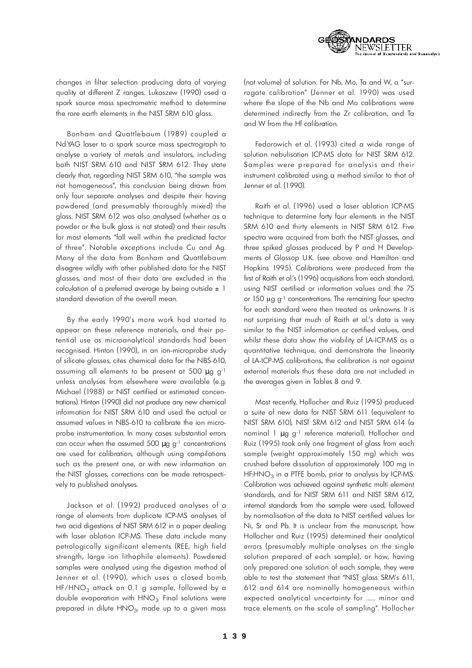

changes in filter selection producing data of varying quality at different Z ranges. Lukaszew (1990) used a spark source mass spectrometric method to determine the rare earth elements in the NIST SRM 610 glass.

Bonham and Quattlebaum (1989) coupled a Nd:YAG laser to a spark source mass spectrograph to analyse a variety of metals and insulators, including both NIST SRM 610 and NIST SRM 612. They state clearly that, regarding NIST SRM 610, "the sample was not homogeneous", this conclusion being drawn from only four separate analyses and despite their having powdered (and presumably thoroughly mixed) the glass. NIST SRM 612 was also analysed (whether as a powder or the bulk glass is not stated) and their results for most elements "fall well within the predicted factor of three". Notable exceptions include Cu and Ag. Many of the data from Bonham and Quattlebaum disagree wildly with other published data for the NIST glasses, and most of their data are excluded in the calculation of a preferred average by being outside  $\pm$  1 standard deviation of the overall mean.

By the early 1990's more work had started to appear on these reference materials, and their potential use as microanalytical standards had been recognised. Hinton (1990), in an ion-microprobe study of silicate glasses, cites chemical data for the NBS-610, assuming all elements to be present at 500 µ g g<sup>-1</sup> unless analyses from elsewhere were available (e.g. Michael (1988) or NIST certified or estimated concentrations). Hinton (1990) did not produce any new chemical information for NIST SRM 610 and used the actual or assumed values in NBS-610 to calibrate the ion microprobe instrumentation. In many cases substantial errors can occur when the assumed 500  $\mu$  g g<sup>-1</sup> concentrations are used for calibration, although using compilations such as the present one, or with new information on the NIST glasses, corrections can be made retrospectively to published analyses.

Jackson et al. (1992) produced analyses of a range of elements from duplicate ICP-MS analyses of two acid digestions of NIST SRM 612 in a paper dealing with laser ablation ICP-MS. These data include many petrologically significant elements (REE, high field strength, large ion lithophile elements). Powdered samples were analysed using the digestion method of Jenner et al. ( 1990), which uses a closed bomb HF/HNO<sub>3</sub> attack on 0.1 g sample, followed by a double evaporation with  $\mathsf{HNO}_3$ . Final solutions were prepared in dilute HNO $_3$ , made up to a given mass

(not volume) of solution. For Nb, Mo, Ta and W, a "surrogate calibration" (Jenner et al. 1990) was used where the slope of the Nb and Mo calibrations were determined indirectly from the Zr calibration, and Ta and W from the Hf calibration.

Fedorowich et al. (1993) cited a wide range of solution nebulisation ICP-MS data for NIST SRM 612. Samples were prepared for analysis and their instrument calibrated using a method similar to that of Jenner et al. (1990).

Raith et al. ( 1996) used a laser ablation ICP-M S technique to determine forty four elements in the NIST SRM 610 and thirty elements in NIST SRM 612. Five spectra were acquired from both the NIST glasses, and three spiked glasses produced by P and H Developments of Glossop U.K. (see above and Hamilton and Hopkins 1995). Calibrations were produced from the first of Raith et al.'s (1996) acquisitions from each standard, using NIST certified or information values and the 75 or 150  $\mu$ g g<sup>-1</sup> concentrations. The remaining four spectra for each standard were then treated as unknowns. It is not surprising that much of Raith et al.'s data is very similar to the NIST information or certified values, and whilst these data show the viability of LA-ICP-MS as a quantitative technique, and demonstrate the linearity of LA-ICP-MS calibrations, the calibration is not against external materials thus these data are not included in the ave rages given in Tables 8 and 9.

Most recently, Hollocher and Ruiz (1995) produced a suite of new data for NIST SRM 611 (equivalent to NIST SRM 610), NIST SRM 612 and NIST SRM 614 (a nominal 1 μ g g<sup>-1</sup> reference material). Hollocher and Ruiz (1995) took only one fragment of glass from each sample (weight approximately 150 mg) which was crushed before dissolution of approximately 100 mg in HF:HNO $_3$  in a PTFE bomb, prior to analysis by ICP-MS. Calibration was achieved against synthetic multi element standards, and for NIST SRM 611 and NIST SRM 612, internal standards from the sample were used, followed by normalisation of the data to NIST certified values for Ni, Sr and Pb. It is unclear from the manuscript, how Hollocher and Ruiz (1995) determined their analytical errors (presumably multiple analyses on the single solution prepared of each sample), or how, having only prepared one solution of each sample, they were able to test the statement that "NIST glass SRM's 611,  $612$  and  $614$  are nominally homogeneous within expected analytical uncertainty for ...... minor and trace elements on the scale of sampling". Hollocher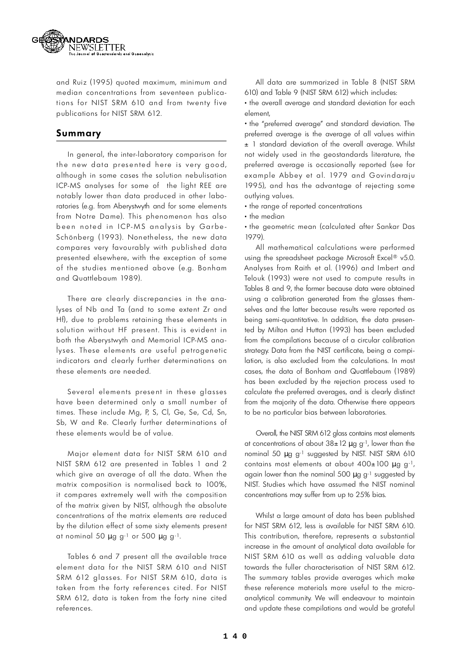

and Ruiz (1995) quoted maximum, minimum and median concentrations from seventeen publications for NIST SRM 610 and from twenty five publications for NIST SRM 612.

### **S u m m a r y**

In general, the inter-laboratory comparison for the new data presented here is very good, although in some cases the solution nebulisation ICP-MS analyses for some of the light REE are notably lower than data produced in other laboratories (e.g. from Aberystwyth and for some elements from Notre Dame). This phenomenon has also been noted in ICP-MS analysis by Garbe-Schönberg (1993). Nonetheless, the new data compares very favourably with published data presented elsewhere, with the exception of some of the studies mentioned above (e.g. Bonham and Quattlebaum 1989).

There are clearly discrepancies in the analyses of Nb and Ta (and to some extent Zr and Hf), due to problems retaining these elements in solution without HF present. This is evident in both the Aberystwyth and Memorial ICP-MS analyses. These elements are useful petrogenetic indicators and clearly further determinations on these elements are needed.

Several elements present in these glasses have been determined only a small number of times. These include Mg, P, S, Cl, Ge, Se, Cd, Sn, Sb, W and Re. Clearly further determinations of these elements would be of value.

Major element data for NIST SRM 610 and NIST SRM 612 are presented in Tables 1 and 2 which give an average of all the data. When the matrix composition is normalised back to 100%, it compares extremely well with the composition of the matrix given by NIST, although the absolute concentrations of the matrix elements are reduced by the dilution effect of some sixty elements present at nominal 50  $\mu$  g g<sup>-1</sup> or 500  $\mu$  g g<sup>-1</sup>.

Tables 6 and 7 present all the available trace element data for the NIST SRM 610 and NIST SRM 612 glasses. For NIST SRM 610, data is taken from the forty references cited. For NIST SRM 612, data is taken from the forty nine cited references.

All data are summarized in Table 8 (NIST SRM 610) and Table 9 (NIST SRM 612) which includes:

• • the overall average and standard deviation for each element,

• • the "preferred average" and standard deviation. The preferred average is the average of all values within  $\pm$  1 standard deviation of the overall average. Whilst not widely used in the geostandards literature, the preferred average is occasionally reported (see for example Abbey et al. 1979 and Govindaraju 1995), and has the advantage of rejecting some outlying values.

•  $\cdot$  the range of reported concentrations

• • the median

• the geometric mean (calculated after Sankar Das 1979).

All mathematical calculations were performed using the spreadsheet package Microsoft Excel® v5.0. Analyses from Raith et al. (1996) and Imbert and Telouk (1993) were not used to compute results in Tables 8 and 9, the former because data were obtained using a calibration generated from the glasses themselves and the latter because results were reported as being semi-quantitative. In addition, the data presented by Milton and Hutton (1993) has been excluded from the compilations because of a circular calibration strategy. Data from the NIST certificate, being a compilation, is also excluded from the calculations. In most cases, the data of Bonham and Quattlebaum (1989) has been excluded by the rejection process used to calculate the preferred averages, and is clearly distinct from the majority of the data. Otherwise there appears to be no particular bias between laboratories.

Overall, the NIST SRM 612 glass contains most elements at concentrations of about  $38 \pm 12 \mu$  g g<sup>-1</sup>, lower than the nominal 50  $\mu$  g g<sup>-1</sup> suggested by NIST. NIST SRM 610 contains most elements at about 400±100 µ g g-1, again lower than the nominal 500  $\mu$  g g<sup>-1</sup> suggested by NIST. Studies which have assumed the NIST nominal concentrations may suffer from up to 25% bias.

Whilst a large amount of data has been published for NIST SRM 612, less is available for NIST SRM 610. This contribution, therefore, represents a substantial increase in the amount of analytical data available for NIST SRM 610 as well as adding valuable data towards the fuller characterisation of NIST SRM 612. The summary tables provide averages which make these reference materials more useful to the microanalytical community. We will endeavour to maintain and update these compilations and would be grateful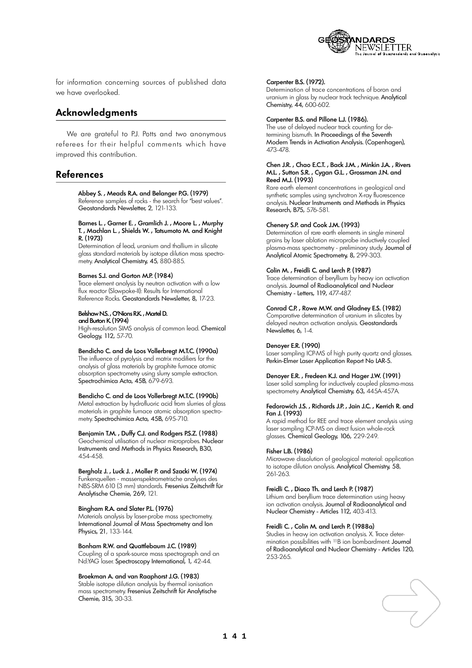

for information concerning sources of published data we have overlooked.

### **Ac k n ow l e d g m e n t s**

We are grateful to P.J. Potts and two anonymous referees for their helpful comments which have improved this contribution.

### **R ef e re n c e s**

Abbey S. , Meads R.A. and Belanger P.G. (1979) Reference samples of rocks - the search for "best values". Geostandards Newsletter, 2, 121-133.

### Barnes L. , Garner E. , Gramlich J. , Moore L. , Murphy T. , Machlan L. , Shields W. , Tatsumoto M. and Knight R. (1973)

Determination of lead, uranium and thallium in silicate glass standard materials by isotope dilution mass spectrometry. Analytical Chemistry, 45, 880-885.

### Barnes S.J. and Gorton M.P. (1984)

Trace element analysis by neutron activation with a low flux reactor (Slowpoke-II): Results for International Reference Rocks. Geostandards Newsletter, 8, 17-23.

Belshaw N.S., O'Nions R.K., Martel D.

## and Burton K. (1994)

High-resolution SIMS analysis of common lead. Chemical Geology, 112, 57-70.

### Bendicho C. and de Loos Vollerbregt M.T.C. (1990a)

The influence of pyrolysis and matrix modifiers for the analysis of glass materials by graphite furnace atomic absorption spectrometry using slurry sample extraction. Spectrochimica Acta, 45B, 679-693.

### Bendicho C. and de Loos Vollerbregt M.T.C. (1990b)

Metal extraction by hydrofluoric acid from slurries of glass materials in graphite furnace atomic absorption spectrometry. Spectrochimica Acta, 45B, 695-710.

### Benjamin T.M. , Duffy C.J. and Rodgers P.S.Z. (1988)

Geochemical utilisation of nuclear microprobes. Nuclear Instruments and Methods in Physics Research, B30, 454-458.

### Bergholz J. , Luck J. , Moller P. and Szacki W. (1974)

Funkenquellen - massenspektrometrische analyses des NBS-SRM 610 (3 mm) standards. Fresenius Zeitschrift für Analytische Chemie, 269, 121.

### Bingham R.A. and Slater P.L. (1976)

Materials analysis by laser-probe mass spectrometry. International Journal of Mass Spectrometry and Ion Physics, 21, 133-144.

### Bonham R.W. and Quattlebaum J.C. (1989)

Coupling of a spark-source mass spectrograph and an Nd:YAG laser. Spectroscopy International, 1, 42-44.

### Broekman A. and van Raaphorst J.G. (1983)

Stable isotope dilution analysis by thermal ionisation mass spectrometry. Fresenius Zeitschrift für Analytische Chemie, 315, 30-33.

### Carpenter B.S. (1972).

Determination of trace concentrations of boron and uranium in glass by nuclear track technique. Analytical Chemistry, 44, 600-602.

### Carpenter B.S. and Pillone L.J. (1986).

The use of delayed nuclear track counting for determining bismuth. In Proceedings of the Seventh Modern Trends in Activation Analysis. (Copenhagen), 473-478.

#### Chen J.R. , Chao E.C.T. , Back J.M. , Minkin J.A. , Rivers M.L. , Sutton S.R. , Cygan G.L. , Grossman J.N. and Reed M.J. (1993)

Rare earth element concentrations in geological and synthetic samples using synchrotron X-ray fluorescence analysis. Nuclear Instruments and Methods in Physics Research, B75, 576-581.

### Chenery S.P. and Cook J.M. (1993)

Determination of rare earth elements in single mineral grains by laser ablation microprobe inductively coupled plasma-mass spectrometry - preliminary study. Journal of Analytical Atomic Spectrometry, 8, 299-303.

### Colin M. , Freidli C. and Lerch P. (1987)

Trace determination of beryllium by heavy ion activation analysis. Journal of Radioanalytical and Nuclear Chemistry - Letters, 119, 477-487.

### Conrad C.P. , Rowe M.W. and Gladney E.S. (1982)

Comparative determination of uranium in silicates by delayed neutron activation analysis. Geostandards Newsletter, 6, 1-4.

### Denoyer E.R. (1990)

Laser sampling ICP-MS of high purity quartz and glasses. Perkin-Elmer Laser Application Report No LAR-5.

### Denoyer E.R. , Fredeen K.J. and Hager J.W. (1991)

Laser solid sampling for inductively coupled plasma-mass spectrometry. Analytical Chemistry, 63, 445A-457A.

#### Fedorowich J.S. , Richards J.P. , Jain J.C. , Kerrich R. and Fan J. (1993)

A rapid method for REE and trace element analysis using laser sampling ICP-MS on direct fusion whole-rock glasses. Chemical Geology, 106, 229-249.

### Fisher L.B. (1986)

Microwave dissolution of geological material: application to isotope dilution analysis. Analytical Chemistry, 58, 261-263.

### Freidli C. , Diaco Th. and Lerch P. (1987)

Lithium and beryllium trace determination using heavy ion activation analysis. Journal of Radioanalytical and Nuclear Chemistry - Articles 112, 403-413.

### Freidli C. , Colin M. and Lerch P. (1988a)

Studies in heavy ion activation analysis. X. Trace determination possibilities with <sup>11</sup>B ion bombardment. Journal of Radioanalytical and Nuclear Chemistry - Articles 120, 253-265.

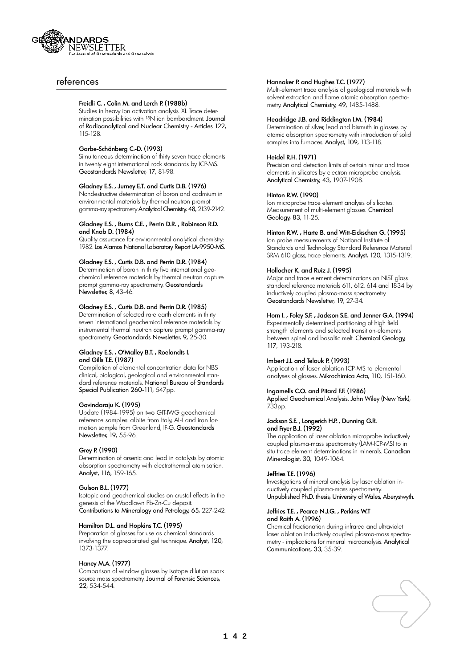

### references

### Freidli C. , Colin M. and Lerch P. (1988b)

Studies in heavy ion activation analysis. XI. Trace determination possibilities with <sup>15</sup>N ion bombardment. Journal of Radioanalytical and Nuclear Chemistry - Articles 122, 115-128.

### Garbe-Schönberg C.-D. (1993)

Simultaneous determination of thirty seven trace elements in twenty eight international rock standards by ICP-MS. Geostandards Newsletter, 17, 81-98.

### Gladney E.S. , Jurney E.T. and Curtis D.B. (1976)

Nondestructive determination of boron and cadmium in environmental materials by thermal neutron prompt gamma-ray spectrometry Analytical Chemistry, 48, 2139-2142.

### Gladney E.S. , Burns C.E. , Perrin D.R. , Robinson R.D. and Knab D. (1984)

Quality assurance for environmental analytical chemistry: 1982. Los Alamos National Laboratory Report LA-9950-MS.

### Gladney E.S. , Curtis D.B. and Perrin D.R. (1984)

Determination of boron in thirty five international geochemical reference materials by thermal neutron capture prompt gamma-ray spectrometry. Geostandards Newsletter, 8, 43-46.

### Gladney E.S. , Curtis D.B. and Perrin D.R. (1985)

Determination of selected rare earth elements in thirty seven international geochemical reference materials by instrumental thermal neutron capture prompt gamma-ray spectrometry. Geostandards Newsletter, 9, 25-30.

### Gladney E.S. , O'Malley B.T. , Roelandts I. and Gills T.E. (1987)

Compilation of elemental concentration data for NBS clinical, biological, geological and environmental standard reference materials. National Bureau of Standards Special Publication 260-111, 547pp.

### Govindaraju K. (1995)

Update (1984-1995) on two GIT-IWG geochemical reference samples: albite from Italy, AL-I and iron formation sample from Greenland, IF-G. Geostandards Newsletter, 19, 55-96.

### Grey P. (1990)

Determination of arsenic and lead in catalysts by atomic absorption spectrometry with electrothermal atomisation. Analyst, 116, 159-165.

### Gulson B.L. (1977)

Isotopic and geochemical studies on crustal effects in the genesis of the Woodlawn Pb-Zn-Cu deposit. Contributions to Mineralogy and Petrology, 65, 227-242.

### Hamilton D.L. and Hopkins T.C. (1995)

Preparation of glasses for use as chemical standards involving the coprecipitated gel technique. Analyst, 120, 1373-1377.

### Haney M.A. (1977)

Comparison of window glasses by isotope dilution spark source mass spectrometry. Journal of Forensic Sciences, 22, 534-544.

### Hannaker P. and Hughes T.C. (1977)

Multi-element trace analysis of geological materials with solvent extraction and flame atomic absorption spectrometry. Analytical Chemistry, 49, 1485-1488.

### Headridge J.B. and Riddington I.M. (1984)

Determination of silver, lead and bismuth in glasses by atomic absorption spectrometry with introduction of solid samples into furnaces. Analyst, 109, 113-118.

### Heidel R.H. (1971)

Precision and detection limits of certain minor and trace elements in silicates by electron microprobe analysis. Analytical Chemistry, 43, 1907-1908.

### Hinton R.W. (1990)

Ion microprobe trace element analysis of silicates: Measurement of multi-element glasses. Chemical Geology, 83, 11-25.

### Hinton R.W. , Harte B. and Witt-Eickschen G. (1995)

Ion probe measurements of National Institute of Standards and Technology Standard Reference Material SRM 610 glass, trace elements. Analyst, 120, 1315-1319.

### Hollocher K. and Ruiz J. (1995)

Major and trace element determinations on NIST glass standard reference materials 611, 612, 614 and 1834 by inductively coupled plasma-mass spectrometry. Geostandards Newsletter, 19, 27-34.

### Horn I., Foley S.F., Jackson S.E. and Jenner G.A. (1994)

Experimentally determined partitioning of high field strength elements and selected transition-elements between spinel and basaltic melt. Chemical Geology, 117, 193-218.

### Imbert J.L and Telouk P. (1993)

Application of laser ablation ICP-MS to elemental analyses of glasses. Mikrochimica Acta, 110, 151-160.

### Ingamells C.O. and Pitard F.F. (1986)

Applied Geochemical Analysis. John Wiley (New York), 733pp.

### Jackson S.E., Longerich H.P., Dunning G.R. and Fryer B.J. (1992)

The application of laser ablation microprobe inductively coupled plasma-mass spectrometry (LAM-ICP-MS) to in situ trace element determinations in minerals. Canadian Mineralogist, 30, 1049-1064.

### Jeffries T.E. (1996)

Investigations of mineral analysis by laser ablation inductively coupled plasma-mass spectrometry. Unpublished Ph.D. thesis, University of Wales, Aberystwyth.

### Jeffries T.E. , Pearce N.J.G. , Perkins W.T and Raith A. (1996)

Chemical fractionation during infrared and ultraviolet laser ablation inductively coupled plasma-mass spectrometry - implications for mineral microanalysis. Analytical Communications, 33, 35-39.

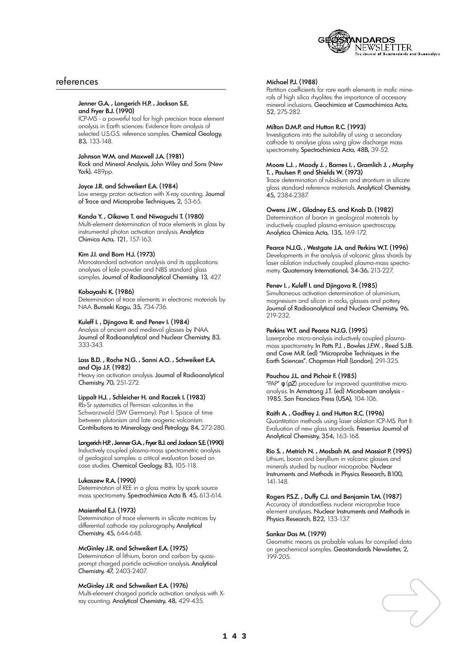

### references

#### Jenner G.A. , Longerich H.P. , Jackson S.E. and Fryer B.J. (1990)

ICP-MS - a powerful tool for high precision trace element analysis in Earth sciences: Evidence from analysis of selected U.S.G.S. reference samples. Chemical Geology, 83, 133-148.

### Johnson W.M. and Maxwell J.A. (1981)

Rock and Mineral Analysis, John Wiley and Sons (New York), 489pp.

### Joyce J.R. and Schweikert E.A. (1984)

Low energy proton activation with X-ray counting. Journal of Trace and Microprobe Techniques, 2, 53-65.

### Kanda Y. , Oikawa T. and Niwaguchi T. (1980)

Multi-element determination of trace elements in glass by instrumental photon activation analysis. Analytica Chimica Acta, 121, 157-163.

### Kim J.I. and Born H.J. (1973)

Monostandard activation analysis and its applications: analyses of kale powder and NBS standard glass samples. Journal of Radioanalytical Chemistry, 13, 427.

### Kobayashi K. (1986)

Determination of trace elements in electronic materials by NAA. Bunseki Kagu, 35, 734-736.

### Kuleff I. , Djingova R. and Penev I. (1984)

Analysis of ancient and medieval glasses by INAA. Journal of Radioanalytical and Nuclear Chemistry, 83, 333-343.

#### Lass B.D. , Roche N.G. , Sanni A.O. , Schweikert E.A. and Ojo J.F. (1982)

Heavy ion activation analysis. Journal of Radioanalytical Chemistry, 70, 251-272.

### Lippolt H.J. , Schleicher H. and Raczek I. (1983)

Rb-Sr systematics of Permian volcanites in the Schwarzwald (SW Germany): Part I: Space of time between plutonism and late orogenic volcanism. Contributions to Mineralogy and Petrology, 84, 272-280.

### Longerich H.P., Jenner G.A., Fryer B.J. and Jackson S.E. (1990)

Inductively coupled plasma-mass spectrometric analysis of geological samples: a critical evaluation based on case studies. Chemical Geology, 83, 105-118.

### Lukaszew R.A. (1990)

Determination of REE in a glass matrix by spark source mass spectrometry. Spectrochimica Acta B. 45, 613-614.

### Maienthal E.J. (1973)

Determination of trace elements in silicate matrices by differential cathode ray polarography. Analytical Chemistry, 45, 644-648.

### McGinley J.R. and Schweikert E.A. (1975)

Determination of lithium, boron and carbon by quasiprompt charged particle activation analysis. Analytical Chemistry, 47, 2403-2407.

### McGinley J.R. and Schweikert E.A. (1976)

Multi-element charged particle activation analysis with Xray counting. Analytical Chemistry, 48, 429-435.

### Michael P.J. (1988)

Partition coefficients for rare earth elements in mafic minerals of high silica rhyolites: the importance of accessory mineral inclusions. Geochimica et Cosmochimica Acta, 52, 275-282.

### Milton D.M.P. and Hutton R.C. (1993)

Investigations into the suitability of using a secondary cathode to analyse glass using glow discharge mass spectrometry. Spectrochimica Acta, 48B, 39-52.

#### Moore L.J. , Moody J. , Barnes I. , Gramlich J. , Murphy T. , Paulsen P. and Shields W. (1973)

Trace determination of rubidium and strontium in silicate glass standard reference materials. Analytical Chemistry, 45, 2384-2387.

### Owens J.W. , Gladney E.S. and Knab D. (1982)

Determination of boron in geological materials by inductively coupled plasma-emission spectroscopy. Analytica Chimica Acta, 135, 169-172.

### Pearce N.J.G. , Westgate J.A. and Perkins W.T. (1996)

Developments in the analysis of volcanic glass shards by laser ablation inductively coupled plasma-mass spectrometry. Quaternary International, 34-36, 213-227.

### Penev I. , Kuleff I. and Djingova R. (1985)

Simultaneous activation determination of aluminium, magnesium and silicon in rocks, glasses and pottery. Journal of Radioanalytical and Nuclear Chemistry, 96, 219-232.

### Perkins W.T. and Pearce N.J.G. (1995)

Laserprobe micro-analysis inductively coupled plasmamass spectrometry. In Potts P.J. , Bowles J.F.W. , Reed S.J.B. and Cave M.R. (ed) "Microprobe Techniques in the Earth Sciences". Chapman Hall (London), 291-325.

### Pouchou J.L. and Pichoir F. (1985)

"PAP" () procedure for improved quantitative microanalysis. In Armstrong J.T. (ed) Microbeam analysis 1985. San Francisco Press (USA), 104-106.

### Raith A. , Godfrey J. and Hutton R.C. (1996)

Quantitation methods using laser ablation ICP-MS. Part II: Evaluation of new glass standards. Fresenius Journal of Analytical Chemistry, 354, 163-168.

#### Rio S. , Metrich N. , Mosbah M. and Massiot P. (1995) Lithium, boron and beryllium in volcanic glasses and

minerals studied by nuclear microprobe. Nuclear Instruments and Methods in Physics Research, B100, 141-148.

### Rogers P.S.Z. , Duffy C.J. and Benjamin T.M. (1987)

Accuracy of standardless nuclear microprobe trace element analyses. Nuclear Instruments and Methods in Physics Research, B22, 133-137.

### Sankar Das M. (1979)

Geometric means as probable values for compiled data on geochemical samples. Geostandards Newsletter, 2, 199-205.